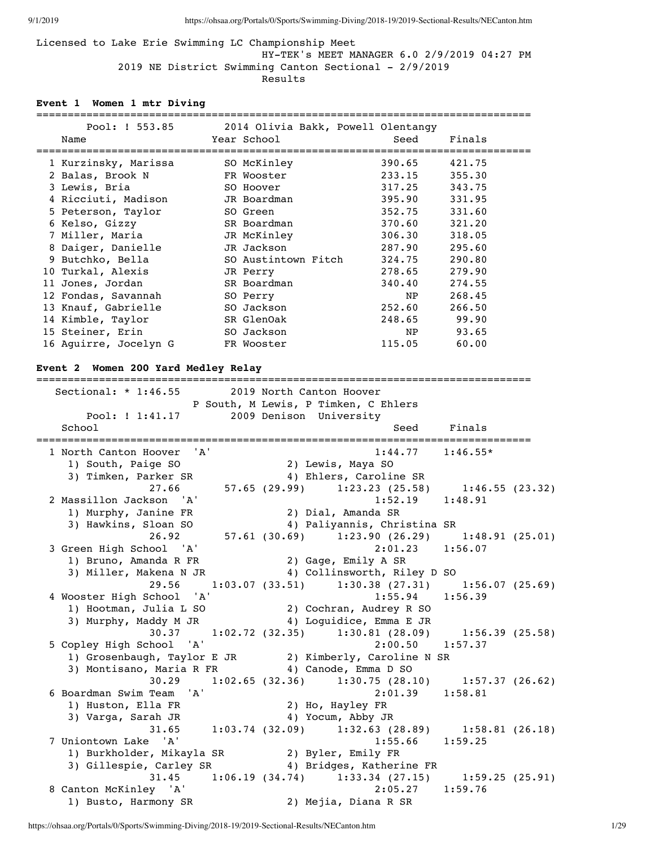Licensed to Lake Erie Swimming LC Championship Meet HY-TEK's MEET MANAGER 6.0 2/9/2019 04:27 PM 2019 NE District Swimming Canton Sectional - 2/9/2019 Results

#### **Event 1 Women 1 mtr Diving**

#### =============================================================================== Pool: ! 553.85 2014 Olivia Bakk, Powell Olentangy

| POO1: ! 553.85        | 2014 Olivia Bakk, Powell Olentangy |        |        |
|-----------------------|------------------------------------|--------|--------|
| Name                  | Year School                        | Seed   | Finals |
|                       |                                    |        |        |
| 1 Kurzinsky, Marissa  | SO McKinley                        | 390.65 | 421.75 |
| 2 Balas, Brook N      | FR Wooster                         | 233.15 | 355.30 |
| 3 Lewis, Bria         | SO Hoover                          | 317.25 | 343.75 |
| 4 Ricciuti, Madison   | JR Boardman                        | 395.90 | 331.95 |
| 5 Peterson, Taylor    | SO Green                           | 352.75 | 331.60 |
| 6 Kelso, Gizzy        | SR Boardman                        | 370.60 | 321.20 |
| 7 Miller, Maria       | JR McKinley                        | 306.30 | 318.05 |
| 8 Daiger, Danielle    | JR Jackson                         | 287.90 | 295.60 |
| 9 Butchko, Bella      | SO Austintown Fitch                | 324.75 | 290.80 |
| 10 Turkal, Alexis     | JR Perry                           | 278.65 | 279.90 |
| 11 Jones, Jordan      | SR Boardman                        | 340.40 | 274.55 |
| 12 Fondas, Savannah   | SO Perry                           | NP     | 268.45 |
| 13 Knauf, Gabrielle   | SO Jackson                         | 252.60 | 266.50 |
| 14 Kimble, Taylor     | SR GlenOak                         | 248.65 | 99.90  |
| 15 Steiner, Erin      | SO Jackson                         | NP.    | 93.65  |
| 16 Aquirre, Jocelyn G | FR Wooster                         | 115.05 | 60.00  |

### **Event 2 Women 200 Yard Medley Relay**

=============================================================================== Sectional: \* 1:46.55 2019 North Canton Hoover P South, M Lewis, P Timken, C Ehlers Pool: ! 1:41.17 2009 Denison University School School Seed Finals =============================================================================== 1 North Canton Hoover 'A' 1:44.77 1:46.55\* 1) South, Paige SO 2) Lewis, Maya SO 3) Timken, Parker SR (4) Ehlers, Caroline SR<br>27.66 (29.99) 1:23.23 (25.58)  $1:23.23$  (25.58)  $1:46.55$  (23.32) 2 Massillon Jackson 'A' 1:52.19 1:48.91<br>1) Murphy, Janine FR 2) Dial, Amanda SR 1) Murphy, Janine FR<br>3) Hawkins, Sloan SO 3) Hawkins, Sloan SO 4) Paliyannis, Christina SR 26.92 57.61 (30.69) 1:23.90 (26.29) 1:48.91 (25.01) 3 Green High School 'A' 2:01.23 1:56.07 1) Bruno, Amanda R FR 2) Gage, Emily A SR 3) Miller, Makena N JR 4) Collinsworth, Riley D SO 29.56 1:03.07 (33.51) 1:30.38 (27.31) 1:56.07 (25.69) 4 Wooster High School 'A' 1:55.94 1:56.39 1) Hootman, Julia L SO 2) Cochran, Audrey R SO 3) Murphy, Maddy M JR 4) Loguidice, Emma E JR 30.37 1:02.72 (32.35) 1:30.81 (28.09) 1:56.39 (25.58) 5 Copley High School 'A' 2:00.50 1:57.37 1) Grosenbaugh, Taylor E JR 2) Kimberly, Caroline N SR 3) Montisano, Maria R FR 4) Canode, Emma D SO 30.29 1:02.65 (32.36) 1:30.75 (28.10) 1:57.37 (26.62) % 6 Boardman Swim Team 'A' 2:<br>1) Huston, Ella FR 2) Ho, Hayley FR 1) Huston, Ella FR 3) Varga, Sarah JR 4) Yocum, Abby JR 31.65 1:03.74 (32.09) 1:32.63 (28.89) 1:58.81 (26.18) 7 Uniontown Lake 'A' 1:55.66 1:59.25 1) Burkholder, Mikayla SR 2) Byler, Emily FR 3) Gillespie, Carley SR 4) Bridges, Katherine FR 31.45 1:06.19 (34.74) 1:33.34 (27.15) 1:59.25 (25.91) 8 Canton McKinley 'A' 1) Busto, Harmony SR 2) Mejia, Diana R SR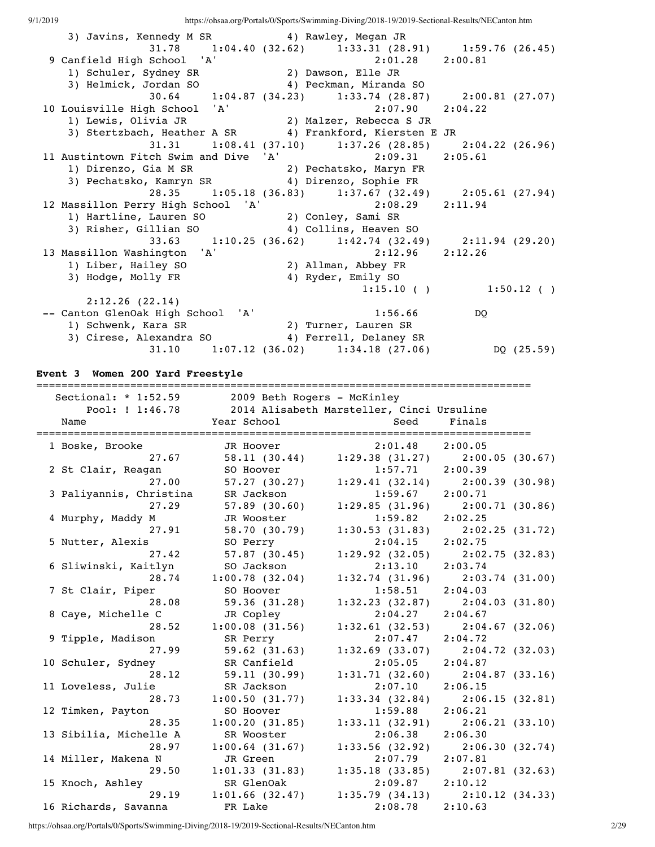| 3) Javins, Kennedy M SR 4) Rawley, Megan JR                                                 |                                                                                                                         |                             |
|---------------------------------------------------------------------------------------------|-------------------------------------------------------------------------------------------------------------------------|-----------------------------|
|                                                                                             | 31.78 1:04.40 (32.62) 1:33.31 (28.91) 1:59.76 (26.45)                                                                   |                             |
|                                                                                             |                                                                                                                         |                             |
| 9 Canfield High School 'A' 2:01.28 2:00.81<br>1) Schuler, Sydney SR 2) Dawson, Elle JR      |                                                                                                                         |                             |
| 3) Helmick, Jordan SO (4) Peckman, Miranda SO                                               |                                                                                                                         |                             |
|                                                                                             | 30.64 1:04.87 (34.23) 1:33.74 (28.87) 2:00.81 (27.07)                                                                   |                             |
| 10 Louisville High School 'A' 2:07.90<br>1) Lewis, Olivia JR 2) Malzer, Rebecca S JR        | $2:07.90$ $2:04.22$                                                                                                     |                             |
|                                                                                             |                                                                                                                         |                             |
| 3) Stertzbach, Heather A SR 4) Frankford, Kiersten E JR                                     |                                                                                                                         |                             |
|                                                                                             | 31.31   1:08.41   (37.10)   1:37.26   (28.85)   2:04.22   (26.96)                                                       |                             |
| 11 Austintown Fitch Swim and Dive 'A' 2:09.31 2:05.61                                       |                                                                                                                         |                             |
| 1) Direnzo, Gia M SR (2) Pechatsko, Maryn FR                                                |                                                                                                                         |                             |
| 3) Pechatsko, Kamryn SR (4) Direnzo, Sophie FR                                              |                                                                                                                         |                             |
|                                                                                             | 28.35 1:05.18 (36.83) 1:37.67 (32.49) 2:05.61 (27.94)                                                                   |                             |
| 12 Massillon Perry High School 'A' 2:08.29 2:11.94                                          |                                                                                                                         |                             |
| 1) Hartline, Lauren SO 2) Conley, Sami SR                                                   |                                                                                                                         |                             |
| 3) Risher, Gillian SO 4) Collins, Heaven SO                                                 |                                                                                                                         |                             |
|                                                                                             | 33.63 1:10.25 (36.62) 1:42.74 (32.49) 2:11.94 (29.20)                                                                   |                             |
|                                                                                             | $2:12.96$ $2:12.26$                                                                                                     |                             |
|                                                                                             |                                                                                                                         |                             |
|                                                                                             |                                                                                                                         |                             |
|                                                                                             |                                                                                                                         |                             |
|                                                                                             | 13 Massillon Washington 'A' 2:12.96<br>1) Liber, Hailey SO 2) Allman, Abbey FR<br>3) Hodge, Molly FR 4) Ryder, Emily SO | $1:15.10$ ( ) $1:50.12$ ( ) |
| 2:12.26(22.14)                                                                              |                                                                                                                         |                             |
| -- Canton GlenOak High School 'A'                                                           | 1:56.66                                                                                                                 | DO <sub>1</sub>             |
|                                                                                             |                                                                                                                         |                             |
| 1) Schwenk, Kara SR (2) Turner, Lauren SR<br>3) Cirese, Alexandra SO 4) Ferrell, Delaney SR |                                                                                                                         |                             |
|                                                                                             | $31.10$ $1:07.12$ $(36.02)$ $1:34.18$ $(27.06)$                                                                         | DQ $(25.59)$                |

**Event 3 Women 200 Yard Freestyle**

| Sectional: $*$ 1:52.59  | 2009 Beth Rogers - McKinley |                                           | ________________________            |
|-------------------------|-----------------------------|-------------------------------------------|-------------------------------------|
| Pool: ! 1:46.78         |                             | 2014 Alisabeth Marsteller, Cinci Ursuline |                                     |
| Name                    | Year School                 | Seed                                      | Finals                              |
| 1 Boske, Brooke         | JR Hoover                   | 2:01.48                                   | 2:00.05                             |
| 27.67                   | 58.11(30.44)                | 1:29.38(31.27)                            | 2:00.05(30.67)                      |
| 2 St Clair, Reagan      | SO Hoover                   | $1:57.71$ 2:00.39                         |                                     |
| 27.00                   | 57.27(30.27)                |                                           | $1:29.41(32.14)$ $2:00.39(30.98)$   |
| 3 Paliyannis, Christina | SR Jackson                  | 1:59.67                                   | 2:00.71                             |
| 27.29                   | $57.89$ (30.60)             |                                           | $1:29.85(31.96)$ $2:00.71(30.86)$   |
| 4 Murphy, Maddy M       | JR Wooster                  | 1:59.82                                   | 2:02.25                             |
| 27.91                   | 58.70 (30.79)               |                                           | $1:30.53$ (31.83) $2:02.25$ (31.72) |
| 5 Nutter, Alexis        | SO Perry                    | 2:04.15                                   | 2:02.75                             |
| 27.42                   | 57.87(30.45)                |                                           | $1:29.92$ (32.05) $2:02.75$ (32.83) |
| 6 Sliwinski, Kaitlyn    | SO Jackson                  | 2:13.10                                   | 2:03.74                             |
| 28.74                   | 1:00.78(32.04)              | 1:32.74(31.96)                            | 2:03.74(31.00)                      |
| 7 St Clair, Piper       | SO Hoover                   | 1:58.51                                   | 2:04.03                             |
| 28.08                   | 59.36(31.28)                | 1:32.23(32.87)                            | 2:04.03(31.80)                      |
| 8 Caye, Michelle C      | JR Copley                   | 2:04.27                                   | 2:04.67                             |
| 28.52                   | 1:00.08(31.56)              | 1:32.61(32.53)                            | $2:04.67$ (32.06)                   |
| 9 Tipple, Madison       | SR Perry                    | 2:07.47                                   | 2:04.72                             |
| 27.99                   | 59.62(31.63)                | 1:32.69(33.07)                            | 2:04.72(32.03)                      |
| 10 Schuler, Sydney      | SR Canfield                 | 2:05.05                                   | 2:04.87                             |
| 28.12                   | 59.11(30.99)                |                                           | $1:31.71(32.60)$ $2:04.87(33.16)$   |
| 11 Loveless, Julie      | SR Jackson                  | 2:07.10                                   | 2:06.15                             |
| 28.73                   | 1:00.50(31.77)              | 1:33.34(32.84)                            | 2:06.15(32.81)                      |
| 12 Timken, Payton       | SO Hoover                   | 1:59.88                                   | 2:06.21                             |
| 28.35                   | 1:00.20(31.85)              | 1:33.11(32.91)                            | 2:06.21(33.10)                      |
| 13 Sibilia, Michelle A  | SR Wooster                  | 2:06.38                                   | 2:06.30                             |
| 28.97                   | 1:00.64(31.67)              | 1:33.56(32.92)                            | 2:06.30(32.74)                      |
| 14 Miller, Makena N     | JR Green                    | 2:07.79                                   | 2:07.81                             |
| 29.50                   | 1:01.33(31.83)              |                                           | $1:35.18$ (33.85) $2:07.81$ (32.63) |
| 15 Knoch, Ashley        | SR GlenOak                  | $2:09.87$ $2:10.12$                       |                                     |
| 29.19                   | $1:01.66$ (32.47)           |                                           | $1:35.79$ (34.13) $2:10.12$ (34.33) |
| 16 Richards, Savanna    | FR Lake                     | 2:08.78                                   | 2:10.63                             |

https://ohsaa.org/Portals/0/Sports/Swimming-Diving/2018-19/2019-Sectional-Results/NECanton.htm 2/29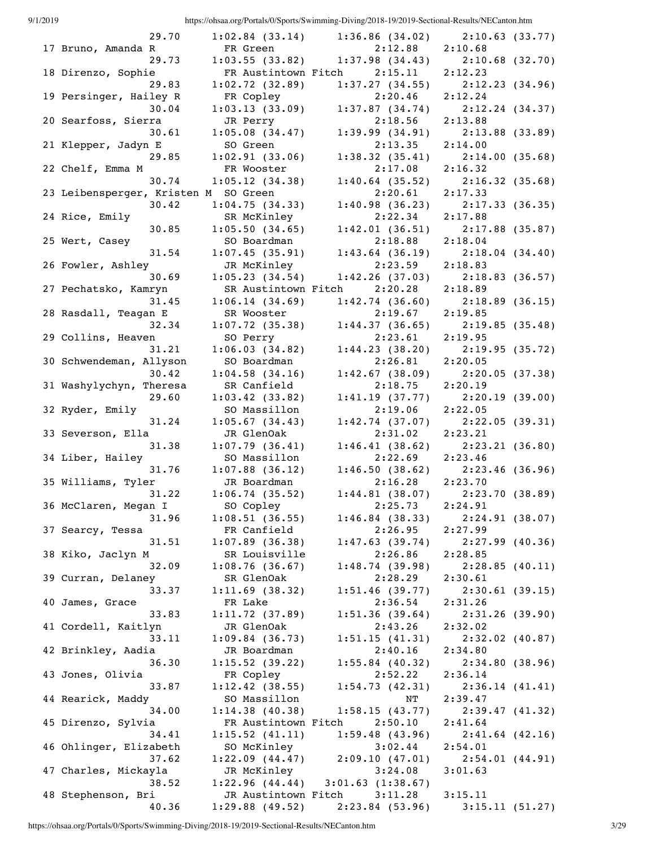| 9/1/2019 |                                               |                                    | https://ohsaa.org/Portals/0/Sports/Swimming-Diving/2018-19/2019-Sectional-Results/NECanton.htm |                                                    |
|----------|-----------------------------------------------|------------------------------------|------------------------------------------------------------------------------------------------|----------------------------------------------------|
|          | 29.70                                         |                                    | $1:02.84$ (33.14) 1:36.86 (34.02)                                                              | 2:10.63(33.77)                                     |
|          | 17 Bruno, Amanda R                            | FR Green                           | 2:12.88 2:10.68                                                                                |                                                    |
|          | 29.73                                         |                                    | $1:03.55$ (33.82) $1:37.98$ (34.43)                                                            | 2:10.68(32.70)                                     |
|          | 18 Direnzo, Sophie                            |                                    | FR Austintown Fitch 2:15.11 2:12.23                                                            |                                                    |
|          | 29.83                                         | 1:02.72(32.89)                     |                                                                                                | $1:37.27$ (34.55) $2:12.23$ (34.96)                |
|          | 19 Persinger, Hailey R                        | FR Copley                          | 2:20.46                                                                                        | 2:12.24                                            |
|          | 30.04                                         | 1:03.13(33.09)                     |                                                                                                | $1:37.87$ (34.74) $2:12.24$ (34.37)                |
|          | 20 Searfoss, Sierra                           | JR Perry                           | $2:18.56$ $2:13.88$                                                                            |                                                    |
|          | 30.61                                         | 1:05.08(34.47)                     |                                                                                                | $1:39.99(34.91)$ $2:13.88(33.89)$                  |
|          | 21 Klepper, Jadyn E                           | SO Green                           | $2:13.35$ $2:14.00$                                                                            |                                                    |
|          | 29.85                                         | 1:02.91(33.06)                     |                                                                                                | $1:38.32$ (35.41) $2:14.00$ (35.68)                |
|          | 22 Chelf, Emma M                              | FR Wooster                         | 2:17.08                                                                                        | 2:16.32                                            |
|          | 30.74                                         | 1:05.12(34.38)                     |                                                                                                | 1:40.64 (35.52) 2:16.32 (35.68)<br>2:20.61 2:17.33 |
|          | 23 Leibensperger, Kristen M SO Green<br>30.42 |                                    | 1:40.98(36.23)                                                                                 |                                                    |
|          | 24 Rice, Emily                                | 1:04.75(34.33)                     | $2:22.34$ $2:17.88$                                                                            | 2:17.33(36.35)                                     |
|          | 30.85                                         | SR McKinley<br>1:05.50(34.65)      |                                                                                                | $1:42.01$ (36.51) $2:17.88$ (35.87)                |
|          | 25 Wert, Casey                                | SO Boardman                        | $2:18.88$ $2:18.04$                                                                            |                                                    |
|          | 31.54                                         | 1:07.45(35.91)                     | $1:43.64$ (36.19)                                                                              | 2:18.04(34.40)                                     |
|          | 26 Fowler, Ashley                             | JR McKinley                        | 2:23.59 2:18.83                                                                                |                                                    |
|          | 30.69                                         | 1:05.23(34.54)                     | 1:42.26(37.03)                                                                                 | 2:18.83(36.57)                                     |
|          | 27 Pechatsko, Kamryn                          |                                    | SR Austintown Fitch 2:20.28                                                                    | 2:18.89                                            |
|          | 31.45                                         | 1:06.14(34.69)                     | 1:42.74(36.60)                                                                                 | 2:18.89(36.15)                                     |
|          | 28 Rasdall, Teagan E                          | SR Wooster                         | 2:19.67                                                                                        | 2:19.85                                            |
|          | 32.34                                         | 1:07.72(35.38)                     |                                                                                                | $1:44.37$ (36.65) 2:19.85 (35.48)                  |
|          | 29 Collins, Heaven                            | SO Perry                           | $2:23.61$ $2:19.95$                                                                            |                                                    |
|          | 31.21                                         | 1:06.03(34.82)                     |                                                                                                | $1:44.23$ (38.20) 2:19.95 (35.72)                  |
|          | 30 Schwendeman, Allyson                       | SO Boardman                        | 2:26.81                                                                                        | 2:20.05                                            |
|          | 30.42                                         | 1:04.58(34.16)                     |                                                                                                | $1:42.67$ (38.09) $2:20.05$ (37.38)                |
|          | 31 Washylychyn, Theresa                       | SR Canfield                        | 2:18.75                                                                                        | 2:20.19                                            |
|          | 29.60                                         | 1:03.42(33.82)                     |                                                                                                | $1:41.19$ (37.77) $2:20.19$ (39.00)                |
|          | 32 Ryder, Emily                               | SO Massillon                       | $2:19.06$ $2:22.05$                                                                            |                                                    |
|          | 31.24                                         | 1:05.67(34.43)                     |                                                                                                | $1:42.74$ (37.07) $2:22.05$ (39.31)                |
|          | 33 Severson, Ella                             | JR GlenOak                         | $2:31.02$ $2:23.21$                                                                            |                                                    |
|          | 31.38                                         | 1:07.79(36.41)                     | 1:46.41(38.62)                                                                                 | 2:23.21(36.80)                                     |
|          | 34 Liber, Hailey                              | SO Massillon                       | 2:22.69 2:23.46                                                                                |                                                    |
|          | 31.76                                         | $1:07.88$ (36.12)                  | 1:46.50(38.62)                                                                                 | 2:23.46(36.96)                                     |
|          | 35 Williams, Tyler                            | JR Boardman                        | 2:16.28                                                                                        | 2:23.70                                            |
|          | 31.22                                         | 1:06.74(35.52)                     |                                                                                                | $1:44.81$ (38.07) $2:23.70$ (38.89)                |
|          | 36 McClaren, Megan I                          | SO Copley                          | 2:25.73                                                                                        | 2:24.91                                            |
|          | 31.96                                         | 1:08.51(36.55)                     | 1:46.84(38.33)                                                                                 | 2:24.91(38.07)                                     |
|          | 37 Searcy, Tessa<br>31.51                     | FR Canfield                        | 2:26.95                                                                                        | 2:27.99                                            |
|          | 38 Kiko, Jaclyn M                             | $1:07.89$ (36.38)<br>SR Louisville | 1:47.63(39.74)<br>2:26.86                                                                      | 2:27.99(40.36)<br>2:28.85                          |
|          | 32.09                                         | 1:08.76(36.67)                     | 1:48.74(39.98)                                                                                 | 2:28.85(40.11)                                     |
|          | 39 Curran, Delaney                            | SR GlenOak                         | 2:28.29                                                                                        | 2:30.61                                            |
|          | 33.37                                         | 1:11.69(38.32)                     | 1:51.46(39.77)                                                                                 | 2:30.61(39.15)                                     |
|          | 40 James, Grace                               | FR Lake                            | 2:36.54                                                                                        | 2:31.26                                            |
|          | 33.83                                         | 1:11.72(37.89)                     | 1:51.36(39.64)                                                                                 | 2:31.26(39.90)                                     |
|          | 41 Cordell, Kaitlyn                           | JR GlenOak                         | 2:43.26                                                                                        | 2:32.02                                            |
|          | 33.11                                         | 1:09.84(36.73)                     | 1:51.15(41.31)                                                                                 | 2:32.02(40.87)                                     |
|          | 42 Brinkley, Aadia                            | JR Boardman                        | 2:40.16                                                                                        | 2:34.80                                            |
|          | 36.30                                         | 1:15.52(39.22)                     | 1:55.84(40.32)                                                                                 | 2:34.80(38.96)                                     |
|          | 43 Jones, Olivia                              | FR Copley                          | 2:52.22                                                                                        | 2:36.14                                            |
|          | 33.87                                         | 1:12.42(38.55)                     | 1:54.73(42.31)                                                                                 | 2:36.14(41.41)                                     |
|          | 44 Rearick, Maddy                             | SO Massillon                       | $\mathrm{N}\mathrm{T}$                                                                         | 2:39.47                                            |
|          | 34.00                                         | 1:14.38(40.38)                     | 1:58.15(43.77)                                                                                 | 2:39.47(41.32)                                     |
|          | 45 Direnzo, Sylvia                            | FR Austintown Fitch                | 2:50.10                                                                                        | 2:41.64                                            |
|          | 34.41                                         | 1:15.52(41.11)                     | 1:59.48(43.96)                                                                                 | 2:41.64(42.16)                                     |
|          | 46 Ohlinger, Elizabeth                        | SO McKinley                        | 3:02.44                                                                                        | 2:54.01                                            |
|          | 37.62                                         | 1:22.09(44.47)                     | 2:09.10(47.01)                                                                                 | 2:54.01(44.91)                                     |
|          | 47 Charles, Mickayla                          | JR McKinley                        | 3:24.08                                                                                        | 3:01.63                                            |
|          | 38.52                                         | 1:22.96(44.44)                     | 3:01.63(1:38.67)                                                                               |                                                    |
|          | 48 Stephenson, Bri                            | JR Austintown Fitch                | 3:11.28                                                                                        | 3:15.11                                            |
|          | 40.36                                         | 1:29.88(49.52)                     |                                                                                                | $2:23.84$ (53.96) 3:15.11 (51.27)                  |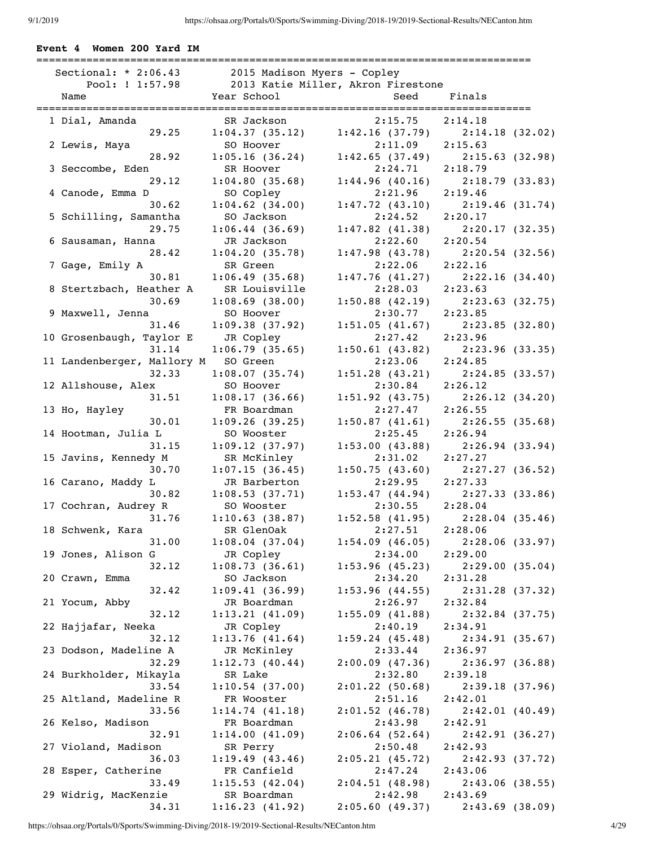===============================================================================

### **Event 4 Women 200 Yard IM**

| Sectional: $* 2:06.43$     | 2015 Madison Myers - Copley |                                    |                                     |
|----------------------------|-----------------------------|------------------------------------|-------------------------------------|
| Pool: ! 1:57.98            |                             | 2013 Katie Miller, Akron Firestone |                                     |
| Name                       | Year School                 | Seed                               | Finals                              |
|                            |                             |                                    |                                     |
| 1 Dial, Amanda             | SR Jackson                  | 2:15.75                            | 2:14.18                             |
| 29.25                      | 1:04.37(35.12)              | 1:42.16(37.79)                     | 2:14.18(32.02)                      |
| 2 Lewis, Maya              | SO Hoover                   | 2:11.09                            | 2:15.63                             |
| 28.92                      | 1:05.16(36.24)              | 1:42.65(37.49)                     | 2:15.63(32.98)                      |
| 3 Seccombe, Eden           | SR Hoover                   | 2:24.71                            | 2:18.79                             |
| 29.12                      | 1:04.80(35.68)              | 1:44.96(40.16)                     | 2:18.79(33.83)                      |
| 4 Canode, Emma D           | SO Copley                   | 2:21.96                            | 2:19.46                             |
| 30.62                      | $1:04.62$ (34.00)           | 1:47.72(43.10)                     | 2:19.46(31.74)                      |
| 5 Schilling, Samantha      | SO Jackson                  | 2:24.52                            | 2:20.17                             |
| 29.75                      | 1:06.44(36.69)              |                                    | $1:47.82$ (41.38) $2:20.17$ (32.35) |
| 6 Sausaman, Hanna          | JR Jackson                  | 2:22.60                            | 2:20.54                             |
| 28.42                      | 1:04.20(35.78)              | 1:47.98(43.78)                     | 2:20.54(32.56)                      |
| 7 Gage, Emily A            | SR Green                    | 2:22.06                            | 2:22.16                             |
| 30.81                      | 1:06.49(35.68)              | 1:47.76(41.27)                     | 2:22.16(34.40)                      |
| 8 Stertzbach, Heather A    | SR Louisville               | 2:28.03                            | 2:23.63                             |
| 30.69                      | $1:08.69$ (38.00)           | $1:50.88$ (42.19)                  | 2:23.63(32.75)                      |
| 9 Maxwell, Jenna           | SO Hoover                   | $2:30.77$ 2:23.85                  |                                     |
| 31.46                      | 1:09.38(37.92)              | 1:51.05(41.67)                     | 2:23.85(32.80)                      |
| 10 Grosenbaugh, Taylor E   | JR Copley                   | 2:27.42                            | 2:23.96                             |
| 31.14                      | 1:06.79(35.65)              | 1:50.61(43.82)                     | 2:23.96(33.35)                      |
| 11 Landenberger, Mallory M | SO Green                    | 2:23.06                            | 2:24.85                             |
| 32.33                      | 1:08.07(35.74)              | 1:51.28(43.21)                     | 2:24.85(33.57)                      |
| 12 Allshouse, Alex         | SO Hoover                   | 2:30.84                            | 2:26.12                             |
| 31.51                      | 1:08.17(36.66)              | 1:51.92(43.75)                     | 2:26.12(34.20)                      |
| 13 Ho, Hayley              | FR Boardman                 | 2:27.47                            | 2:26.55                             |
| 30.01                      | 1:09.26(39.25)              |                                    | $1:50.87$ (41.61) $2:26.55$ (35.68) |
| 14 Hootman, Julia L        | SO Wooster                  | 2:25.45                            | 2:26.94                             |
| 31.15                      |                             |                                    |                                     |
|                            | 1:09.12(37.97)              |                                    | $1:53.00(43.88)$ $2:26.94(33.94)$   |
| 15 Javins, Kennedy M       | SR McKinley                 | 2:31.02                            | 2:27.27                             |
| 30.70                      | 1:07.15(36.45)              | 1:50.75(43.60)                     | 2:27.27(36.52)                      |
| 16 Carano, Maddy L         | JR Barberton                | 2:29.95                            | 2:27.33                             |
| 30.82                      | 1:08.53(37.71)              |                                    | $1:53.47$ (44.94) $2:27.33$ (33.86) |
| 17 Cochran, Audrey R       | SO Wooster                  | 2:30.55 2:28.04                    |                                     |
| 31.76                      | 1:10.63(38.87)              | 1:52.58(41.95)                     | 2:28.04(35.46)                      |
| 18 Schwenk, Kara           | SR GlenOak                  | 2:27.51                            | 2:28.06                             |
| 31.00                      | 1:08.04(37.04)              |                                    | $1:54.09$ (46.05) $2:28.06$ (33.97) |
| 19 Jones, Alison G         | JR Copley                   | 2:34.00                            | 2:29.00                             |
| 32.12                      | 1:08.73(36.61)              | 1:53.96(45.23)                     | 2:29.00(35.04)                      |
| 20 Crawn, Emma             | SO Jackson                  | 2:34.20                            | 2:31.28                             |
| 32.42                      | 1:09.41(36.99)              | 1:53.96(44.55)                     | 2:31.28(37.32)                      |
| 21 Yocum, Abby             | JR Boardman                 | 2:26.97                            | 2:32.84                             |
| 32.12                      | 1:13.21(41.09)              | 1:55.09(41.88)                     | 2:32.84(37.75)                      |
| 22 Hajjafar, Neeka         | JR Copley                   | 2:40.19                            | 2:34.91                             |
| 32.12                      | 1:13.76(41.64)              | 1:59.24(45.48)                     | 2:34.91(35.67)                      |
| 23 Dodson, Madeline A      | JR McKinley                 | 2:33.44                            | 2:36.97                             |
| 32.29                      | 1:12.73(40.44)              | 2:00.09(47.36)                     | 2:36.97(36.88)                      |
| 24 Burkholder, Mikayla     | SR Lake                     | 2:32.80                            | 2:39.18                             |
| 33.54                      | 1:10.54(37.00)              | 2:01.22(50.68)                     | 2:39.18(37.96)                      |
| 25 Altland, Madeline R     | FR Wooster                  | 2:51.16                            | 2:42.01                             |
| 33.56                      | 1:14.74(41.18)              | 2:01.52(46.78)                     | 2:42.01(40.49)                      |
| 26 Kelso, Madison          | FR Boardman                 | 2:43.98                            | 2:42.91                             |
| 32.91                      | 1:14.00(41.09)              | 2:06.64(52.64)                     | 2:42.91(36.27)                      |
| 27 Violand, Madison        | SR Perry                    | 2:50.48                            | 2:42.93                             |
| 36.03                      | 1:19.49(43.46)              | 2:05.21(45.72)                     | 2:42.93(37.72)                      |
| 28 Esper, Catherine        | FR Canfield                 | 2:47.24                            | 2:43.06                             |
| 33.49                      | 1:15.53(42.04)              | 2:04.51(48.98)                     | 2:43.06(38.55)                      |
| 29 Widrig, MacKenzie       | SR Boardman                 | 2:42.98                            | 2:43.69                             |
| 34.31                      | 1:16.23(41.92)              | 2:05.60(49.37)                     | 2:43.69(38.09)                      |
|                            |                             |                                    |                                     |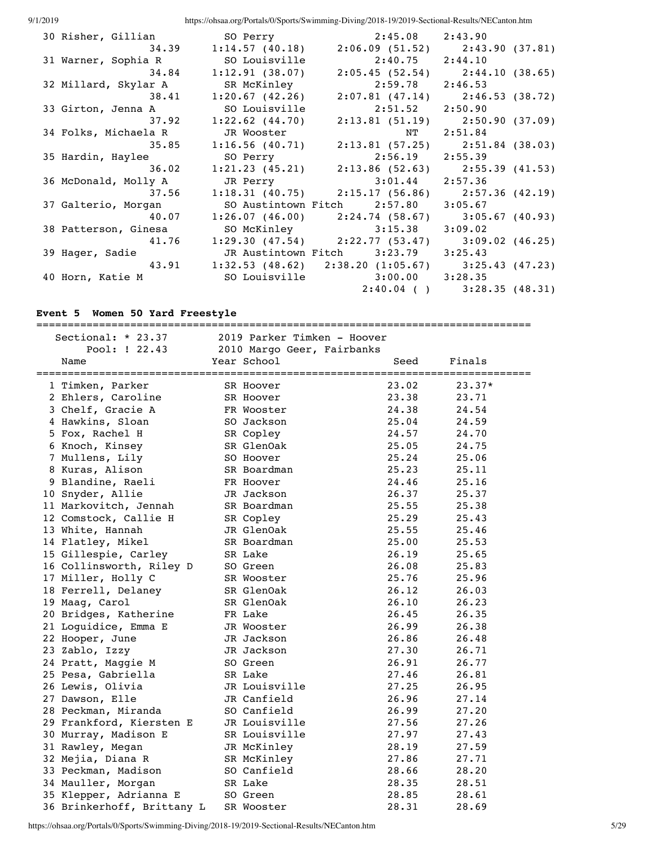| 30 Risher, Gillian                             | SO Perry              | $2:45.08$ $2:43.90$                                     |                                     |
|------------------------------------------------|-----------------------|---------------------------------------------------------|-------------------------------------|
| 34.39                                          | 1:14.57(40.18)        |                                                         | $2:06.09$ (51.52) $2:43.90$ (37.81) |
| 31 Warner, Sophia R                            | SO Louisville         |                                                         | $2:40.75$ $2:44.10$                 |
|                                                | 34.84 1:12.91 (38.07) |                                                         | $2:05.45$ (52.54) $2:44.10$ (38.65) |
| 32 Millard, Skylar A                           | SR McKinley           | $2:59.78$ $2:46.53$                                     |                                     |
| 38.41                                          | $1:20.67$ (42.26)     |                                                         | $2:07.81$ (47.14) $2:46.53$ (38.72) |
| 33 Girton, Jenna A                             | SO Louisville         | $2:51.52$ $2:50.90$                                     |                                     |
| 37.92                                          | $1:22.62$ $(44.70)$   |                                                         | $2:13.81(51.19)$ $2:50.90(37.09)$   |
| 34 Folks, Michaela R                           | JR Wooster            | NT 2:51.84                                              |                                     |
|                                                |                       | 35.85 1:16.56 (40.71) 2:13.81 (57.25) 2:51.84 (38.03)   |                                     |
| 35 Hardin, Haylee                              | SO Perry              | $2:56.19$ $2:55.39$                                     |                                     |
| 36.02                                          |                       | $1:21.23$ (45.21) $2:13.86$ (52.63) $2:55.39$ (41.53)   |                                     |
| 36 McDonald, Molly A                           |                       | JR Perry 3:01.44 2:57.36                                |                                     |
| 37.56                                          |                       | $1:18.31$ (40.75) $2:15.17$ (56.86) $2:57.36$ (42.19)   |                                     |
| 37 Galterio, Morgan                            |                       | SO Austintown Fitch 2:57.80 3:05.67                     |                                     |
| 40.07                                          |                       | $1:26.07$ (46.00) $2:24.74$ (58.67) $3:05.67$ (40.93)   |                                     |
| 38 Patterson, Ginesa                           |                       | SO McKinley 3:15.38                                     | 3:09.02                             |
|                                                |                       | 41.76 1:29.30 (47.54) 2:22.77 (53.47) 3:09.02 (46.25)   |                                     |
| 39 Hager, Sadie                                |                       | JR Austintown Fitch 3:23.79 3:25.43                     |                                     |
|                                                |                       | 43.91 1:32.53 (48.62) 2:38.20 (1:05.67) 3:25.43 (47.23) |                                     |
| 40 Horn, Katie M 50 Louisville 3:00.00 3:28.35 |                       |                                                         |                                     |
|                                                |                       |                                                         | $2:40.04$ ( ) $3:28.35$ (48.31)     |

## **Event 5 Women 50 Yard Freestyle**

| ------------------<br>Sectional: $* 23.37$<br>2019 Parker Timken - Hoover |  |                            |       |        |
|---------------------------------------------------------------------------|--|----------------------------|-------|--------|
| Pool: ! 22.43                                                             |  | 2010 Margo Geer, Fairbanks |       |        |
| Name                                                                      |  | Year School                | Seed  | Finals |
| 1 Timken, Parker                                                          |  | SR Hoover                  | 23.02 | 23.37* |
| 2 Ehlers, Caroline                                                        |  | SR Hoover                  | 23.38 | 23.71  |
| 3 Chelf, Gracie A                                                         |  | FR Wooster                 | 24.38 | 24.54  |
| 4 Hawkins, Sloan                                                          |  | SO Jackson                 | 25.04 | 24.59  |
| 5 Fox, Rachel H                                                           |  | SR Copley                  | 24.57 | 24.70  |
| 6 Knoch, Kinsey                                                           |  | SR GlenOak                 | 25.05 | 24.75  |
| 7 Mullens, Lily                                                           |  | SO Hoover                  | 25.24 | 25.06  |
| 8 Kuras, Alison                                                           |  | SR Boardman                | 25.23 | 25.11  |
| 9 Blandine, Raeli                                                         |  | FR Hoover                  | 24.46 | 25.16  |
| 10 Snyder, Allie                                                          |  | JR Jackson                 | 26.37 | 25.37  |
| 11 Markovitch, Jennah                                                     |  | SR Boardman                | 25.55 | 25.38  |
| 12 Comstock, Callie H                                                     |  | SR Copley                  | 25.29 | 25.43  |
| 13 White, Hannah                                                          |  | JR GlenOak                 | 25.55 | 25.46  |
| 14 Flatley, Mikel                                                         |  | SR Boardman                | 25.00 | 25.53  |
| 15 Gillespie, Carley                                                      |  | SR Lake                    | 26.19 | 25.65  |
| 16 Collinsworth, Riley D                                                  |  | SO Green                   | 26.08 | 25.83  |
| 17 Miller, Holly C                                                        |  | SR Wooster                 | 25.76 | 25.96  |
| 18 Ferrell, Delaney                                                       |  | SR GlenOak                 | 26.12 | 26.03  |
| 19 Maag, Carol                                                            |  | SR GlenOak                 | 26.10 | 26.23  |
| 20 Bridges, Katherine                                                     |  | FR Lake                    | 26.45 | 26.35  |
| 21 Loguidice, Emma E                                                      |  | JR Wooster                 | 26.99 | 26.38  |
| 22 Hooper, June                                                           |  | JR Jackson                 | 26.86 | 26.48  |
| 23 Zablo, Izzy                                                            |  | JR Jackson                 | 27.30 | 26.71  |
| 24 Pratt, Maggie M                                                        |  | SO Green                   | 26.91 | 26.77  |
| 25 Pesa, Gabriella                                                        |  | SR Lake                    | 27.46 | 26.81  |
| 26 Lewis, Olivia                                                          |  | JR Louisville              | 27.25 | 26.95  |
| 27 Dawson, Elle                                                           |  | JR Canfield                | 26.96 | 27.14  |
| 28 Peckman, Miranda                                                       |  | SO Canfield                | 26.99 | 27.20  |
| 29 Frankford, Kiersten E                                                  |  | JR Louisville              | 27.56 | 27.26  |
| 30 Murray, Madison E                                                      |  | SR Louisville              | 27.97 | 27.43  |
| 31 Rawley, Megan                                                          |  | JR McKinley                | 28.19 | 27.59  |
| 32 Mejia, Diana R                                                         |  | SR McKinley                | 27.86 | 27.71  |
| 33 Peckman, Madison                                                       |  | SO Canfield                | 28.66 | 28.20  |
| 34 Mauller, Morgan                                                        |  | SR Lake                    | 28.35 | 28.51  |
| 35 Klepper, Adrianna E                                                    |  | SO Green                   | 28.85 | 28.61  |
| 36 Brinkerhoff, Brittany L                                                |  | SR Wooster                 | 28.31 | 28.69  |

https://ohsaa.org/Portals/0/Sports/Swimming-Diving/2018-19/2019-Sectional-Results/NECanton.htm 5/29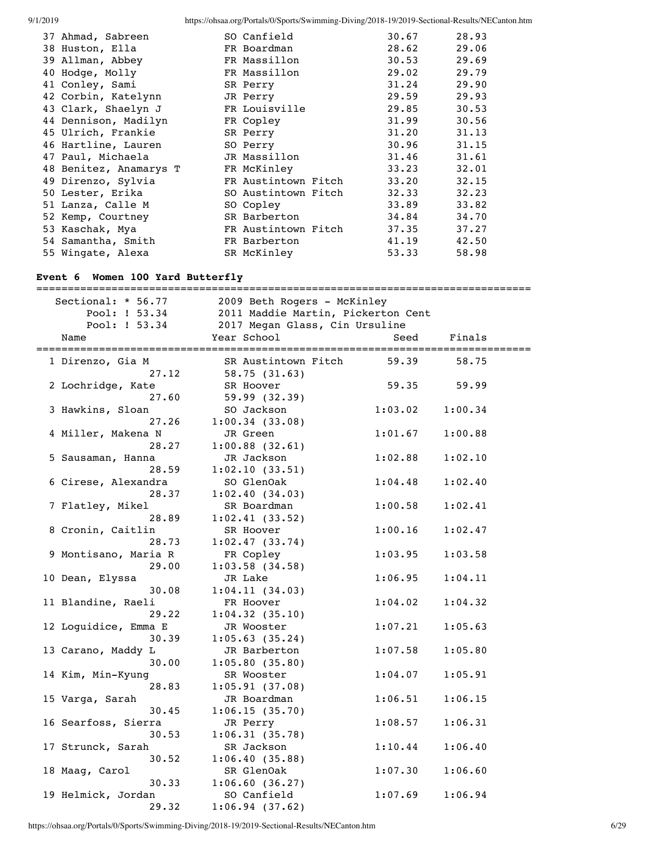| 37 Ahmad, Sabreen      | SO Canfield         | 30.67 | 28.93 |
|------------------------|---------------------|-------|-------|
| 38 Huston, Ella        | FR Boardman         | 28.62 | 29.06 |
| 39 Allman, Abbey       | FR Massillon        | 30.53 | 29.69 |
| 40 Hodge, Molly        | FR Massillon        | 29.02 | 29.79 |
| 41 Conley, Sami        | SR Perry            | 31.24 | 29.90 |
| 42 Corbin, Katelynn    | JR Perry            | 29.59 | 29.93 |
| 43 Clark, Shaelyn J    | FR Louisville       | 29.85 | 30.53 |
| 44 Dennison, Madilyn   | FR Copley           | 31.99 | 30.56 |
| 45 Ulrich, Frankie     | SR Perry            | 31.20 | 31.13 |
| 46 Hartline, Lauren    | SO Perry            | 30.96 | 31.15 |
| 47 Paul, Michaela      | JR Massillon        | 31.46 | 31.61 |
| 48 Benitez, Anamarys T | FR McKinley         | 33.23 | 32.01 |
| 49 Direnzo, Sylvia     | FR Austintown Fitch | 33.20 | 32.15 |
| 50 Lester, Erika       | SO Austintown Fitch | 32.33 | 32.23 |
| 51 Lanza, Calle M      | SO Copley           | 33.89 | 33.82 |
| 52 Kemp, Courtney      | SR Barberton        | 34.84 | 34.70 |
| 53 Kaschak, Mya        | FR Austintown Fitch | 37.35 | 37.27 |
| 54 Samantha, Smith     | FR Barberton        | 41.19 | 42.50 |
| 55 Wingate, Alexa      | SR McKinley         | 53.33 | 58.98 |
|                        |                     |       |       |

## **Event 6 Women 100 Yard Butterfly**

| Sectional: * 56.77<br>Pool: ! 53.34 | 2009 Beth Rogers - McKinley<br>2011 Maddie Martin, Pickerton Cent |         |         |  |
|-------------------------------------|-------------------------------------------------------------------|---------|---------|--|
| Pool: ! 53.34                       | 2017 Megan Glass, Cin Ursuline                                    |         |         |  |
| Name                                | Year School                                                       | Seed    | Finals  |  |
| 1 Direnzo, Gia M<br>27.12           | SR Austintown Fitch<br>58.75(31.63)                               | 59.39   | 58.75   |  |
| 2 Lochridge, Kate<br>27.60          | SR Hoover                                                         | 59.35   | 59.99   |  |
| 3 Hawkins, Sloan                    | 59.99(32.39)<br>SO Jackson                                        | 1:03.02 | 1:00.34 |  |
| 27.26<br>4 Miller, Makena N         | 1:00.34(33.08)<br>JR Green                                        | 1:01.67 | 1:00.88 |  |
| 28.27<br>5 Sausaman, Hanna          | $1:00.88$ (32.61)<br>JR Jackson                                   | 1:02.88 | 1:02.10 |  |
| 28.59<br>6 Cirese, Alexandra        | 1:02.10(33.51)<br>SO GlenOak                                      | 1:04.48 | 1:02.40 |  |
| 28.37<br>7 Flatley, Mikel           | 1:02.40(34.03)<br>SR Boardman                                     | 1:00.58 | 1:02.41 |  |
| 28.89<br>8 Cronin, Caitlin<br>28.73 | 1:02.41(33.52)<br>SR Hoover                                       | 1:00.16 | 1:02.47 |  |
| 9 Montisano, Maria R<br>29.00       | 1:02.47(33.74)<br>FR Copley<br>$1:03.58$ (34.58)                  | 1:03.95 | 1:03.58 |  |
| 10 Dean, Elyssa<br>30.08            | JR Lake<br>1:04.11(34.03)                                         | 1:06.95 | 1:04.11 |  |
| 11 Blandine, Raeli<br>29.22         | FR Hoover<br>1:04.32(35.10)                                       | 1:04.02 | 1:04.32 |  |
| 12 Loguidice, Emma E<br>30.39       | JR Wooster<br>1:05.63(35.24)                                      | 1:07.21 | 1:05.63 |  |
| 13 Carano, Maddy L<br>30.00         | JR Barberton<br>1:05.80(35.80)                                    | 1:07.58 | 1:05.80 |  |
| 14 Kim, Min-Kyung<br>28.83          | SR Wooster<br>1:05.91(37.08)                                      | 1:04.07 | 1:05.91 |  |
| 15 Varga, Sarah<br>30.45            | JR Boardman<br>1:06.15(35.70)                                     | 1:06.51 | 1:06.15 |  |
| 16 Searfoss, Sierra<br>30.53        | JR Perry<br>1:06.31(35.78)                                        | 1:08.57 | 1:06.31 |  |
| 17 Strunck, Sarah<br>30.52          | SR Jackson<br>1:06.40(35.88)                                      | 1:10.44 | 1:06.40 |  |
| 18 Maag, Carol<br>30.33             | SR GlenOak<br>1:06.60(36.27)                                      | 1:07.30 | 1:06.60 |  |
| 19 Helmick, Jordan<br>29.32         | SO Canfield<br>1:06.94(37.62)                                     | 1:07.69 | 1:06.94 |  |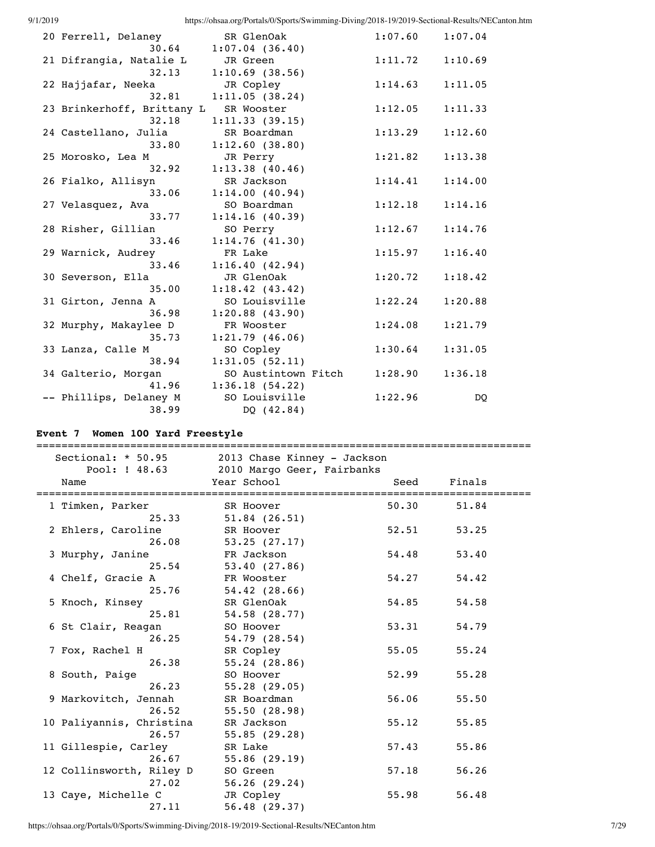| 20 Ferrell, Delaney                   | SR GlenOak          | 1:07.60 | 1:07.04 |
|---------------------------------------|---------------------|---------|---------|
| 30.64                                 | 1:07.04(36.40)      |         |         |
| 21 Difrangia, Natalie L               | JR Green            | 1:11.72 | 1:10.69 |
| 32.13                                 | $1:10.69$ (38.56)   |         |         |
| 22 Hajjafar, Neeka                    | JR Copley           | 1:14.63 | 1:11.05 |
| 32.81                                 | 1:11.05(38.24)      |         |         |
| 23 Brinkerhoff, Brittany L SR Wooster |                     | 1:12.05 | 1:11.33 |
| 32.18                                 | 1:11.33(39.15)      |         |         |
| 24 Castellano, Julia                  | SR Boardman         | 1:13.29 | 1:12.60 |
| 33.80                                 | 1:12.60(38.80)      |         |         |
| 25 Morosko, Lea M                     | JR Perry            | 1:21.82 | 1:13.38 |
| 32.92                                 | 1:13.38(40.46)      |         |         |
| 26 Fialko, Allisyn                    | SR Jackson          | 1:14.41 | 1:14.00 |
| 33.06                                 | 1:14.00(40.94)      |         |         |
| 27 Velasquez, Ava                     | SO Boardman         | 1:12.18 | 1:14.16 |
| 33.77                                 | 1:14.16(40.39)      |         |         |
| 28 Risher, Gillian                    | SO Perry            | 1:12.67 | 1:14.76 |
| 33.46                                 | 1:14.76(41.30)      |         |         |
| 29 Warnick, Audrey                    | FR Lake             | 1:15.97 | 1:16.40 |
| 33.46                                 | 1:16.40(42.94)      |         |         |
| 30 Severson, Ella                     | JR GlenOak          | 1:20.72 | 1:18.42 |
| 35.00                                 | 1:18.42(43.42)      |         |         |
| 31 Girton, Jenna A                    | SO Louisville       | 1:22.24 | 1:20.88 |
| 36.98                                 | $1:20.88$ $(43.90)$ |         |         |
| 32 Murphy, Makaylee D                 | FR Wooster          | 1:24.08 | 1:21.79 |
| 35.73                                 | 1:21.79(46.06)      |         |         |
| 33 Lanza, Calle M                     | SO Copley           | 1:30.64 | 1:31.05 |
| 38.94                                 | 1:31.05(52.11)      |         |         |
| 34 Galterio, Morgan                   | SO Austintown Fitch | 1:28.90 | 1:36.18 |
| 41.96                                 | 1:36.18(54.22)      |         |         |
| -- Phillips, Delaney M                | SO Louisville       | 1:22.96 | DQ      |
| 38.99                                 | DQ (42.84)          |         |         |
|                                       |                     |         |         |

## **Event 7 Women 100 Yard Freestyle**

| Sectional: * 50.95       | 2013 Chase Kinney - Jackson               |       |        |
|--------------------------|-------------------------------------------|-------|--------|
| Pool: ! 48.63<br>Name    | 2010 Margo Geer, Fairbanks<br>Year School | Seed  | Finals |
| 1 Timken, Parker         | SR Hoover                                 | 50.30 | 51.84  |
| 25.33                    | $51.84$ (26.51)                           |       |        |
| 2 Ehlers, Caroline       | SR Hoover                                 | 52.51 | 53.25  |
| 26.08                    | 53.25(27.17)                              |       |        |
| 3 Murphy, Janine         | FR Jackson                                | 54.48 | 53.40  |
| 25.54                    | 53.40(27.86)                              |       |        |
| 4 Chelf, Gracie A        | FR Wooster                                | 54.27 | 54.42  |
| 25.76                    | 54.42(28.66)                              |       |        |
| 5 Knoch, Kinsey          | SR GlenOak                                | 54.85 | 54.58  |
| 25.81                    | 54.58 (28.77)                             |       |        |
| 6 St Clair, Reagan       | SO Hoover                                 | 53.31 | 54.79  |
| 26.25                    | 54.79(28.54)                              |       |        |
| 7 Fox, Rachel H          | SR Copley                                 | 55.05 | 55.24  |
| 26.38                    | 55.24(28.86)                              |       |        |
| 8 South, Paige           | SO Hoover                                 | 52.99 | 55.28  |
| 26.23                    | 55.28(29.05)                              |       |        |
| 9 Markovitch, Jennah     | SR Boardman                               | 56.06 | 55.50  |
| 26.52                    | 55.50(28.98)                              |       |        |
| 10 Paliyannis, Christina | SR Jackson                                | 55.12 | 55.85  |
| 26.57                    | 55.85(29.28)                              |       |        |
| 11 Gillespie, Carley     | SR Lake                                   | 57.43 | 55.86  |
| 26.67                    | 55.86(29.19)                              |       |        |
| 12 Collinsworth, Riley D | SO Green                                  | 57.18 | 56.26  |
| 27.02                    | 56.26(29.24)                              |       |        |
| 13 Caye, Michelle C      | JR Copley                                 | 55.98 | 56.48  |
| 27.11                    | 56.48(29.37)                              |       |        |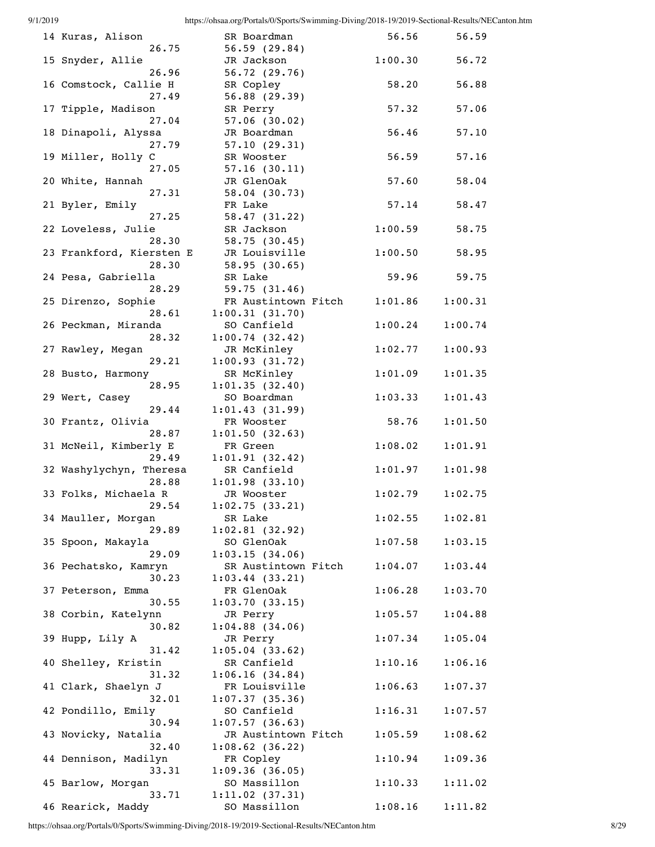| 9/1/2019 |                                   | https://ohsaa.org/Portals/0/Sports/Swimming-Diving/2018-19/2019-Sectional-Results/NECanton.htm |         |         |
|----------|-----------------------------------|------------------------------------------------------------------------------------------------|---------|---------|
|          | 14 Kuras, Alison<br>26.75         | SR Boardman<br>56.59(29.84)                                                                    | 56.56   | 56.59   |
|          | 15 Snyder, Allie<br>26.96         | JR Jackson<br>56.72(29.76)                                                                     | 1:00.30 | 56.72   |
|          | 16 Comstock, Callie H<br>27.49    | SR Copley<br>56.88(29.39)                                                                      | 58.20   | 56.88   |
|          | 17 Tipple, Madison<br>27.04       | SR Perry<br>$57.06$ (30.02)                                                                    | 57.32   | 57.06   |
|          | 18 Dinapoli, Alyssa<br>27.79      | JR Boardman<br>57.10(29.31)                                                                    | 56.46   | 57.10   |
|          | 19 Miller, Holly C<br>27.05       | SR Wooster<br>57.16(30.11)                                                                     | 56.59   | 57.16   |
|          | 20 White, Hannah<br>27.31         | JR GlenOak<br>58.04(30.73)                                                                     | 57.60   | 58.04   |
|          | 21 Byler, Emily<br>27.25          | FR Lake<br>58.47(31.22)                                                                        | 57.14   | 58.47   |
|          | 22 Loveless, Julie<br>28.30       | SR Jackson<br>58.75(30.45)                                                                     | 1:00.59 | 58.75   |
|          | 23 Frankford, Kiersten E<br>28.30 | JR Louisville<br>58.95(30.65)                                                                  | 1:00.50 | 58.95   |
|          | 24 Pesa, Gabriella<br>28.29       | SR Lake<br>59.75 $(31.46)$                                                                     | 59.96   | 59.75   |
|          | 25 Direnzo, Sophie<br>28.61       | FR Austintown Fitch<br>1:00.31(31.70)                                                          | 1:01.86 | 1:00.31 |
|          | 26 Peckman, Miranda<br>28.32      | SO Canfield<br>1:00.74(32.42)                                                                  | 1:00.24 | 1:00.74 |
|          | 27 Rawley, Megan<br>29.21         | JR McKinley<br>1:00.93(31.72)                                                                  | 1:02.77 | 1:00.93 |
|          | 28 Busto, Harmony<br>28.95        | SR McKinley<br>1:01.35(32.40)                                                                  | 1:01.09 | 1:01.35 |
|          | 29 Wert, Casey<br>29.44           | SO Boardman<br>1:01.43(31.99)                                                                  | 1:03.33 | 1:01.43 |
|          | 30 Frantz, Olivia<br>28.87        | FR Wooster<br>1:01.50(32.63)                                                                   | 58.76   | 1:01.50 |
|          | 31 McNeil, Kimberly E<br>29.49    | FR Green<br>1:01.91(32.42)                                                                     | 1:08.02 | 1:01.91 |
|          | 32 Washylychyn, Theresa<br>28.88  | SR Canfield<br>1:01.98(33.10)                                                                  | 1:01.97 | 1:01.98 |
|          | 33 Folks, Michaela R<br>29.54     | JR Wooster<br>1:02.75(33.21)                                                                   | 1:02.79 | 1:02.75 |
|          | 34 Mauller, Morgan<br>29.89       | SR Lake<br>1:02.81(32.92)                                                                      | 1:02.55 | 1:02.81 |
|          | 35 Spoon, Makayla<br>29.09        | SO GlenOak<br>1:03.15(34.06)                                                                   | 1:07.58 | 1:03.15 |
|          | 36 Pechatsko, Kamryn<br>30.23     | SR Austintown Fitch<br>1:03.44(33.21)                                                          | 1:04.07 | 1:03.44 |
|          | 37 Peterson, Emma<br>30.55        | FR GlenOak<br>1:03.70(33.15)                                                                   | 1:06.28 | 1:03.70 |
|          | 38 Corbin, Katelynn<br>30.82      | JR Perry<br>$1:04.88$ $(34.06)$                                                                | 1:05.57 | 1:04.88 |
|          | 39 Hupp, Lily A<br>31.42          | JR Perry<br>1:05.04(33.62)                                                                     | 1:07.34 | 1:05.04 |
|          | 40 Shelley, Kristin<br>31.32      | SR Canfield<br>1:06.16(34.84)                                                                  | 1:10.16 | 1:06.16 |
|          | 41 Clark, Shaelyn J<br>32.01      | FR Louisville<br>1:07.37(35.36)                                                                | 1:06.63 | 1:07.37 |
|          | 42 Pondillo, Emily<br>30.94       | SO Canfield<br>1:07.57(36.63)                                                                  | 1:16.31 | 1:07.57 |
|          | 43 Novicky, Natalia<br>32.40      | JR Austintown Fitch<br>$1:08.62$ (36.22)                                                       | 1:05.59 | 1:08.62 |
|          | 44 Dennison, Madilyn<br>33.31     | FR Copley<br>1:09.36(36.05)                                                                    | 1:10.94 | 1:09.36 |
|          | 45 Barlow, Morgan<br>33.71        | SO Massillon<br>1:11.02(37.31)                                                                 | 1:10.33 | 1:11.02 |
|          | 46 Rearick, Maddy                 | SO Massillon                                                                                   | 1:08.16 | 1:11.82 |

46 Rearick, Maddy SO Massillon 1:08.16 1:11.82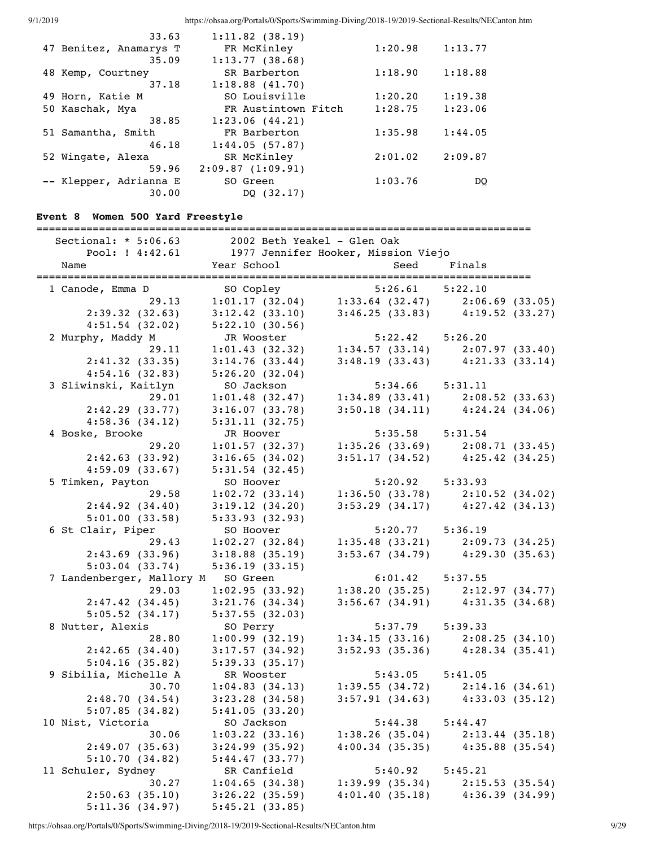| 33.63                  | $1:11.82$ (38.19)   |         |         |
|------------------------|---------------------|---------|---------|
| 47 Benitez, Anamarys T | FR McKinley         | 1:20.98 | 1:13.77 |
| 35.09                  | 1:13.77(38.68)      |         |         |
| 48 Kemp, Courtney      | SR Barberton        | 1:18.90 | 1:18.88 |
| 37.18                  | 1:18.88(41.70)      |         |         |
| 49 Horn, Katie M       | SO Louisville       | 1:20.20 | 1:19.38 |
| 50 Kaschak, Mya        | FR Austintown Fitch | 1:28.75 | 1:23.06 |
| 38.85                  | 1:23.06(44.21)      |         |         |
| 51 Samantha, Smith     | FR Barberton        | 1:35.98 | 1:44.05 |
| 46.18                  | 1:44.05(57.87)      |         |         |
| 52 Wingate, Alexa      | SR McKinley         | 2:01.02 | 2:09.87 |
| 59.96                  | 2:09.87(1:09.91)    |         |         |
| -- Klepper, Adrianna E | SO Green            | 1:03.76 | DO      |
| 30.00                  | DO (32.17)          |         |         |

## **Event 8 Women 500 Yard Freestyle**

===============================================================================

| Sectional: $* 5:06.63$    | 2002 Beth Yeakel - Glen Oak |                                     |                                                                                                                  |
|---------------------------|-----------------------------|-------------------------------------|------------------------------------------------------------------------------------------------------------------|
| Pool: ! 4:42.61           |                             | 1977 Jennifer Hooker, Mission Viejo |                                                                                                                  |
| Name                      | Year School                 | Seed                                | Finals                                                                                                           |
| ========================  |                             |                                     | ___________________________                                                                                      |
| 1 Canode, Emma D          | SO Copley                   | $5:26.61$ $5:22.10$                 |                                                                                                                  |
| 29.13                     |                             |                                     | $1:01.17$ (32.04) $1:33.64$ (32.47) $2:06.69$ (33.05)                                                            |
| 2:39.32(32.63)            | 3:12.42(33.10)              | 3:46.25(33.83)                      | 4:19.52(33.27)                                                                                                   |
| $4:51.54$ (32.02)         | 5:22.10(30.56)              |                                     |                                                                                                                  |
| 2 Murphy, Maddy M         | JR Wooster                  | $5:22.42$ $5:26.20$                 |                                                                                                                  |
| 29.11                     | 1:01.43(32.32)              | 1:34.57(33.14)                      | 2:07.97(33.40)                                                                                                   |
| 2:41.32(33.35)            | 3:14.76(33.44)              | 3:48.19(33.43)                      | 4:21.33(33.14)                                                                                                   |
| 4:54.16(32.83)            | 5:26.20(32.04)              |                                     |                                                                                                                  |
| 3 Sliwinski, Kaitlyn      | SO Jackson                  | 5:34.66                             | 5:31.11                                                                                                          |
| 29.01                     | 1:01.48(32.47)              |                                     | $1:34.89$ (33.41) $2:08.52$ (33.63)                                                                              |
| 2:42.29(33.77)            | 3:16.07(33.78)              |                                     | $3:50.18$ $(34.11)$ $4:24.24$ $(34.06)$                                                                          |
| 4:58.36(34.12)            | 5:31.11(32.75)              |                                     |                                                                                                                  |
| 4 Boske, Brooke           | JR Hoover                   | 5:35.58 5:31.54                     |                                                                                                                  |
| 29.20                     | 1:01.57(32.37)              |                                     | $1:35.26$ (33.69) $2:08.71$ (33.45)                                                                              |
| 2:42.63(33.92)            | 3:16.65(34.02)              |                                     | $3:51.17$ $(34.52)$ $4:25.42$ $(34.25)$                                                                          |
| 4:59.09(33.67)            | $5:31.54$ (32.45)           |                                     |                                                                                                                  |
| 5 Timken, Payton          | SO Hoover                   | 5:20.92                             | 5:33.93                                                                                                          |
| 29.58                     | 1:02.72(33.14)              |                                     | $1:36.50(33.78)$ $2:10.52(34.02)$                                                                                |
| 2:44.92(34.40)            | 3:19.12(34.20)              |                                     | $3:53.29$ (34.17) $4:27.42$ (34.13)                                                                              |
| 5:01.00(33.58)            | 5:33.93(32.93)              |                                     |                                                                                                                  |
| 6 St Clair, Piper         | SO Hoover                   | $5:20.77$ $5:36.19$                 |                                                                                                                  |
| 29.43                     | 1:02.27(32.84)              |                                     | $1:35.48$ (33.21) $2:09.73$ (34.25)                                                                              |
| 2:43.69(33.96)            | $3:18.88$ (35.19)           | 3:53.67(34.79)                      | 4:29.30(35.63)                                                                                                   |
| 5:03.04(33.74)            | 5:36.19(33.15)              |                                     |                                                                                                                  |
| 7 Landenberger, Mallory M | SO Green                    | $6:01.42$ $5:37.55$                 |                                                                                                                  |
| 29.03                     | 1:02.95(33.92)              | 1:38.20(35.25)                      | 2:12.97(34.77)                                                                                                   |
| 2:47.42(34.45)            | 3:21.76(34.34)              |                                     | $3:56.67$ (34.91) $4:31.35$ (34.68)                                                                              |
| 5:05.52(34.17)            | 5:37.55(32.03)              |                                     |                                                                                                                  |
| 8 Nutter, Alexis          | SO Perry                    | $5:37.79$ $5:39.33$                 |                                                                                                                  |
| 28.80                     | 1:00.99(32.19)              |                                     |                                                                                                                  |
| 2:42.65(34.40)            | 3:17.57(34.92)              |                                     | $\begin{array}{llll} 1:34.15 & (33.16) & 2:08.25 & (34.10) \\ 3:52.93 & (35.36) & 4:28.34 & (35.41) \end{array}$ |
| 5:04.16(35.82)            | 5:39.33(35.17)              |                                     |                                                                                                                  |
| 9 Sibilia, Michelle A     | SR Wooster                  | $5:43.05$ $5:41.05$                 |                                                                                                                  |
| 30.70                     | 1:04.83(34.13)              | 1:39.55(34.72)                      | 2:14.16(34.61)                                                                                                   |
| 2:48.70(34.54)            | 3:23.28(34.58)              |                                     | $3:57.91$ (34.63) $4:33.03$ (35.12)                                                                              |
| 5:07.85(34.82)            | 5:41.05(33.20)              |                                     |                                                                                                                  |
|                           |                             |                                     |                                                                                                                  |
| 10 Nist, Victoria         | SO Jackson                  | 5:44.38                             | 5:44.47                                                                                                          |
| 30.06                     | $1:03.22$ (33.16)           | 1:38.26(35.04)                      | 2:13.44(35.18)                                                                                                   |
| 2:49.07(35.63)            | $3:24.99$ (35.92)           | 4:00.34(35.35)                      | $4:35.88$ (35.54)                                                                                                |
| 5:10.70(34.82)            | 5:44.47(33.77)              |                                     |                                                                                                                  |
| 11 Schuler, Sydney        | SR Canfield                 | 5:40.92                             | 5:45.21                                                                                                          |
| 30.27                     | 1:04.65(34.38)              | $1:39.99$ $(35.34)$                 | 2:15.53(35.54)                                                                                                   |
| 2:50.63(35.10)            | $3:26.22$ (35.59)           | 4:01.40(35.18)                      | 4:36.39(34.99)                                                                                                   |
| 5:11.36(34.97)            | 5:45.21(33.85)              |                                     |                                                                                                                  |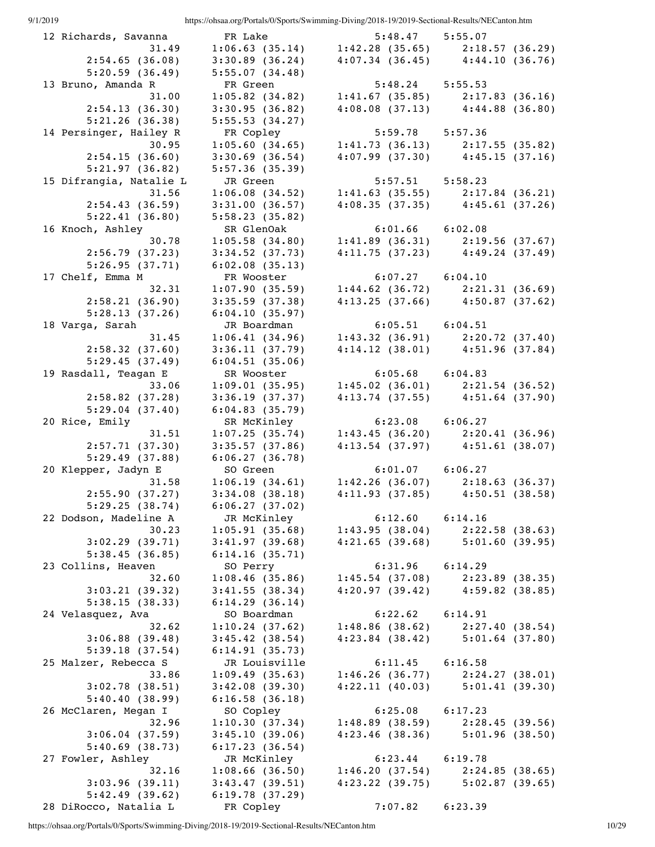| 12 Richards, Savanna    | FR Lake           | $5:48.47$ $5:55.07$ |                                                       |
|-------------------------|-------------------|---------------------|-------------------------------------------------------|
| 31.49                   |                   |                     | $1:06.63$ (35.14) $1:42.28$ (35.65) $2:18.57$ (36.29) |
| 2:54.65(36.08)          | 3:30.89(36.24)    |                     | $4:07.34$ (36.45) $4:44.10$ (36.76)                   |
| 5:20.59(36.49)          | 5:55.07(34.48)    |                     |                                                       |
| 13 Bruno, Amanda R      | FR Green          | $5:48.24$ $5:55.53$ |                                                       |
| 31.00                   | $1:05.82$ (34.82) | 1:41.67(35.85)      | 2:17.83(36.16)                                        |
| 2:54.13(36.30)          | 3:30.95(36.82)    |                     |                                                       |
|                         |                   |                     | $4:08.08$ (37.13) $4:44.88$ (36.80)                   |
| 5:21.26(36.38)          | 5:55.53(34.27)    |                     |                                                       |
| 14 Persinger, Hailey R  | FR Copley         | 5:59.78 5:57.36     |                                                       |
| 30.95                   | 1:05.60(34.65)    |                     | $1:41.73$ (36.13) $2:17.55$ (35.82)                   |
| 2:54.15(36.60)          | $3:30.69$ (36.54) |                     | $4:07.99$ (37.30) $4:45.15$ (37.16)                   |
| 5:21.97(36.82)          | 5:57.36(35.39)    |                     |                                                       |
| 15 Difrangia, Natalie L | JR Green          | $5:57.51$ $5:58.23$ |                                                       |
| 31.56                   | 1:06.08(34.52)    |                     | $1:41.63$ (35.55) $2:17.84$ (36.21)                   |
| 2:54.43(36.59)          | 3:31.00(36.57)    |                     | $4:08.35$ (37.35) $4:45.61$ (37.26)                   |
| 5:22.41(36.80)          | 5:58.23(35.82)    |                     |                                                       |
| 16 Knoch, Ashley        | SR GlenOak        | $6:01.66$ $6:02.08$ |                                                       |
| 30.78                   | 1:05.58(34.80)    |                     | $1:41.89$ (36.31) $2:19.56$ (37.67)                   |
|                         |                   |                     |                                                       |
| 2:56.79(37.23)          | $3:34.52$ (37.73) |                     | $4:11.75(37.23)$ $4:49.24(37.49)$                     |
| 5:26.95(37.71)          | 6:02.08(35.13)    |                     |                                                       |
| 17 Chelf, Emma M        | FR Wooster        | $6:07.27$ $6:04.10$ |                                                       |
| 32.31                   | 1:07.90(35.59)    | $1:44.62$ (36.72)   | 2:21.31(36.69)                                        |
| 2:58.21(36.90)          | 3:35.59(37.38)    |                     | $4:13.25$ (37.66) $4:50.87$ (37.62)                   |
| 5:28.13(37.26)          | 6:04.10(35.97)    |                     |                                                       |
| 18 Varga, Sarah         | JR Boardman       | $6:05.51$ $6:04.51$ |                                                       |
| 31.45                   | 1:06.41(34.96)    |                     | $1:43.32$ (36.91) $2:20.72$ (37.40)                   |
| 2:58.32(37.60)          | 3:36.11(37.79)    |                     | $4:14.12$ (38.01) $4:51.96$ (37.84)                   |
| 5:29.45(37.49)          | 6:04.51(35.06)    |                     |                                                       |
| 19 Rasdall, Teagan E    | SR Wooster        | $6:05.68$ $6:04.83$ |                                                       |
| 33.06                   |                   |                     |                                                       |
|                         | 1:09.01(35.95)    |                     | $1:45.02$ (36.01) $2:21.54$ (36.52)                   |
| 2:58.82(37.28)          | 3:36.19(37.37)    |                     | $4:13.74$ (37.55) $4:51.64$ (37.90)                   |
| 5:29.04(37.40)          | 6:04.83(35.79)    |                     |                                                       |
| 20 Rice, Emily          | SR McKinley       | $6:23.08$ $6:06.27$ |                                                       |
| 31.51                   | 1:07.25(35.74)    |                     | $1:43.45$ (36.20) $2:20.41$ (36.96)                   |
| 2:57.71(37.30)          | 3:35.57(37.86)    |                     | $4:13.54$ (37.97) $4:51.61$ (38.07)                   |
| 5:29.49(37.88)          | 6:06.27(36.78)    |                     |                                                       |
| 20 Klepper, Jadyn E     | SO Green          | $6:01.07$ $6:06.27$ |                                                       |
| 31.58                   | 1:06.19(34.61)    |                     | $1:42.26$ (36.07) $2:18.63$ (36.37)                   |
| 2:55.90(37.27)          | 3:34.08(38.18)    | 4:11.93(37.85)      | 4:50.51(38.58)                                        |
| 5:29.25(38.74)          | 6:06.27(37.02)    |                     |                                                       |
| 22 Dodson, Madeline A   | JR McKinley       | 6:12.60             | 6:14.16                                               |
| 30.23                   | 1:05.91(35.68)    | 1:43.95(38.04)      | 2:22.58(38.63)                                        |
|                         |                   |                     |                                                       |
| 3:02.29(39.71)          | 3:41.97(39.68)    | 4:21.65(39.68)      | 5:01.60(39.95)                                        |
| 5:38.45(36.85)          | 6:14.16(35.71)    |                     |                                                       |
| 23 Collins, Heaven      | SO Perry          | 6:31.96             | 6:14.29                                               |
| 32.60                   | 1:08.46(35.86)    | 1:45.54(37.08)      | $2:23.89$ (38.35)                                     |
| 3:03.21(39.32)          | 3:41.55(38.34)    | 4:20.97(39.42)      | $4:59.82$ (38.85)                                     |
| 5:38.15(38.33)          | 6:14.29(36.14)    |                     |                                                       |
| 24 Velasquez, Ava       | SO Boardman       | $6:22.62$ $6:14.91$ |                                                       |
| 32.62                   | 1:10.24(37.62)    | 1:48.86(38.62)      | 2:27.40(38.54)                                        |
| 3:06.88(39.48)          | $3:45.42$ (38.54) | 4:23.84(38.42)      | $5:01.64$ (37.80)                                     |
| 5:39.18(37.54)          | 6:14.91(35.73)    |                     |                                                       |
| 25 Malzer, Rebecca S    | JR Louisville     | 6:11.45             | 6:16.58                                               |
| 33.86                   | 1:09.49(35.63)    | 1:46.26(36.77)      | 2:24.27(38.01)                                        |
|                         |                   |                     |                                                       |
| 3:02.78(38.51)          | 3:42.08(39.30)    | 4:22.11(40.03)      | 5:01.41(39.30)                                        |
| 5:40.40(38.99)          | 6:16.58(36.18)    |                     |                                                       |
| 26 McClaren, Megan I    | SO Copley         | 6:25.08             | 6:17.23                                               |
| 32.96                   | 1:10.30(37.34)    | 1:48.89(38.59)      | 2:28.45(39.56)                                        |
| $3:06.04$ (37.59)       | 3:45.10(39.06)    | 4:23.46(38.36)      | 5:01.96(38.50)                                        |
| 5:40.69(38.73)          | 6:17.23(36.54)    |                     |                                                       |
| 27 Fowler, Ashley       | JR McKinley       | 6:23.44             | 6:19.78                                               |
| 32.16                   | $1:08.66$ (36.50) | 1:46.20(37.54)      | 2:24.85(38.65)                                        |
| 3:03.96(39.11)          | 3:43.47(39.51)    | 4:23.22(39.75)      | 5:02.87(39.65)                                        |
| 5:42.49(39.62)          | 6:19.78(37.29)    |                     |                                                       |
| 28 DiRocco, Natalia L   | FR Copley         | 7:07.82             | 6:23.39                                               |
|                         |                   |                     |                                                       |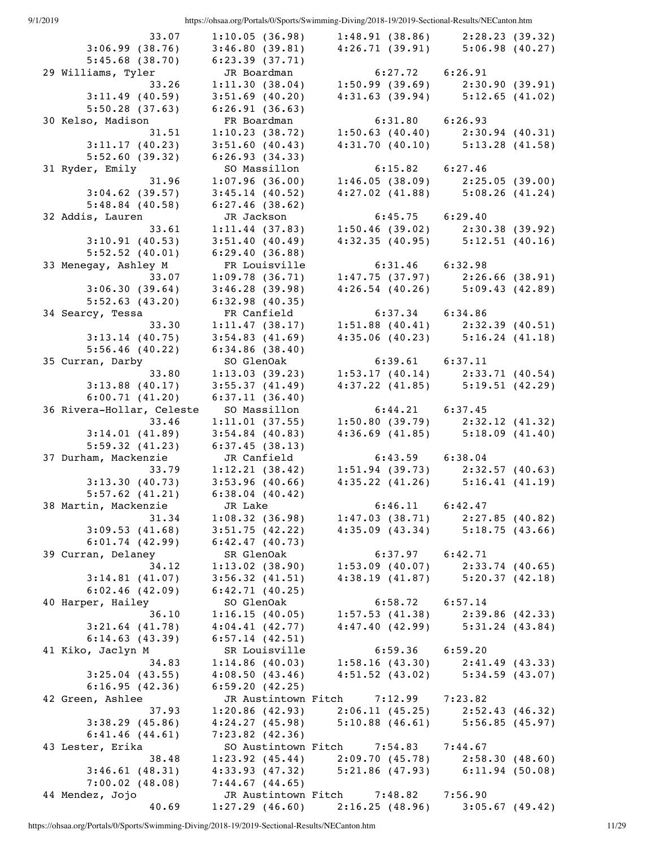| 33.07                     | 1:10.05(36.98)               | 1:48.91(38.86)                                    | 2:28.23(39.32)    |  |
|---------------------------|------------------------------|---------------------------------------------------|-------------------|--|
| 3:06.99(38.76)            | 3:46.80(39.81)               | 4:26.71(39.91)                                    | 5:06.98(40.27)    |  |
| 5:45.68(38.70)            | 6:23.39(37.71)               |                                                   |                   |  |
| 29 Williams, Tyler        | JR Boardman                  | $6:27.72$ $6:26.91$                               |                   |  |
| 33.26                     | 1:11.30(38.04)               | 1:50.99(39.69)                                    | 2:30.90(39.91)    |  |
| 3:11.49(40.59)            | $3:51.69$ (40.20)            | $4:31.63$ (39.94) $5:12.65$ (41.02)               |                   |  |
| 5:50.28(37.63)            | 6:26.91(36.63)               |                                                   |                   |  |
| 30 Kelso, Madison         | FR Boardman                  | $6:31.80$ $6:26.93$                               |                   |  |
|                           |                              |                                                   |                   |  |
| 31.51                     | 1:10.23(38.72)               | 1:50.63 (40.40) 2:30.94 (40.31)                   |                   |  |
| 3:11.17(40.23)            | 3:51.60(40.43)               | $4:31.70$ (40.10) $5:13.28$ (41.58)               |                   |  |
| 5:52.60(39.32)            | 6:26.93(34.33)               |                                                   |                   |  |
| 31 Ryder, Emily           | SO Massillon                 | $6:15.82$ $6:27.46$                               |                   |  |
| 31.96                     | 1:07.96(36.00)               | $1:46.05(38.09)$ $2:25.05(39.00)$                 |                   |  |
| $3:04.62$ (39.57)         | $3:45.14$ (40.52)            | $4:27.02$ (41.88) $5:08.26$ (41.24)               |                   |  |
| $5:48.84$ (40.58)         | 6:27.46(38.62)               |                                                   |                   |  |
| 32 Addis, Lauren          | JR Jackson                   | $6:45.75$ $6:29.40$                               |                   |  |
| 33.61                     | $1:11.44$ (37.83)            | $1:50.46$ (39.02) $2:30.38$ (39.92)               |                   |  |
| 3:10.91(40.53)            | 3:51.40(40.49)               | $4:32.35$ (40.95) $5:12.51$ (40.16)               |                   |  |
| 5:52.52(40.01)            | 6:29.40(36.88)               |                                                   |                   |  |
| 33 Menegay, Ashley M      | FR Louisville                | $6:31.46$ $6:32.98$                               |                   |  |
| 33.07                     | 1:09.78(36.71)               | $1:47.75$ (37.97) $2:26.66$ (38.91)               |                   |  |
| 3:06.30(39.64)            | 3:46.28(39.98)               | $4:26.54$ (40.26) $5:09.43$ (42.89)               |                   |  |
| 5:52.63(43.20)            | 6:32.98(40.35)               |                                                   |                   |  |
| 34 Searcy, Tessa          | FR Canfield                  | $6:37.34$ $6:34.86$                               |                   |  |
|                           |                              |                                                   |                   |  |
| 33.30                     | 1:11.47(38.17)               | $1:51.88$ (40.41) 2:32.39 (40.51)                 |                   |  |
| $3:13.14$ (40.75)         | 3:54.83(41.69)               | $4:35.06$ (40.23) $5:16.24$ (41.18)               |                   |  |
| 5:56.46(40.22)            | 6:34.86(38.40)               |                                                   |                   |  |
| 35 Curran, Darby          | SO GlenOak                   | $6:39.61$ $6:37.11$                               |                   |  |
| 33.80                     | 1:13.03(39.23)               | $1:53.17$ (40.14) $2:33.71$ (40.54)               |                   |  |
| $3:13.88$ (40.17)         | 3:55.37(41.49)               | $4:37.22$ (41.85) $5:19.51$ (42.29)               |                   |  |
| 6:00.71(41.20)            | 6:37.11(36.40)               |                                                   |                   |  |
| 36 Rivera-Hollar, Celeste | SO Massillon                 | $6:44.21$ $6:37.45$                               |                   |  |
| 33.46                     | 1:11.01(37.55)               | $1:50.80(39.79)$ $2:32.12(41.32)$                 |                   |  |
| 3:14.01(41.89)            | $3:54.84$ (40.83)            | $4:36.69$ (41.85) $5:18.09$ (41.40)               |                   |  |
| 5:59.32(41.23)            | 6:37.45(38.13)               |                                                   |                   |  |
| 37 Durham, Mackenzie      | JR Canfield                  | $6:43.59$ $6:38.04$                               |                   |  |
| 33.79                     | 1:12.21(38.42)               | 1:51.94 (39.73) 2:32.57 (40.63)                   |                   |  |
| 3:13.30(40.73)            | 3:53.96(40.66)               | $4:35.22$ (41.26) $5:16.41$ (41.19)               |                   |  |
| 5:57.62(41.21)            | $6:38.04$ (40.42)            |                                                   |                   |  |
| 38 Martin, Mackenzie      | JR Lake                      | 6:46.11                                           | 6:42.47           |  |
| 31.34                     | 1:08.32(36.98)               | $1:47.03$ (38.71) $2:27.85$ (40.82)               |                   |  |
| 3:09.53(41.68)            | 3:51.75(42.22)               | $4:35.09$ (43.34) $5:18.75$ (43.66)               |                   |  |
|                           |                              |                                                   |                   |  |
| 6:01.74(42.99)            | 6:42.47(40.73)<br>SR GlenOak |                                                   |                   |  |
| 39 Curran, Delaney        |                              | $6:37.97$ $6:42.71$                               |                   |  |
| 34.12                     |                              | 1:13.02 (38.90) 1:53.09 (40.07) 2:33.74 (40.65)   |                   |  |
| 3:14.81(41.07)            | 3:56.32(41.51)               | $4:38.19$ $(41.87)$ $5:20.37$ $(42.18)$           |                   |  |
| 6:02.46(42.09)            | 6:42.71(40.25)               |                                                   |                   |  |
| 40 Harper, Hailey         | SO GlenOak                   | $6:58.72$ $6:57.14$                               |                   |  |
| 36.10                     | 1:16.15(40.05)               | $1:57.53$ (41.38) $2:39.86$ (42.33)               |                   |  |
| $3:21.64$ (41.78)         | 4:04.41(42.77)               | $4:47.40$ (42.99) $5:31.24$ (43.84)               |                   |  |
| 6:14.63(43.39)            | $6:57.14$ (42.51)            |                                                   |                   |  |
| 41 Kiko, Jaclyn M         | SR Louisville                | $6:59.36$ $6:59.20$                               |                   |  |
| 34.83                     |                              | 1:14.86 (40.03) 1:58.16 (43.30) 2:41.49 (43.33)   |                   |  |
| 3:25.04(43.55)            | 4:08.50(43.46)               | $4:51.52$ (43.02) $5:34.59$ (43.07)               |                   |  |
| 6:16.95(42.36)            | 6:59.20(42.25)               |                                                   |                   |  |
| 42 Green, Ashlee          |                              | JR Austintown Fitch 7:12.99 7:23.82               |                   |  |
| 37.93                     | 1:20.86(42.93)               | $2:06.11(45.25)$ $2:52.43(46.32)$                 |                   |  |
| 3:38.29(45.86)            |                              | $4:24.27$ (45.98) 5:10.88 (46.61) 5:56.85 (45.97) |                   |  |
| 6:41.46(44.61)            | $7:23.82$ (42.36)            |                                                   |                   |  |
| 43 Lester, Erika          |                              | SO Austintown Fitch 7:54.83 7:44.67               |                   |  |
| 38.48                     |                              | 1:23.92 (45.44) 2:09.70 (45.78) 2:58.30 (48.60)   |                   |  |
| 3:46.61(48.31)            |                              | 4:33.93 (47.32) 5:21.86 (47.93) 6:11.94 (50.08)   |                   |  |
| $7:00.02$ $(48.08)$       | 7:44.67(44.65)               |                                                   |                   |  |
|                           |                              | JR Austintown Fitch 7:48.82 7:56.90               |                   |  |
| 44 Mendez, Jojo<br>40.69  |                              | $1:27.29$ (46.60) $2:16.25$ (48.96)               | $3:05.67$ (49.42) |  |
|                           |                              |                                                   |                   |  |

https://ohsaa.org/Portals/0/Sports/Swimming-Diving/2018-19/2019-Sectional-Results/NECanton.htm 11/29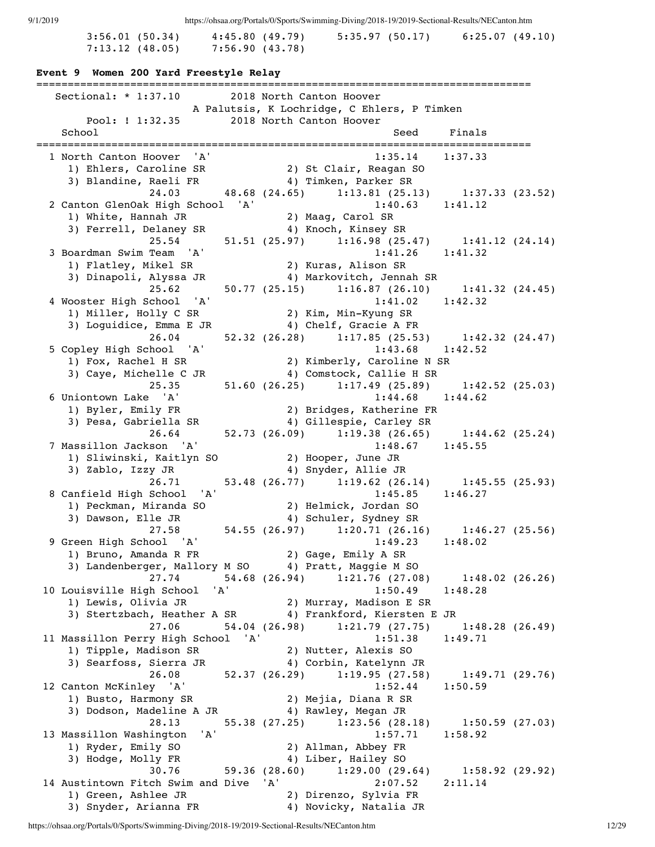| 3:56.01(50.34)    | 4:45.80(49.79)  | 5:35.97(50.17) | 6:25.07(49.10) |
|-------------------|-----------------|----------------|----------------|
| $7:13.12$ (48.05) | 7:56.90 (43.78) |                |                |

### **Event 9 Women 200 Yard Freestyle Relay**

=============================================================================== Sectional: \* 1:37.10 2018 North Canton Hoover A Palutsis, K Lochridge, C Ehlers, P Timken Pool: ! 1:32.35 2018 North Canton Hoover School School Seed Finals =============================================================================== 1 North Canton Hoover 'A' 1:35.14 1:37.33 1) Ehlers, Caroline SR 2) St Clair, Reagan SO 3) Blandine, Raeli FR 4) Timken, Parker SR 24.03 48.68 (24.65) 1:13.81 (25.13) 1:37.33 (23.52) 2 Canton GlenOak High School 'A' 1:40.63 1:41.12 1) White, Hannah JR 2) Maag, Carol SR 1) whice, hannah on<br>3) Ferrell, Delaney SR 4) Knoch, Kinsey SR 25.54 51.51 (25.97) 1:16.98 (25.47) 1:41.12 (24.14)<br>Team 'A' 1:41.26 1:41.32 3 Boardman Swim Team 'A' 1) Flatley, Mikel SR 2) Kuras, Alison SR 3) Dinapoli, Alyssa JR 4) Markovitch, Jennah SR 25.62 50.77 (25.15) 1:16.87 (26.10) 1:41.32 (24.45) 4 Wooster High School 'A' 1:41.02 1:42.32 1) Miller, Holly C SR 2) Kim, Min-Kyung SR 3) Loguidice, Emma E JR 4) Chelf, Gracie A FR 26.04 52.32 (26.28) 1:17.85 (25.53) 1:42.32 (24.47) 5 Copley High School 'A' 1) Fox, Rachel H SR 2) Kimberly, Caroline N SR 3) Caye, Michelle C JR 4) Comstock, Callie H SR 25.35 51.60 (26.25) 1:17.49 (25.89) 1:42.52 (25.03) 6 Uniontown Lake 'A' 1:44.68 1:44.62 1) Byler, Emily FR<br>
1) Byler, Emily FR<br>
3) Pesa, Gabriella SR<br>
4) Gillespie, Carley SR 3) Pesa, Gabriella SR 4) Gillespie, Carley SR 26.64 52.73 (26.09) 1:19.38 (26.65) 1:44.62 (25.24) 7 Massillon Jackson 'A' 1:48.67 1:45.55 1) Sliwinski, Kaitlyn SO 2) Hooper, June JR<br>2) Zable Jesu JP 3) Zablo, Izzy JR 4) Snyder, Allie JR 26.71 53.48 (26.77) 1:19.62 (26.14) 1:45.55 (25.93) 8 Canfield High School 'A' 1:45.85 1:46.27 anfield High School (مارانة) Helmick, Jordan SO 2) Helmick, 2014<br>2) Peckman, Miranda SO 2) Al Schuler Sydney SR 3) Dawson, Elle JR 4) Schuler, Sydney SR 27.58 54.55 (26.97) 1:20.71 (26.16) 1:46.27 (25.56) 9 Green High School 'A' 1:49.23 1:48.02 1) Bruno, Amanda R FR 2) Gage, Emily A SR 3) Landenberger, Mallory M SO 4) Pratt, Maggie M SO 27.74 54.68 (26.94) 1:21.76 (27.08) 1:48.02 (26.26) 10 Louisville High School 'A' 1:50.49 1:48.28 1) Lewis, Olivia JR 2) Murray, Madison E SR 3) Stertzbach, Heather A SR 4) Frankford, Kiersten E JR 27.06 54.04 (26.98) 1:21.79 (27.75) 1:48.28 (26.49) 11 Massillon Perry High School 'A' 1:51.38 1:49.71 1) Tipple, Madison SR 2) Nutter, Alexis SO 3) Searfoss, Sierra JR 4) Corbin, Katelynn JR 26.08 52.37 (26.29) 1:19.95 (27.58) 1:49.71 (29.76)<br>12 Canton McKinley 'A' 1:52.44 1:50.59 12 Canton McKinley 'A' 1:52.44 1:50.59 1) Busto, Harmony SR 2) Mejia, Diana R SR 3) Dodson, Madeline A JR 4) Rawley, Megan JR 28.13 55.38 (27.25) 1:23.56 (28.18) 1:50.59 (27.03) 13 Massillon Washington 'A' 1:57.71 1:58.92 1) Ryder, Emily SO 2) Allman, Abbey FR 3) Hodge, Molly FR 4) Liber, Hailey SO 30.76 59.36 (28.60) 1:29.00 (29.64) 1:58.92 (29.92) 14 Austintown Fitch Swim and Dive 'A' 2:07.52 2:11.14<br>1) Green, Ashlee JR 2) Direnzo, Sylvia FR 1) Green, Ashlee JR<br>3) Snyder, Arianna FR 4) Novicky, Natalia JR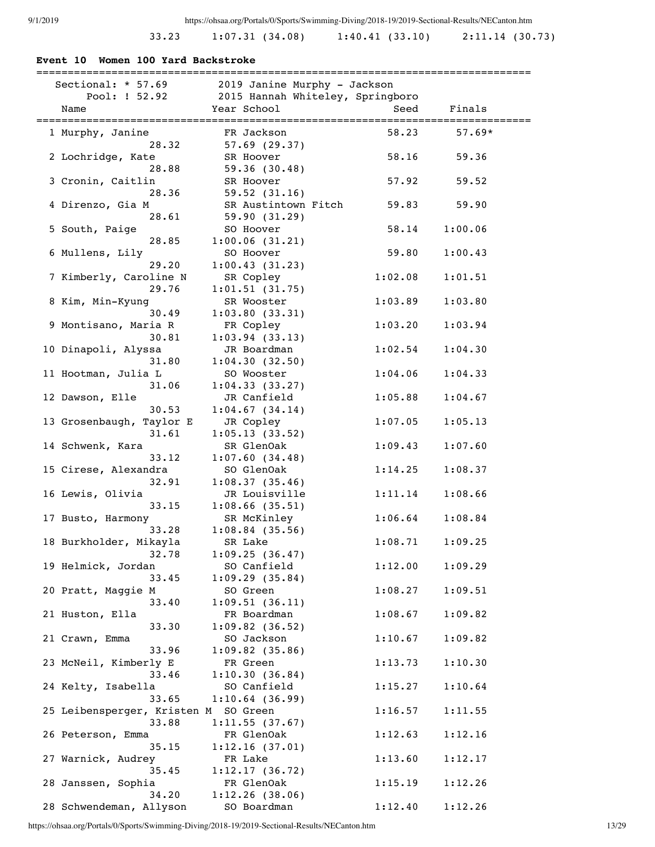# 33.23 1:07.31 (34.08) 1:40.41 (33.10) 2:11.14 (30.73)

| Sectional: $*$ 57.69<br>Pool: ! 52.92 | 2019 Janine Murphy - Jackson<br>2015 Hannah Whiteley, Springboro |         |          |
|---------------------------------------|------------------------------------------------------------------|---------|----------|
| Name                                  | Year School                                                      | Seed    | Finals   |
| 1 Murphy, Janine                      | FR Jackson                                                       | 58.23   | $57.69*$ |
| 28.32                                 | $57.69$ $(29.37)$                                                |         |          |
| 2 Lochridge, Kate                     | SR Hoover                                                        | 58.16   | 59.36    |
| 28.88                                 | 59.36 (30.48)                                                    |         |          |
| 3 Cronin, Caitlin                     | SR Hoover                                                        | 57.92   | 59.52    |
| 28.36                                 | 59.52 (31.16)                                                    |         |          |
| 4 Direnzo, Gia M                      | SR Austintown Fitch                                              | 59.83   | 59.90    |
| 28.61                                 | 59.90 (31.29)                                                    |         |          |
| 5 South, Paige                        | SO Hoover                                                        | 58.14   | 1:00.06  |
| 28.85                                 | 1:00.06(31.21)                                                   |         |          |
| 6 Mullens, Lily                       | SO Hoover                                                        | 59.80   | 1:00.43  |
| 29.20                                 | 1:00.43(31.23)                                                   |         |          |
| 7 Kimberly, Caroline N                | SR Copley                                                        | 1:02.08 | 1:01.51  |
| 29.76                                 | 1:01.51(31.75)                                                   |         |          |
| 8 Kim, Min-Kyung                      | SR Wooster                                                       | 1:03.89 | 1:03.80  |
| 30.49                                 | 1:03.80(33.31)                                                   |         |          |
| 9 Montisano, Maria R                  | FR Copley                                                        | 1:03.20 | 1:03.94  |
| 30.81                                 | 1:03.94(33.13)                                                   |         |          |
| 10 Dinapoli, Alyssa                   | JR Boardman                                                      | 1:02.54 | 1:04.30  |
| 31.80                                 | 1:04.30(32.50)                                                   |         |          |
| 11 Hootman, Julia L                   | SO Wooster                                                       | 1:04.06 | 1:04.33  |
| 31.06                                 | 1:04.33(33.27)                                                   |         |          |
| 12 Dawson, Elle                       | JR Canfield                                                      | 1:05.88 | 1:04.67  |
| 30.53                                 | 1:04.67(34.14)                                                   |         |          |
| 13 Grosenbaugh, Taylor E<br>31.61     | JR Copley                                                        | 1:07.05 | 1:05.13  |
| 14 Schwenk, Kara                      | 1:05.13(33.52)<br>SR GlenOak                                     | 1:09.43 | 1:07.60  |
| 33.12                                 | 1:07.60(34.48)                                                   |         |          |
| 15 Cirese, Alexandra                  | SO GlenOak                                                       | 1:14.25 | 1:08.37  |
| 32.91                                 | 1:08.37(35.46)                                                   |         |          |
| 16 Lewis, Olivia                      | JR Louisville                                                    | 1:11.14 | 1:08.66  |
| 33.15                                 | $1:08.66$ (35.51)                                                |         |          |
| 17 Busto, Harmony                     | SR McKinley                                                      | 1:06.64 | 1:08.84  |
| 33.28                                 | $1:08.84$ (35.56)                                                |         |          |
| 18 Burkholder, Mikayla                | SR Lake                                                          | 1:08.71 | 1:09.25  |
| 32.78                                 | 1:09.25(36.47)                                                   |         |          |
| 19 Helmick, Jordan                    | SO Canfield                                                      | 1:12.00 | 1:09.29  |
| 33.45                                 | 1:09.29(35.84)                                                   |         |          |
| 20 Pratt, Maggie M                    | SO Green                                                         | 1:08.27 | 1:09.51  |
| 33.40                                 | 1:09.51(36.11)                                                   |         |          |
| 21 Huston, Ella                       | FR Boardman                                                      | 1:08.67 | 1:09.82  |
| 33.30                                 | $1:09.82$ (36.52)                                                |         |          |
| 21 Crawn, Emma                        | SO Jackson                                                       | 1:10.67 | 1:09.82  |
| 33.96                                 | $1:09.82$ (35.86)                                                |         |          |
| 23 McNeil, Kimberly E                 | FR Green                                                         | 1:13.73 | 1:10.30  |
| 33.46                                 | 1:10.30(36.84)                                                   |         |          |
| 24 Kelty, Isabella                    | SO Canfield                                                      | 1:15.27 | 1:10.64  |
| 33.65                                 | 1:10.64(36.99)                                                   |         |          |
| 25 Leibensperger, Kristen M SO Green  |                                                                  | 1:16.57 | 1:11.55  |
| 33.88                                 | 1:11.55(37.67)                                                   |         |          |
| 26 Peterson, Emma                     | FR GlenOak                                                       | 1:12.63 | 1:12.16  |

35.15 1:12.16 (37.01)

35.45 1:12.17 (36.72)

27 Warnick, Audrey FR Lake 1:13.60 1:12.17

28 Janssen, Sophia FR GlenOak 1:15.19 1:12.26<br>34.20 1:12.26 (38.06) 34.20 1:12.26 (38.06) 28 Schwendeman, Allyson SO Boardman 1:12.40 1:12.26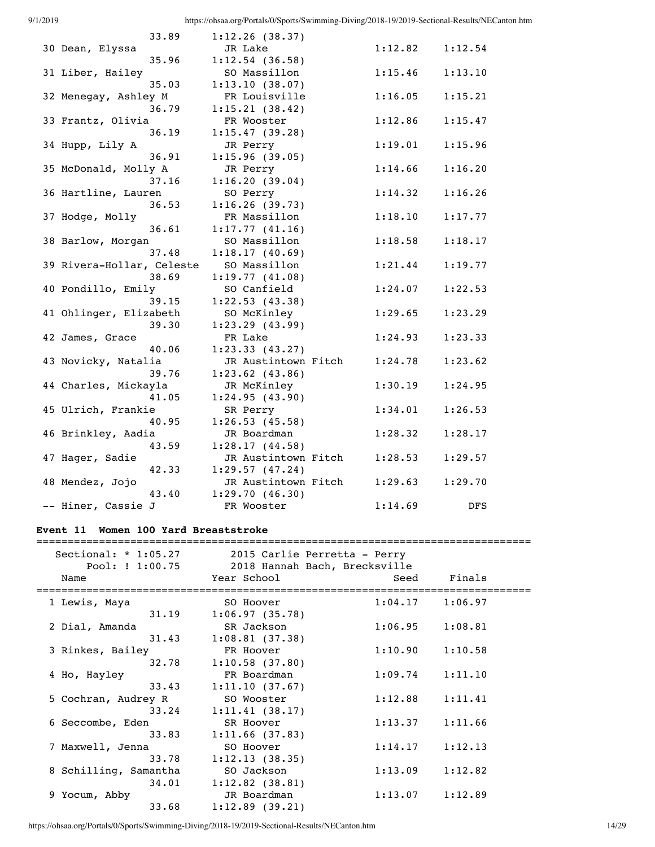| 33.89                     | 1:12.26(38.37)      |         |         |
|---------------------------|---------------------|---------|---------|
| 30 Dean, Elyssa           | JR Lake             | 1:12.82 | 1:12.54 |
| 35.96                     | $1:12.54$ (36.58)   |         |         |
| 31 Liber, Hailey          | SO Massillon        | 1:15.46 | 1:13.10 |
| 35.03                     | 1:13.10(38.07)      |         |         |
| 32 Menegay, Ashley M      | FR Louisville       | 1:16.05 | 1:15.21 |
| 36.79                     | 1:15.21(38.42)      |         |         |
| 33 Frantz, Olivia         | FR Wooster          | 1:12.86 | 1:15.47 |
| 36.19                     | 1:15.47(39.28)      |         |         |
| 34 Hupp, Lily A           | JR Perry            | 1:19.01 | 1:15.96 |
| 36.91                     | 1:15.96(39.05)      |         |         |
| 35 McDonald, Molly A      | JR Perry            | 1:14.66 | 1:16.20 |
| 37.16                     | 1:16.20(39.04)      |         |         |
| 36 Hartline, Lauren       | SO Perry            | 1:14.32 | 1:16.26 |
| 36.53                     | 1:16.26(39.73)      |         |         |
| 37 Hodge, Molly           | FR Massillon        | 1:18.10 | 1:17.77 |
| 36.61                     | 1:17.77(41.16)      |         |         |
| 38 Barlow, Morgan         | SO Massillon        | 1:18.58 | 1:18.17 |
| 37.48                     | 1:18.17(40.69)      |         |         |
| 39 Rivera-Hollar, Celeste | SO Massillon        | 1:21.44 | 1:19.77 |
| 38.69                     | 1:19.77(41.08)      |         |         |
| 40 Pondillo, Emily        | SO Canfield         | 1:24.07 | 1:22.53 |
| 39.15                     | 1:22.53(43.38)      |         |         |
| 41 Ohlinger, Elizabeth    | SO McKinley         | 1:29.65 | 1:23.29 |
| 39.30                     | $1:23.29$ (43.99)   |         |         |
| 42 James, Grace           | FR Lake             | 1:24.93 | 1:23.33 |
| 40.06                     | 1:23.33(43.27)      |         |         |
| 43 Novicky, Natalia       | JR Austintown Fitch | 1:24.78 | 1:23.62 |
| 39.76                     | $1:23.62$ (43.86)   |         |         |
| 44 Charles, Mickayla      | JR McKinley         | 1:30.19 | 1:24.95 |
| 41.05                     | 1:24.95(43.90)      |         |         |
| 45 Ulrich, Frankie        | SR Perry            | 1:34.01 | 1:26.53 |
| 40.95                     | 1:26.53(45.58)      |         |         |
| 46 Brinkley, Aadia        | JR Boardman         | 1:28.32 | 1:28.17 |
| 43.59                     | 1:28.17(44.58)      |         |         |
| 47 Hager, Sadie           | JR Austintown Fitch | 1:28.53 | 1:29.57 |
| 42.33                     | 1:29.57(47.24)      |         |         |
| 48 Mendez, Jojo           | JR Austintown Fitch | 1:29.63 | 1:29.70 |
| 43.40                     | 1:29.70(46.30)      |         |         |
| -- Hiner, Cassie J        | FR Wooster          | 1:14.69 | DFS     |

## **Event 11 Women 100 Yard Breaststroke**

|                                 | Sectional: * 1:05.27 2015 Carlie Perretta - Perry<br>Pool: ! 1:00.75 2018 Hannah Bach, Brecksville |                     |         |
|---------------------------------|----------------------------------------------------------------------------------------------------|---------------------|---------|
| Name<br>======================= | Year School<br>=====================================                                               | Seed                | Finals  |
| 1 Lewis, Maya                   | SO Hoover                                                                                          | $1:04.17$ $1:06.97$ |         |
|                                 | $31.19$ $1:06.97$ (35.78)                                                                          |                     |         |
| 2 Dial, Amanda                  | SR Jackson                                                                                         | 1:06.95             | 1:08.81 |
| 31.43                           | 1:08.81(37.38)                                                                                     |                     |         |
| 3 Rinkes, Bailey                | FR Hoover                                                                                          | 1:10.90             | 1:10.58 |
| 32.78                           | 1:10.58(37.80)                                                                                     |                     |         |
| 4 Ho, Hayley                    | FR Boardman                                                                                        | 1:09.74             | 1:11.10 |
| 33.43                           | 1:11.10(37.67)                                                                                     |                     |         |
| 5 Cochran, Audrey R             | SO Wooster                                                                                         | 1:12.88             | 1:11.41 |
| 33.24                           | 1:11.41(38.17)                                                                                     |                     |         |
| 6 Seccombe, Eden                | SR Hoover                                                                                          | 1:13.37             | 1:11.66 |
| 33.83                           | 1:11.66(37.83)                                                                                     |                     |         |
| 7 Maxwell, Jenna                | SO Hoover                                                                                          | 1:14.17             | 1:12.13 |
| 33.78                           | 1:12.13(38.35)                                                                                     |                     |         |
| 8 Schilling, Samantha           | SO Jackson                                                                                         | 1:13.09             | 1:12.82 |
| 34.01                           | $1:12.82$ (38.81)                                                                                  |                     |         |
| 9 Yocum, Abby                   | JR Boardman                                                                                        | $1:13.07$ $1:12.89$ |         |
| 33.68                           | 1:12.89(39.21)                                                                                     |                     |         |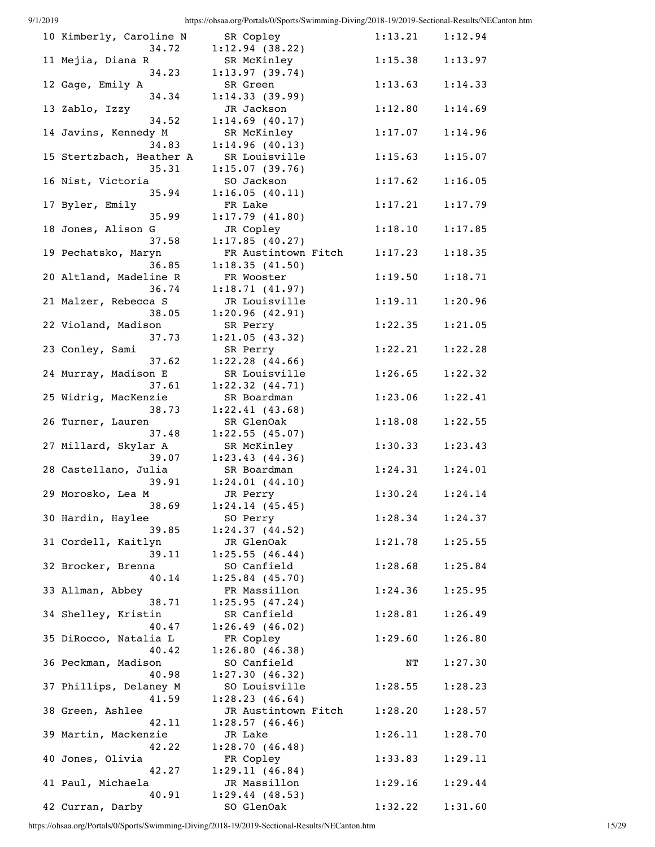| 10 Kimberly, Caroline N           | SR Copley                             | $1:13.21$ $1:12.94$ |         |
|-----------------------------------|---------------------------------------|---------------------|---------|
| 34.72<br>11 Mejia, Diana R        | 1:12.94(38.22)<br>SR McKinley         | $1:15.38$ $1:13.97$ |         |
| 34.23                             | 1:13.97(39.74)                        |                     |         |
| 12 Gage, Emily A<br>34.34         | SR Green<br>1:14.33(39.99)            | 1:13.63             | 1:14.33 |
| 13 Zablo, Izzy                    | JR Jackson                            | 1:12.80             | 1:14.69 |
| 34.52<br>14 Javins, Kennedy M     | $1:14.69$ (40.17)<br>SR McKinley      | 1:17.07             | 1:14.96 |
| 34.83                             | 1:14.96(40.13)                        |                     |         |
| 15 Stertzbach, Heather A<br>35.31 | SR Louisville<br>1:15.07(39.76)       | 1:15.63             | 1:15.07 |
| 16 Nist, Victoria                 | SO Jackson                            | 1:17.62             | 1:16.05 |
| 35.94<br>17 Byler, Emily          | 1:16.05(40.11)<br>FR Lake             | 1:17.21             | 1:17.79 |
| 35.99                             | 1:17.79(41.80)                        |                     |         |
| 18 Jones, Alison G<br>37.58       | JR Copley                             | 1:18.10             | 1:17.85 |
| 19 Pechatsko, Maryn               | 1:17.85(40.27)<br>FR Austintown Fitch | 1:17.23             | 1:18.35 |
| 36.85                             | 1:18.35(41.50)                        |                     |         |
| 20 Altland, Madeline R<br>36.74   | FR Wooster<br>1:18.71(41.97)          | 1:19.50             | 1:18.71 |
| 21 Malzer, Rebecca S              | JR Louisville                         | 1:19.11             | 1:20.96 |
| 38.05<br>22 Violand, Madison      | 1:20.96(42.91)<br>SR Perry            | 1:22.35             | 1:21.05 |
| 37.73                             | 1:21.05(43.32)                        |                     |         |
| 23 Conley, Sami<br>37.62          | SR Perry<br>$1:22.28$ $(44.66)$       | 1:22.21             | 1:22.28 |
| 24 Murray, Madison E              | SR Louisville                         | 1:26.65             | 1:22.32 |
| 37.61                             | $1:22.32$ $(44.71)$                   |                     |         |
| 25 Widrig, MacKenzie<br>38.73     | SR Boardman<br>1:22.41(43.68)         | 1:23.06             | 1:22.41 |
| 26 Turner, Lauren                 | SR GlenOak                            | 1:18.08             | 1:22.55 |
| 37.48<br>27 Millard, Skylar A     | 1:22.55(45.07)<br>SR McKinley         | 1:30.33             | 1:23.43 |
| 39.07                             | 1:23.43(44.36)                        |                     |         |
| 28 Castellano, Julia<br>39.91     | SR Boardman<br>1:24.01(44.10)         | 1:24.31             | 1:24.01 |
| 29 Morosko, Lea M                 | JR Perry                              | $1:30.24$ $1:24.14$ |         |
| 38.69<br>30 Hardin, Haylee        | 1:24.14(45.45)<br>SO Perry            | 1:28.34             | 1:24.37 |
| 39.85                             | 1:24.37(44.52)                        |                     |         |
| 31 Cordell, Kaitlyn<br>39.11      | JR GlenOak<br>1:25.55(46.44)          | 1:21.78             | 1:25.55 |
| 32 Brocker, Brenna                | SO Canfield                           | 1:28.68             | 1:25.84 |
| 40.14                             | $1:25.84$ (45.70)                     |                     |         |
| 33 Allman, Abbey<br>38.71         | FR Massillon<br>1:25.95(47.24)        | 1:24.36             | 1:25.95 |
| 34 Shelley, Kristin               | SR Canfield                           | 1:28.81             | 1:26.49 |
| 40.47<br>35 DiRocco, Natalia L    | 1:26.49(46.02)<br>FR Copley           | 1:29.60             | 1:26.80 |
| 40.42                             | 1:26.80(46.38)                        |                     |         |
| 36 Peckman, Madison<br>40.98      | SO Canfield<br>1:27.30(46.32)         | NΤ                  | 1:27.30 |
| 37 Phillips, Delaney M            | SO Louisville                         | 1:28.55             | 1:28.23 |
| 41.59<br>38 Green, Ashlee         | 1:28.23(46.64)<br>JR Austintown Fitch | 1:28.20             | 1:28.57 |
| 42.11                             | 1:28.57(46.46)                        |                     |         |
| 39 Martin, Mackenzie<br>42.22     | JR Lake<br>1:28.70(46.48)             | 1:26.11             | 1:28.70 |
| 40 Jones, Olivia                  | FR Copley                             | 1:33.83             | 1:29.11 |
| 42.27                             | 1:29.11(46.84)                        |                     |         |
| 41 Paul, Michaela<br>40.91        | JR Massillon<br>1:29.44(48.53)        | 1:29.16             | 1:29.44 |
| 42 Curran, Darby                  | SO GlenOak                            | 1:32.22             | 1:31.60 |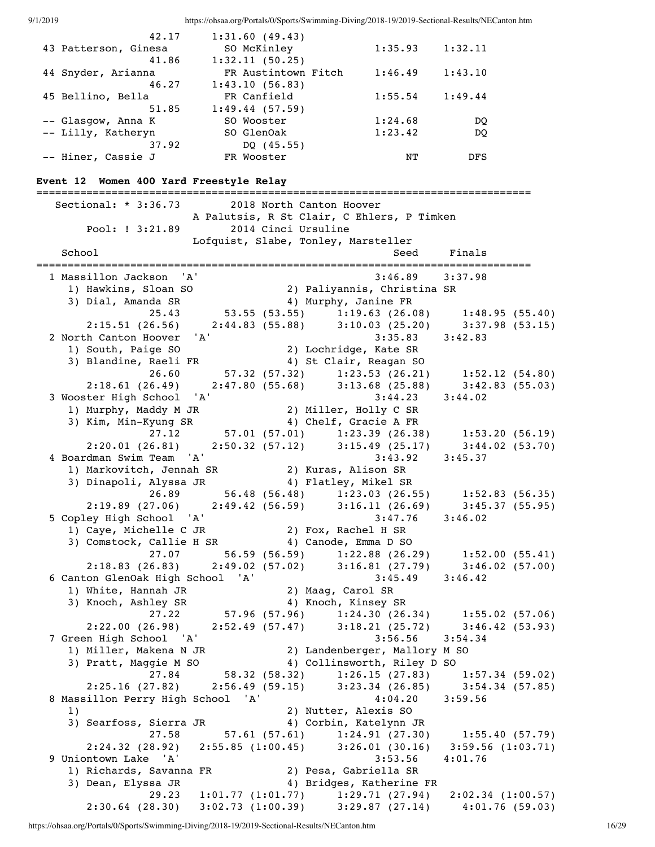| 42.17                | 1:31.60(49.43)      |         |            |
|----------------------|---------------------|---------|------------|
| 43 Patterson, Ginesa | SO McKinley         | 1:35.93 | 1:32.11    |
| 41.86                | 1:32.11(50.25)      |         |            |
| 44 Snyder, Arianna   | FR Austintown Fitch | 1:46.49 | 1:43.10    |
| 46.27                | 1:43.10(56.83)      |         |            |
| 45 Bellino, Bella    | FR Canfield         | 1:55.54 | 1:49.44    |
| 51.85                | 1:49.44(57.59)      |         |            |
| -- Glasgow, Anna K   | SO Wooster          | 1:24.68 | DO         |
| -- Lilly, Katheryn   | SO GlenOak          | 1:23.42 | DO         |
| 37.92                | DQ $(45.55)$        |         |            |
| -- Hiner, Cassie J   | FR Wooster          | NТ      | <b>DFS</b> |

### **Event 12 Women 400 Yard Freestyle Relay**

=============================================================================== Sectional: \* 3:36.73 2018 North Canton Hoover A Palutsis, R St Clair, C Ehlers, P Timken Pool: ! 3:21.89 2014 Cinci Ursuline Lofquist, Slabe, Tonley, Marsteller School School Seed Finals =============================================================================== 1 Massillon Jackson 'A' 3:46.89 3:37.98 1) Hawkins, Sloan SO 2) Paliyannis, Christina SR 3) Dial, Amanda SR 4) Murphy, Janine FR 25.43 53.55 (53.55) 1:19.63 (26.08) 1:48.95 (55.40) 2:15.51 (26.56) 2:44.83 (55.88) 3:10.03 (25.20) 3:37.98 (53.15) 2 North Canton Hoover 'A' 3:35.83 3:42.83 1) South, Paige SO 2) Lochridge, Kate SR 3) Blandine, Raeli FR 4) St Clair, Reagan SO 26.60 57.32 (57.32) 1:23.53 (26.21) 1:52.12 (54.80) 2:18.61 (26.49) 2:47.80 (55.68) 3:13.68 (25.88) 3:42.83 (55.03) 3 Wooster High School 'A' 3:44.23 3:44.02 1) Murphy, Maddy M JR 2) Miller, Holly C SR 3) Kim, Min-Kyung SR 4) Chelf, Gracie A FR 27.12 57.01 (57.01) 1:23.39 (26.38) 1:53.20 (56.19) 2:20.01 (26.81) 2:50.32 (57.12) 3:15.49 (25.17) 3:44.02 (53.70) 4 Boardman Swim Team 'A' 3:43.92 3:45.37 1) Markovitch, Jennah SR 2) Kuras, Alison SR 3) Dinapoli, Alyssa JR 4) Flatley, Mikel SR 26.89 56.48 (56.48) 1:23.03 (26.55) 1:52.83 (56.35) 2:19.89 (27.06) 2:49.42 (56.59) 3:16.11 (26.69) 3:45.37 (55.95) 5 Copley High School 'A' 3:47.76 3:46.02 1) Caye, Michelle C JR 2) Fox, Rachel H SR 3) Comstock, Callie H SR 4) Canode, Emma D SO 27.07 56.59 (56.59) 1:22.88 (26.29) 1:52.00 (55.41) 2:18.83 (26.83) 2:49.02 (57.02) 3:16.81 (27.79) 3:46.02 (57.00) 6 Canton GlenOak High School 'A' 3:45.49 3:46.42 1) White, Hannah JR 2) Maag, Carol SR 3) Knoch, Ashley SR 4) Knoch, Kinsey SR 27.22 57.96 (57.96) 1:24.30 (26.34) 1:55.02 (57.06) 2:22.00 (26.98) 2:52.49 (57.47) 3:18.21 (25.72) 3:46.42 (53.93) 7 Green High School 'A' 3:56.56 3:54.34 1) Miller, Makena N JR 2) Landenberger, Mallory M SO 3) Pratt, Maggie M SO 4) Collinsworth, Riley D SO 27.84 58.32 (58.32) 1:26.15 (27.83) 1:57.34 (59.02) 2:25.16 (27.82) 2:56.49 (59.15) 3:23.34 (26.85) 3:54.34 (57.85) 8 Massillon Perry High School 'A' 4:04.20 3:59.56 1) 2) Nutter, Alexis SO 3) Searfoss, Sierra JR 4) Corbin, Katelynn JR 27.58 57.61 (57.61) 1:24.91 (27.30) 1:55.40 (57.79) 2:24.32 (28.92) 2:55.85 (1:00.45) 3:26.01 (30.16) 3:59.56 (1:03.71) 9 Uniontown Lake 'A' 3:53.56 4:01.76 1) Richards, Savanna FR 2) Pesa, Gabriella SR 3) Dean, Elyssa JR 4) Bridges, Katherine FR 29.23 1:01.77 (1:01.77) 1:29.71 (27.94) 2:02.34 (1:00.57) 2:30.64 (28.30) 3:02.73 (1:00.39) 3:29.87 (27.14) 4:01.76 (59.03)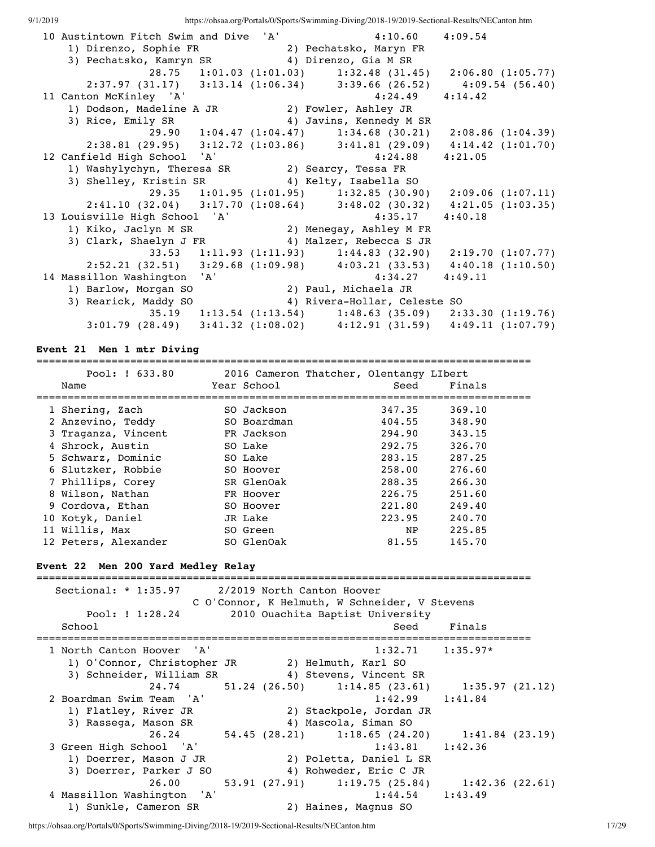| 10 Austintown Fitch Swim and Dive 'A' 4:10.60 4:09.54                                 |  |                                                                             |         |  |
|---------------------------------------------------------------------------------------|--|-----------------------------------------------------------------------------|---------|--|
| 1) Direnzo, Sophie FR 2) Pechatsko, Maryn FR                                          |  |                                                                             |         |  |
| 3) Pechatsko, Kamryn SR (4) Direnzo, Gia M SR                                         |  |                                                                             |         |  |
|                                                                                       |  | 28.75 1:01.03 (1:01.03) 1:32.48 (31.45) 2:06.80 (1:05.77)                   |         |  |
|                                                                                       |  | 2:37.97 (31.17) 3:13.14 (1:06.34) 3:39.66 (26.52) 4:09.54 (56.40)           |         |  |
| 11 Canton McKinley 'A'                                                                |  | $4:24.49$ $4:14.42$                                                         |         |  |
| 1) Dodson, Madeline A JR 2) Fowler, Ashley JR                                         |  |                                                                             |         |  |
| 3) Rice, Emily SR                                                                     |  | 4) Javins, Kennedy M SR                                                     |         |  |
|                                                                                       |  | 29.90 1:04.47 (1:04.47) 1:34.68 (30.21) 2:08.86 (1:04.39)                   |         |  |
|                                                                                       |  | 2:38.81 (29.95) 3:12.72 (1:03.86) 3:41.81 (29.09) 4:14.42 (1:01.70)         |         |  |
| 12 Canfield High School 'A'                                                           |  | 4:24.88                                                                     | 4:21.05 |  |
| 1) Washylychyn, Theresa SR 2) Searcy, Tessa FR                                        |  |                                                                             |         |  |
| 3) Shelley, Kristin SR (4) Kelty, Isabella SO                                         |  |                                                                             |         |  |
|                                                                                       |  | 29.35 1:01.95 (1:01.95) 1:32.85 (30.90) 2:09.06 (1:07.11)                   |         |  |
|                                                                                       |  | 2:41.10 (32.04) 3:17.70 (1:08.64) 3:48.02 (30.32) 4:21.05 (1:03.35)         |         |  |
| 13 Louisville High School 'A' 4:35.17<br>1) Kiko, Jaclyn M SR 2) Menegay, Ashley M FR |  | 4:35.17                                                                     | 4:40.18 |  |
|                                                                                       |  |                                                                             |         |  |
|                                                                                       |  | 3) Clark, Shaelyn J FR 4) Malzer, Rebecca S JR                              |         |  |
|                                                                                       |  | 33.53 1:11.93 (1:11.93) 1:44.83 (32.90) 2:19.70 (1:07.77)                   |         |  |
|                                                                                       |  | 2:52.21 (32.51) 3:29.68 (1:09.98) 4:03.21 (33.53) 4:40.18 (1:10.50)         |         |  |
| 14 Massillon Washington 'A'                                                           |  | 4:34.27                                                                     | 4:49.11 |  |
| 1) Barlow, Morgan SO                                                                  |  | 2) Paul, Michaela JR                                                        |         |  |
| 3) Rearick, Maddy SO                                                                  |  | 4) Rivera-Hollar, Celeste SO                                                |         |  |
|                                                                                       |  | 35.19 1:13.54 (1:13.54) 1:48.63 (35.09) 2:33.30 (1:19.76)                   |         |  |
|                                                                                       |  | $3:01.79$ (28.49) $3:41.32$ (1:08.02) $4:12.91$ (31.59) $4:49.11$ (1:07.79) |         |  |

#### **Event 21 Men 1 mtr Diving**

=============================================================================== Pool: ! 633.80 2016 Cameron Thatcher, Olentangy LIbert Name Year School Seed Finals =============================================================================== 1 Shering, Zach SO Jackson 347.35 369.10 2 Anzevino, Teddy SO Boardman 404.55 348.90 3 Traganza, Vincent FR Jackson 294.90 343.15 4 Shrock, Austin SO Lake 292.75 326.70 5 Schwarz, Dominic SO Lake 283.15 287.25 6 Slutzker, Robbie SO Hoover 258.00 276.60 7 Phillips, Corey SR GlenOak 288.35 266.30 8 Wilson, Nathan FR Hoover 226.75 251.60 9 Cordova, Ethan SO Hoover 221.80 249.40 10 Kotyk, Daniel JR Lake 223.95 240.70 11 Willis, Max 50 Green 50 NP 225.85 12 Peters, Alexander SO GlenOak 81.55 145.70

### **Event 22 Men 200 Yard Medley Relay**

=============================================================================== Sectional: \* 1:35.97 2/2019 North Canton Hoover C O'Connor, K Helmuth, W Schneider, V Stevens Pool: ! 1:28.24 2010 Ouachita Baptist University School School Seed Finals =============================================================================== 1 North Canton Hoover 'A' 1:32.71 1:35.97\* 1) O'Connor, Christopher JR 2) Helmuth, Karl SO 3) Schneider, William SR 4) Stevens, Vincent SR 24.74 51.24 (26.50) 1:14.85 (23.61) 1:35.97 (21.12) 2 Boardman Swim Team 'A' 1:42.99 1:41.84 1) Flatley, River JR 2) Stackpole, Jordan JR 3) Rassega, Mason SR 4) Mascola, Siman SO 26.24 54.45 (28.21) 1:18.65 (24.20) 1:41.84 (23.19) 3 Green High School 'A' 1:43.81 1:42.36 1) Doerrer, Mason J JR 2) Poletta, Daniel L SR 3) Doerrer, Parker J SO 4) Rohweder, Eric C JR 26.00 53.91 (27.91) 1:19.75 (25.84) 1:42.36 (22.61) 4 Massillon Washington 'A' 1:44.54 1:43.49 1) Sunkle, Cameron SR 2) Haines, Magnus SO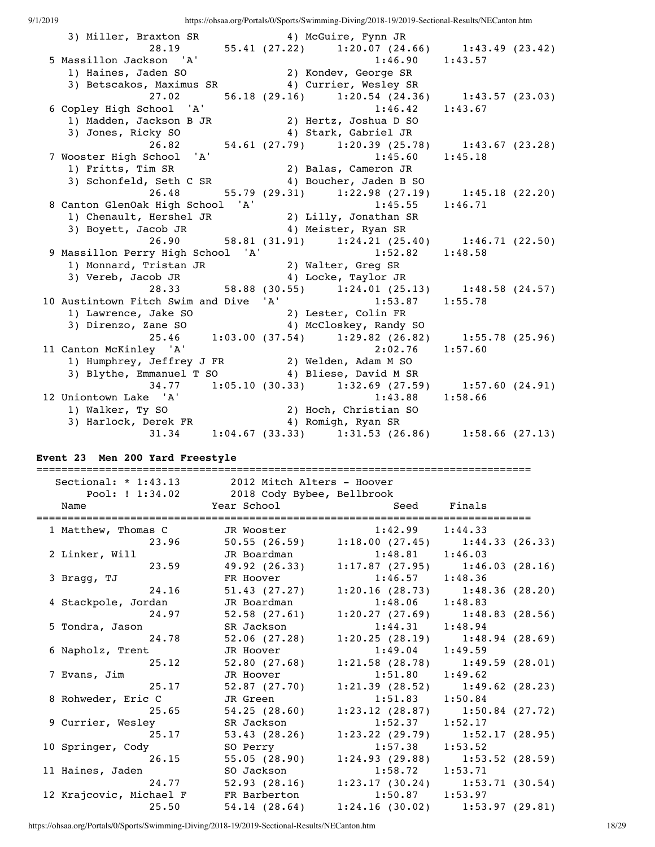| 3) Miller, Braxton SR                                                                                                                           | 4) McGuire, Fynn JR                                   |         |  |
|-------------------------------------------------------------------------------------------------------------------------------------------------|-------------------------------------------------------|---------|--|
|                                                                                                                                                 | 28.19 55.41 (27.22) 1:20.07 (24.66) 1:43.49 (23.42)   |         |  |
| 5 Massillon Jackson 'A'                                                                                                                         | $1:46.90$ $1:43.57$                                   |         |  |
| 1) Haines, Jaden SO                                                                                                                             | 2) Kondev, George SR                                  |         |  |
| 3) Betscakos, Maximus SR 4) Currier, Wesley SR                                                                                                  |                                                       |         |  |
| 27.02                                                                                                                                           | 56.18 (29.16) 1:20.54 (24.36) 1:43.57 (23.03)         |         |  |
|                                                                                                                                                 | $1:46.42$ $1:43.67$                                   |         |  |
| 6 Copley High School 'A' 1:46.42<br>1) Madden, Jackson B JR 2) Hertz, Joshua D SO                                                               |                                                       |         |  |
| 3) Jones, Ricky SO                                                                                                                              | 4) Stark, Gabriel JR                                  |         |  |
|                                                                                                                                                 | 26.82 54.61 (27.79) 1:20.39 (25.78) 1:43.67 (23.28)   |         |  |
| 7 Wooster High School 'A'                                                                                                                       | 1:45.60                                               | 1:45.18 |  |
| 1) Fritts, Tim SR                                                                                                                               | 2) Balas, Cameron JR                                  |         |  |
| 3) Schonfeld, Seth C SR 4) Boucher, Jaden B SO                                                                                                  |                                                       |         |  |
| 26.48                                                                                                                                           | 55.79 (29.31) 1:22.98 (27.19) 1:45.18 (22.20)         |         |  |
|                                                                                                                                                 | $1:45.55$ $1:46.71$                                   |         |  |
| 8 Canton GlenOak High School 'A' 1:45.55<br>1) Chenault, Hershel JR 2) Lilly, Jonathan SR<br>3) Boyett, Jacob JR 4) Meister, Ryan SR            |                                                       |         |  |
|                                                                                                                                                 |                                                       |         |  |
|                                                                                                                                                 | 26.90 58.81 (31.91) 1:24.21 (25.40) 1:46.71 (22.50)   |         |  |
| 9 Massillon Perry High School 'A' 1:52.82 1:48.58                                                                                               |                                                       |         |  |
| 1) Monnard, Tristan JR (2) Walter, Greg SR<br>3) Vereb, Jacob JR (4) Locke, Taylor JR                                                           |                                                       |         |  |
|                                                                                                                                                 |                                                       |         |  |
|                                                                                                                                                 | 28.33 58.88 (30.55) 1:24.01 (25.13) 1:48.58 (24.57)   |         |  |
| 10 Austintown Fitch Swim and Dive 'A' 1:53.87 1:55.78                                                                                           |                                                       |         |  |
| 1) Lawrence, Jake SO 2) Lester, Colin FR<br>3) Direnzo, Zane SO 4) McCloskey, Randy SO<br>25.46 1:03.00 (37.54) 1:29.82 (26.82) 1:55.78 (25.96) |                                                       |         |  |
|                                                                                                                                                 |                                                       |         |  |
|                                                                                                                                                 |                                                       |         |  |
| 11 Canton McKinley 'A'                                                                                                                          | 2:02.76                                               | 1:57.60 |  |
| 1) Humphrey, Jeffrey J FR 2) Welden, Adam M SO                                                                                                  |                                                       |         |  |
| 3) Blythe, Emmanuel T SO 4) Bliese, David M SR                                                                                                  |                                                       |         |  |
|                                                                                                                                                 | 34.77 1:05.10 (30.33) 1:32.69 (27.59) 1:57.60 (24.91) |         |  |
| 12 Uniontown Lake 'A'                                                                                                                           | $1:43.88$ $1:58.66$                                   |         |  |
| Iniontown Lake 'A' 1:43.88<br>1) Walker, Ty SO 19 2) Hoch, Christian SO<br>3) Harlock, Derek FR 19 4) Romigh, Ryan SR                           |                                                       |         |  |
|                                                                                                                                                 |                                                       |         |  |
|                                                                                                                                                 | 31.34 1:04.67 (33.33) 1:31.53 (26.86) 1:58.66 (27.13) |         |  |

## **Event 23 Men 200 Yard Freestyle**

|                         | Sectional: * 1:43.13 2012 Mitch Alters - Hoover<br>Pool: ! 1:34.02 2018 Cody Bybee, Bellbrook |                     |                                               |
|-------------------------|-----------------------------------------------------------------------------------------------|---------------------|-----------------------------------------------|
| Name                    | Year School Seed Finals                                                                       |                     | ============                                  |
| 1 Matthew, Thomas C     | JR Wooster 1:42.99 1:44.33                                                                    |                     |                                               |
| 23.96                   |                                                                                               |                     | 50.55 (26.59) 1:18.00 (27.45) 1:44.33 (26.33) |
| 2 Linker, Will          | JR Boardman 1:48.81 1:46.03                                                                   |                     |                                               |
| 23.59                   |                                                                                               |                     | 49.92 (26.33) 1:17.87 (27.95) 1:46.03 (28.16) |
| 3 Bragg, TJ             | FR Hoover                                                                                     | $1:46.57$ $1:48.36$ |                                               |
| 24.16                   | 51.43 (27.27)                                                                                 |                     | $1:20.16$ (28.73) $1:48.36$ (28.20)           |
| 4 Stackpole, Jordan     | JR Boardman                                                                                   | $1:48.06$ $1:48.83$ |                                               |
| 24.97                   | 52.58(27.61)                                                                                  |                     | $1:20.27$ (27.69) $1:48.83$ (28.56)           |
| 5 Tondra, Jason         | SR Jackson                                                                                    | $1:44.31$ $1:48.94$ |                                               |
| 24.78                   |                                                                                               |                     | 52.06 (27.28) 1:20.25 (28.19) 1:48.94 (28.69) |
| 6 Napholz, Trent        | JR Hoover                                                                                     | $1:49.04$ $1:49.59$ |                                               |
| 25.12                   | 52.80(27.68)                                                                                  |                     | $1:21.58$ (28.78) $1:49.59$ (28.01)           |
| 7 Evans, Jim            | JR Hoover                                                                                     | $1:51.80$ $1:49.62$ |                                               |
| 25.17                   |                                                                                               |                     | 52.87 (27.70) 1:21.39 (28.52) 1:49.62 (28.23) |
| 8 Rohweder, Eric C      | JR Green                                                                                      | $1:51.83$ $1:50.84$ |                                               |
| 25.65                   | 54.25(28.60)                                                                                  |                     | $1:23.12$ (28.87) $1:50.84$ (27.72)           |
| 9 Currier, Wesley       | SR Jackson                                                                                    | $1:52.37$ $1:52.17$ |                                               |
| 25.17                   | 53.43(28.26)                                                                                  |                     | $1:23.22$ (29.79) $1:52.17$ (28.95)           |
| 10 Springer, Cody       | SO Perry                                                                                      | $1:57.38$ $1:53.52$ |                                               |
| 26.15                   | 55.05(28.90)                                                                                  |                     | $1:24.93$ (29.88) 1:53.52 (28.59)             |
| 11 Haines, Jaden        | SO Jackson                                                                                    | $1:58.72$ $1:53.71$ |                                               |
| 24.77                   |                                                                                               |                     | 52.93 (28.16) 1:23.17 (30.24) 1:53.71 (30.54) |
| 12 Krajcovic, Michael F | FR Barberton                                                                                  | $1:50.87$ $1:53.97$ |                                               |
| 25.50                   | 54.14(28.64)                                                                                  |                     | $1:24.16$ (30.02) 1:53.97 (29.81)             |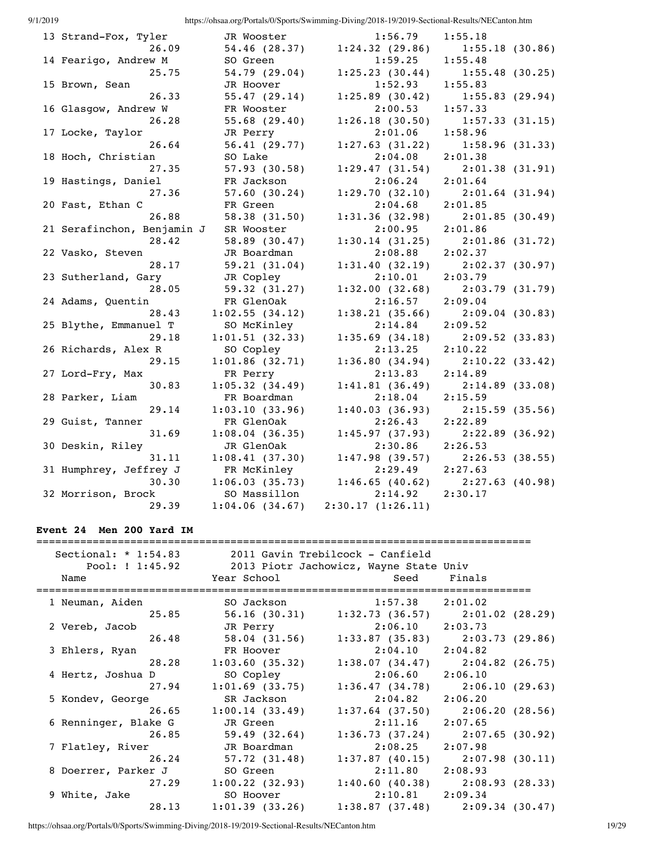| 1720 I.Z |                            |                | https://onsai.org/1 orans/o/oports/o/winning Drying/2010 17/2017 Sectional Results/11Dcanton.ittin |                                     |
|----------|----------------------------|----------------|----------------------------------------------------------------------------------------------------|-------------------------------------|
|          | 13 Strand-Fox, Tyler       | JR Wooster     | 1:56.79                                                                                            | 1:55.18                             |
|          | 26.09                      | 54.46 (28.37)  | 1:24.32(29.86)                                                                                     | 1:55.18(30.86)                      |
|          | 14 Fearigo, Andrew M       | SO Green       | 1:59.25                                                                                            | 1:55.48                             |
|          | 25.75                      | 54.79 (29.04)  | 1:25.23(30.44)                                                                                     | 1:55.48(30.25)                      |
|          | 15 Brown, Sean             | JR Hoover      | 1:52.93                                                                                            | 1:55.83                             |
|          | 26.33                      | 55.47(29.14)   | 1:25.89(30.42)                                                                                     | 1:55.83(29.94)                      |
|          | 16 Glasgow, Andrew W       | FR Wooster     | 2:00.53                                                                                            | 1:57.33                             |
|          | 26.28                      | 55.68(29.40)   | 1:26.18(30.50)                                                                                     | 1:57.33(31.15)                      |
|          | 17 Locke, Taylor           | JR Perry       | 2:01.06                                                                                            | 1:58.96                             |
|          | 26.64                      | 56.41(29.77)   | 1:27.63(31.22)                                                                                     | 1:58.96(31.33)                      |
|          | 18 Hoch, Christian         | SO Lake        | 2:04.08                                                                                            | 2:01.38                             |
|          | 27.35                      | 57.93(30.58)   | 1:29.47(31.54)                                                                                     | 2:01.38(31.91)                      |
|          | 19 Hastings, Daniel        | FR Jackson     | 2:06.24                                                                                            | 2:01.64                             |
|          | 27.36                      | 57.60(30.24)   | 1:29.70(32.10)                                                                                     | 2:01.64(31.94)                      |
|          | 20 Fast, Ethan C           | FR Green       | 2:04.68                                                                                            | 2:01.85                             |
|          | 26.88                      | 58.38(31.50)   | 1:31.36(32.98)                                                                                     | 2:01.85(30.49)                      |
|          | 21 Serafinchon, Benjamin J | SR Wooster     | 2:00.95                                                                                            | 2:01.86                             |
|          | 28.42                      | 58.89(30.47)   | 1:30.14(31.25)                                                                                     | 2:01.86(31.72)                      |
|          | 22 Vasko, Steven           | JR Boardman    | 2:08.88                                                                                            | 2:02.37                             |
|          | 28.17                      | 59.21(31.04)   | 1:31.40(32.19)                                                                                     | 2:02.37(30.97)                      |
|          | 23 Sutherland, Gary        | JR Copley      | 2:10.01                                                                                            | 2:03.79                             |
|          | 28.05                      | 59.32(31.27)   | 1:32.00(32.68)                                                                                     | 2:03.79(31.79)                      |
|          | 24 Adams, Quentin          | FR GlenOak     | 2:16.57                                                                                            | 2:09.04                             |
|          | 28.43                      | 1:02.55(34.12) | 1:38.21(35.66)                                                                                     | 2:09.04(30.83)                      |
|          | 25 Blythe, Emmanuel T      | SO McKinley    | 2:14.84                                                                                            | 2:09.52                             |
|          | 29.18                      | 1:01.51(32.33) | 1:35.69(34.18)                                                                                     | 2:09.52(33.83)                      |
|          | 26 Richards, Alex R        | SO Copley      | 2:13.25                                                                                            | 2:10.22                             |
|          | 29.15                      | 1:01.86(32.71) |                                                                                                    | $1:36.80(34.94)$ $2:10.22(33.42)$   |
|          | 27 Lord-Fry, Max           | FR Perry       | 2:13.83                                                                                            | 2:14.89                             |
|          | 30.83                      | 1:05.32(34.49) | 1:41.81(36.49)                                                                                     | 2:14.89(33.08)                      |
|          | 28 Parker, Liam            | FR Boardman    | 2:18.04                                                                                            | 2:15.59                             |
|          | 29.14                      | 1:03.10(33.96) | 1:40.03(36.93)                                                                                     | 2:15.59(35.56)                      |
|          | 29 Guist, Tanner           | FR GlenOak     | 2:26.43                                                                                            | 2:22.89                             |
|          | 31.69                      | 1:08.04(36.35) | 1:45.97(37.93)                                                                                     | 2:22.89(36.92)                      |
|          | 30 Deskin, Riley           | JR GlenOak     | 2:30.86                                                                                            | 2:26.53                             |
|          | 31.11                      | 1:08.41(37.30) | 1:47.98(39.57)                                                                                     | 2:26.53(38.55)                      |
|          | 31 Humphrey, Jeffrey J     | FR McKinley    | 2:29.49                                                                                            | 2:27.63                             |
|          | 30.30                      | 1:06.03(35.73) |                                                                                                    | $1:46.65$ (40.62) $2:27.63$ (40.98) |
|          | 32 Morrison, Brock         | SO Massillon   | 2:14.92                                                                                            | 2:30.17                             |
|          | 29.39                      | 1:04.06(34.67) | 2:30.17(1:26.11)                                                                                   |                                     |

## **Event 24 Men 200 Yard IM**

|                      | Sectional: * 1:54.83 2011 Gavin Trebilcock - Canfield           |                     |                                               |
|----------------------|-----------------------------------------------------------------|---------------------|-----------------------------------------------|
|                      | Pool: ! 1:45.92 2013 Piotr Jachowicz, Wayne State Univ          |                     |                                               |
| Name                 | Year School                                   Seed       Finals |                     |                                               |
|                      |                                                                 |                     |                                               |
| 1 Neuman, Aiden      | SO Jackson 1:57.38 2:01.02                                      |                     |                                               |
| 25.85                |                                                                 |                     | 56.16 (30.31) 1:32.73 (36.57) 2:01.02 (28.29) |
| 2 Vereb, Jacob       | JR Perry 2:06.10 2:03.73                                        |                     |                                               |
| 26.48                |                                                                 |                     | 58.04 (31.56) 1:33.87 (35.83) 2:03.73 (29.86) |
| 3 Ehlers, Ryan       | FR Hoover                                                       | $2:04.10$ $2:04.82$ |                                               |
| 28.28                | $1:03.60$ (35.32) $1:38.07$ (34.47) $2:04.82$ (26.75)           |                     |                                               |
| 4 Hertz, Joshua D    | SO Copley                                                       | $2:06.60$ $2:06.10$ |                                               |
| 27.94                | $1:01.69$ (33.75) $1:36.47$ (34.78) $2:06.10$ (29.63)           |                     |                                               |
| 5 Kondev, George     | SR Jackson                                                      | $2:04.82$ $2:06.20$ |                                               |
| 26.65                | $1:00.14$ (33.49) $1:37.64$ (37.50) $2:06.20$ (28.56)           |                     |                                               |
| 6 Renninger, Blake G | JR Green                                                        | $2:11.16$ $2:07.65$ |                                               |
| 26.85                | 59.49 (32.64)                                                   |                     | $1:36.73(37.24)$ $2:07.65(30.92)$             |
| 7 Flatley, River     | JR Boardman                                                     | $2:08.25$ $2:07.98$ |                                               |
| 26.24                |                                                                 |                     | 57.72 (31.48) 1:37.87 (40.15) 2:07.98 (30.11) |
| 8 Doerrer, Parker J  | SO Green                                                        | $2:11.80$ $2:08.93$ |                                               |
|                      | 27.29 1:00.22 (32.93) 1:40.60 (40.38) 2:08.93 (28.33)           |                     |                                               |
| 9 White, Jake        | SO Hoover                                                       | $2:10.81$ $2:09.34$ |                                               |
| 28.13                | $1:01.39$ (33.26) $1:38.87$ (37.48) $2:09.34$ (30.47)           |                     |                                               |

https://ohsaa.org/Portals/0/Sports/Swimming-Diving/2018-19/2019-Sectional-Results/NECanton.htm 19/29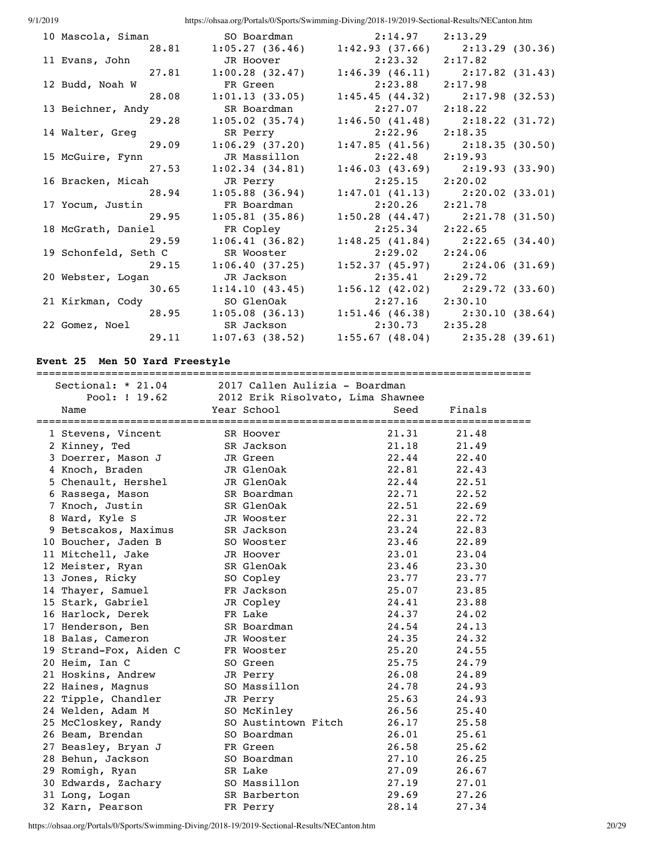| 10 Mascola, Siman    |                   | SO Boardman 2:14.97 2:13.29                           |                                     |
|----------------------|-------------------|-------------------------------------------------------|-------------------------------------|
| 28.81                |                   | $1:05.27$ (36.46) $1:42.93$ (37.66) $2:13.29$ (30.36) |                                     |
| 11 Evans, John       | JR Hoover         | 2:23.32                                               | 2:17.82                             |
| 27.81                | 1:00.28(32.47)    | 1:46.39(46.11)                                        | 2:17.82(31.43)                      |
| 12 Budd, Noah W      | FR Green          | $2:23.88$ $2:17.98$                                   |                                     |
| 28.08                | 1:01.13(33.05)    | 1:45.45(44.32)                                        | 2:17.98 (32.53)                     |
| 13 Beichner, Andy    | SR Boardman       | 2:27.07                                               | 2:18.22                             |
| 29.28                | $1:05.02$ (35.74) | 1:46.50(41.48)                                        | 2:18.22(31.72)                      |
| 14 Walter, Greg      | SR Perry          | 2:22.96                                               | 2:18.35                             |
| 29.09                | 1:06.29(37.20)    |                                                       | $1:47.85$ (41.56) $2:18.35$ (30.50) |
| 15 McGuire, Fynn     | JR Massillon      | 2:22.48                                               | 2:19.93                             |
| 27.53                | 1:02.34(34.81)    |                                                       | $1:46.03(43.69)$ $2:19.93(33.90)$   |
| 16 Bracken, Micah    | JR Perry          | 2:25.15                                               | 2:20.02                             |
| 28.94                | $1:05.88$ (36.94) |                                                       | $1:47.01$ (41.13) $2:20.02$ (33.01) |
| 17 Yocum, Justin     | FR Boardman       | 2:20.26                                               | 2:21.78                             |
| 29.95                | 1:05.81(35.86)    |                                                       | $1:50.28$ (44.47) $2:21.78$ (31.50) |
| 18 McGrath, Daniel   | FR Copley         | 2:25.34                                               | 2:22.65                             |
| 29.59                | 1:06.41(36.82)    | 1:48.25(41.84)                                        | 2:22.65 (34.40)                     |
| 19 Schonfeld, Seth C | SR Wooster        | 2:29.02                                               | 2:24.06                             |
| 29.15                | 1:06.40(37.25)    |                                                       | $1:52.37$ (45.97) $2:24.06$ (31.69) |
| 20 Webster, Logan    | JR Jackson        | 2:35.41                                               | 2:29.72                             |
| 30.65                | 1:14.10(43.45)    |                                                       | $1:56.12$ (42.02) $2:29.72$ (33.60) |
| 21 Kirkman, Cody     | SO GlenOak        | 2:27.16                                               | 2:30.10                             |
| 28.95                |                   | $1:05.08$ (36.13) $1:51.46$ (46.38) $2:30.10$ (38.64) |                                     |
| 22 Gomez, Noel       | SR Jackson        | $2:30.73$ $2:35.28$                                   |                                     |
| 29.11                | 1:07.63(38.52)    |                                                       | $1:55.67$ (48.04) $2:35.28$ (39.61) |
|                      |                   |                                                       |                                     |

## **Event 25 Men 50 Yard Freestyle**

===============================================================================

| Sectional: * 21.04     | 2017 Callen Aulizia - Boardman    |       |        |
|------------------------|-----------------------------------|-------|--------|
| Pool: ! 19.62          | 2012 Erik Risolvato, Lima Shawnee |       |        |
| Name                   | Year School                       | Seed  | Finals |
| 1 Stevens, Vincent     | SR Hoover                         | 21.31 | 21.48  |
| 2 Kinney, Ted          | SR Jackson                        | 21.18 | 21.49  |
| 3 Doerrer, Mason J     | JR Green                          | 22.44 | 22.40  |
| 4 Knoch, Braden        | JR GlenOak                        | 22.81 | 22.43  |
| 5 Chenault, Hershel    | JR GlenOak                        | 22.44 | 22.51  |
| 6 Rassega, Mason       | SR Boardman                       | 22.71 | 22.52  |
| 7 Knoch, Justin        | SR GlenOak                        | 22.51 | 22.69  |
| 8 Ward, Kyle S         | JR Wooster                        | 22.31 | 22.72  |
| 9 Betscakos, Maximus   | SR Jackson                        | 23.24 | 22.83  |
| 10 Boucher, Jaden B    | SO Wooster                        | 23.46 | 22.89  |
| 11 Mitchell, Jake      | JR Hoover                         | 23.01 | 23.04  |
| 12 Meister, Ryan       | SR GlenOak                        | 23.46 | 23.30  |
| 13 Jones, Ricky        | SO Copley                         | 23.77 | 23.77  |
| 14 Thayer, Samuel      | FR Jackson                        | 25.07 | 23.85  |
| 15 Stark, Gabriel      | JR Copley                         | 24.41 | 23.88  |
| 16 Harlock, Derek      | FR Lake                           | 24.37 | 24.02  |
| 17 Henderson, Ben      | SR Boardman                       | 24.54 | 24.13  |
| 18 Balas, Cameron      | JR Wooster                        | 24.35 | 24.32  |
| 19 Strand-Fox, Aiden C | FR Wooster                        | 25.20 | 24.55  |
| 20 Heim, Ian C         | SO Green                          | 25.75 | 24.79  |
| 21 Hoskins, Andrew     | JR Perry                          | 26.08 | 24.89  |
| 22 Haines, Magnus      | SO Massillon                      | 24.78 | 24.93  |
| 22 Tipple, Chandler    | JR Perry                          | 25.63 | 24.93  |
| 24 Welden, Adam M      | SO McKinley                       | 26.56 | 25.40  |
| 25 McCloskey, Randy    | SO Austintown Fitch               | 26.17 | 25.58  |
| 26 Beam, Brendan       | SO Boardman                       | 26.01 | 25.61  |
| 27 Beasley, Bryan J    | FR Green                          | 26.58 | 25.62  |
| 28 Behun, Jackson      | SO Boardman                       | 27.10 | 26.25  |
| 29 Romigh, Ryan        | SR Lake                           | 27.09 | 26.67  |
| 30 Edwards, Zachary    | SO Massillon                      | 27.19 | 27.01  |
| 31 Long, Logan         | SR Barberton                      | 29.69 | 27.26  |
| 32 Karn, Pearson       | FR Perry                          | 28.14 | 27.34  |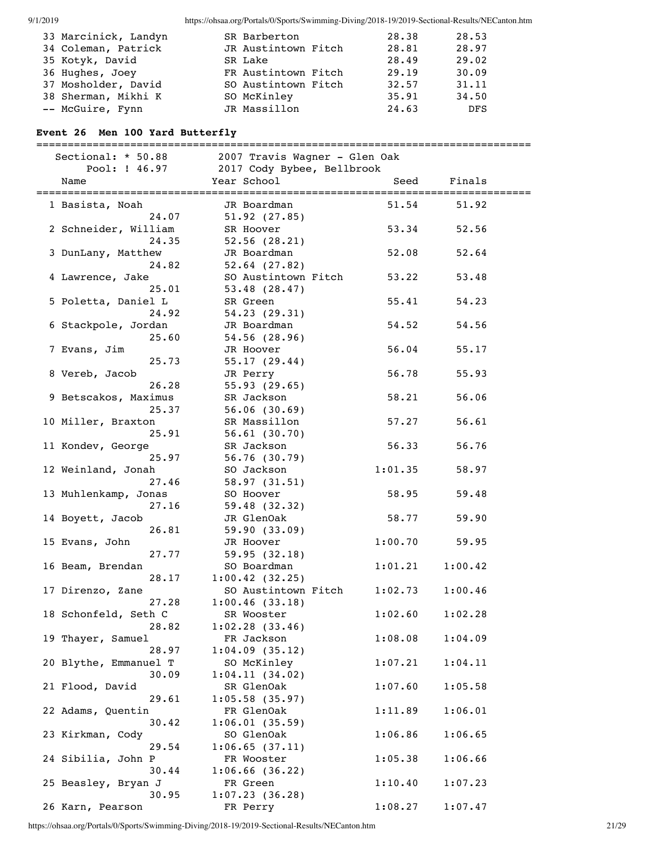| 33 Marcinick, Landyn | SR Barberton        | 28.38 | 28.53      |
|----------------------|---------------------|-------|------------|
| 34 Coleman, Patrick  | JR Austintown Fitch | 28.81 | 28.97      |
| 35 Kotyk, David      | SR Lake             | 28.49 | 29.02      |
| 36 Hughes, Joey      | FR Austintown Fitch | 29.19 | 30.09      |
| 37 Mosholder, David  | SO Austintown Fitch | 32.57 | 31.11      |
| 38 Sherman, Mikhi K  | SO McKinley         | 35.91 | 34.50      |
| -- McGuire, Fynn     | JR Massillon        | 24.63 | <b>DFS</b> |

#### **Event 26 Men 100 Yard Butterfly**

=============================================================================== Sectional: \* 50.88 2007 Travis Wagner - Glen Oak Pool: ! 46.97 2017 Cody Bybee, Bellbrook Name The Year School Seed Finals =============================================================================== 1 Basista, Noah JR Boardman 51.54 51.92 24.07 51.92 (27.85) 2 Schneider, William SR Hoover 53.34 52.56 24.35 52.56 (28.21) 3 DunLany, Matthew JR Boardman 52.08 52.64 24.82 52.64 (27.82) 4 Lawrence, Jake SO Austintown Fitch 53.22 53.48 25.01 53.48 (28.47) 5 Poletta, Daniel L SR Green 55.41 54.23 24.92 54.23 (29.31) 6 Stackpole, Jordan JR Boardman 54.52 54.56 25.60 54.56 (28.96) 7 Evans, Jim JR Hoover 56.04 55.17 25.73 55.17 (29.44) 8 Vereb, Jacob JR Perry 56.78 55.93 26.28 55.93 (29.65) 9 Betscakos, Maximus SR Jackson 58.21 56.06 25.37 56.06 (30.69) 10 Miller, Braxton SR Massillon 57.27 56.61 25.91 56.61 (30.70) 11 Kondev, George SR Jackson 56.33 56.76 25.97 56.76 (30.79) 12 Weinland, Jonah SO Jackson 1:01.35 58.97 27.46 58.97 (31.51) 13 Muhlenkamp, Jonas SO Hoover 58.95 59.48 27.16 59.48 (32.32) 14 Boyett, Jacob JR GlenOak 58.77 59.90 26.81 59.90 (33.09) 15 Evans, John JR Hoover 1:00.70 59.95 27.77 59.95 (32.18) 16 Beam, Brendan SO Boardman 1:01.21 1:00.42 28.17 1:00.42 (32.25) 17 Direnzo, Zane SO Austintown Fitch 1:02.73 1:00.46 27.28 1:00.46 (33.18) 18 Schonfeld, Seth C SR Wooster 1:02.60 1:02.28 28.82 1:02.28 (33.46) 19 Thayer, Samuel FR Jackson 1:08.08 1:04.09 28.97 1:04.09 (35.12) 20 Blythe, Emmanuel T SO McKinley 1:07.21 1:04.11 30.09 1:04.11 (34.02) 21 Flood, David SR GlenOak 1:07.60 1:05.58 29.61 1:05.58 (35.97) 22 Adams, Quentin FR GlenOak 1:11.89 1:06.01 30.42 1:06.01 (35.59) 23 Kirkman, Cody SO GlenOak 1:06.86 1:06.65 29.54 1:06.65 (37.11) 24 Sibilia, John P FR Wooster 1:05.38 1:06.66 30.44 1:06.66 (36.22) 25 Beasley, Bryan J FR Green 1:10.40 1:07.23 30.95 1:07.23 (36.28) 26 Karn, Pearson FR Perry 1:08.27 1:07.47

https://ohsaa.org/Portals/0/Sports/Swimming-Diving/2018-19/2019-Sectional-Results/NECanton.htm 21/29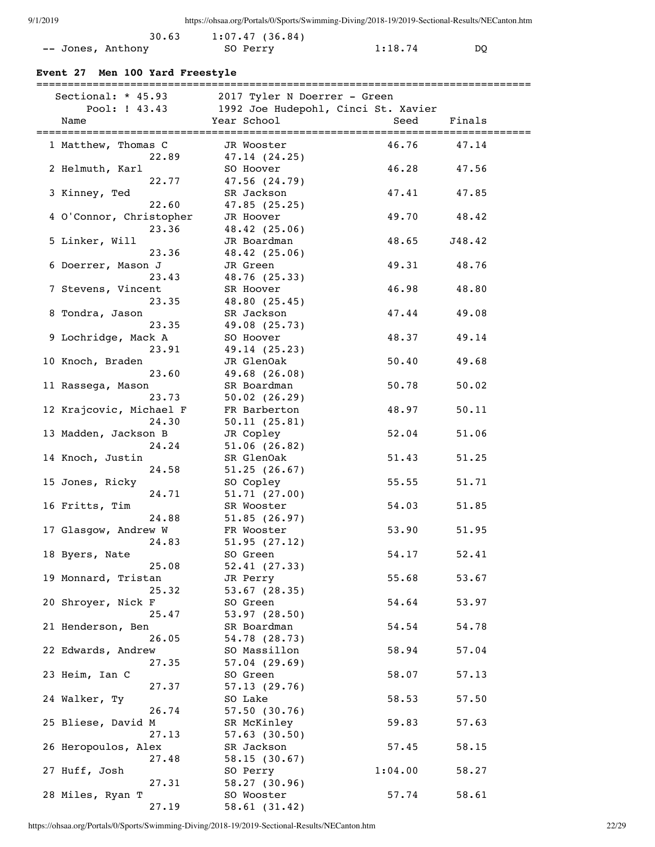| 30.63             | 1:07.47(36.84) |         |      |
|-------------------|----------------|---------|------|
| -- Jones, Anthony | SO Perry       | 1:18.74 | DO - |

## **Event 27 Men 100 Yard Freestyle**

| Sectional: $*$ 45.93<br>Pool: ! 43.43 | 2017 Tyler N Doerrer - Green<br>1992 Joe Hudepohl, Cinci St. Xavier |         |        |
|---------------------------------------|---------------------------------------------------------------------|---------|--------|
| Name                                  | Year School                                                         | Seed    | Finals |
|                                       |                                                                     |         |        |
| 1 Matthew, Thomas C                   | JR Wooster                                                          | 46.76   | 47.14  |
| 22.89                                 | 47.14(24.25)                                                        |         |        |
| 2 Helmuth, Karl                       | SO Hoover                                                           | 46.28   | 47.56  |
| 22.77                                 | 47.56 (24.79)                                                       |         |        |
| 3 Kinney, Ted                         | SR Jackson                                                          | 47.41   | 47.85  |
| 22.60                                 | 47.85(25.25)                                                        |         |        |
| 4 O'Connor, Christopher               | JR Hoover                                                           | 49.70   | 48.42  |
| 23.36                                 | 48.42(25.06)                                                        |         |        |
| 5 Linker, Will                        | JR Boardman                                                         | 48.65   | J48.42 |
| 23.36                                 | 48.42(25.06)                                                        |         |        |
| 6 Doerrer, Mason J                    | JR Green                                                            | 49.31   | 48.76  |
| 23.43                                 | 48.76 (25.33)                                                       |         |        |
| 7 Stevens, Vincent                    | SR Hoover                                                           | 46.98   | 48.80  |
| 23.35                                 | 48.80 (25.45)                                                       |         |        |
| 8 Tondra, Jason                       | SR Jackson                                                          | 47.44   | 49.08  |
| 23.35                                 | 49.08 (25.73)                                                       |         |        |
| 9 Lochridge, Mack A                   | SO Hoover                                                           | 48.37   | 49.14  |
| 23.91                                 | 49.14 (25.23)                                                       |         |        |
| 10 Knoch, Braden                      | JR GlenOak                                                          | 50.40   | 49.68  |
| 23.60                                 | 49.68 (26.08)                                                       |         |        |
| 11 Rassega, Mason                     | SR Boardman                                                         | 50.78   | 50.02  |
| 23.73                                 | 50.02(26.29)                                                        |         |        |
| 12 Krajcovic, Michael F               | FR Barberton                                                        | 48.97   | 50.11  |
| 24.30                                 | 50.11(25.81)                                                        |         |        |
| 13 Madden, Jackson B                  | JR Copley                                                           | 52.04   | 51.06  |
| 24.24                                 | 51.06(26.82)                                                        |         |        |
| 14 Knoch, Justin                      | SR GlenOak                                                          | 51.43   | 51.25  |
| 24.58                                 | 51.25(26.67)                                                        |         |        |
| 15 Jones, Ricky                       | SO Copley                                                           | 55.55   | 51.71  |
| 24.71                                 | 51.71(27.00)                                                        |         |        |
| 16 Fritts, Tim                        | SR Wooster                                                          | 54.03   | 51.85  |
| 24.88                                 | 51.85(26.97)                                                        |         |        |
| 17 Glasgow, Andrew W                  | FR Wooster                                                          | 53.90   | 51.95  |
| 24.83                                 | 51.95(27.12)                                                        |         |        |
| 18 Byers, Nate                        | SO Green                                                            | 54.17   | 52.41  |
| 25.08                                 | 52.41 (27.33)                                                       |         |        |
| 19 Monnard, Tristan                   | JR Perry                                                            | 55.68   | 53.67  |
| 25.32                                 | 53.67(28.35)                                                        |         |        |
| 20 Shroyer, Nick F                    | SO Green                                                            | 54.64   | 53.97  |
| 25.47                                 | 53.97(28.50)                                                        |         |        |
| 21 Henderson, Ben                     | SR Boardman                                                         | 54.54   | 54.78  |
| 26.05                                 | 54.78(28.73)                                                        |         |        |
| 22 Edwards, Andrew                    | SO Massillon                                                        | 58.94   | 57.04  |
| 27.35                                 | 57.04(29.69)                                                        |         |        |
| 23 Heim, Ian C                        | SO Green                                                            | 58.07   | 57.13  |
| 27.37                                 | 57.13(29.76)                                                        |         |        |
| 24 Walker, Ty                         | SO Lake                                                             | 58.53   | 57.50  |
| 26.74                                 | 57.50(30.76)                                                        |         |        |
| 25 Bliese, David M                    | SR McKinley                                                         | 59.83   | 57.63  |
| 27.13                                 | $57.63$ (30.50)                                                     |         |        |
| 26 Heropoulos, Alex                   | SR Jackson                                                          | 57.45   | 58.15  |
| 27.48                                 | 58.15 (30.67)                                                       |         |        |
| 27 Huff, Josh                         | SO Perry                                                            | 1:04.00 | 58.27  |
| 27.31                                 | 58.27(30.96)                                                        |         |        |
| 28 Miles, Ryan T                      | SO Wooster                                                          | 57.74   | 58.61  |
| 27.19                                 | 58.61(31.42)                                                        |         |        |
|                                       |                                                                     |         |        |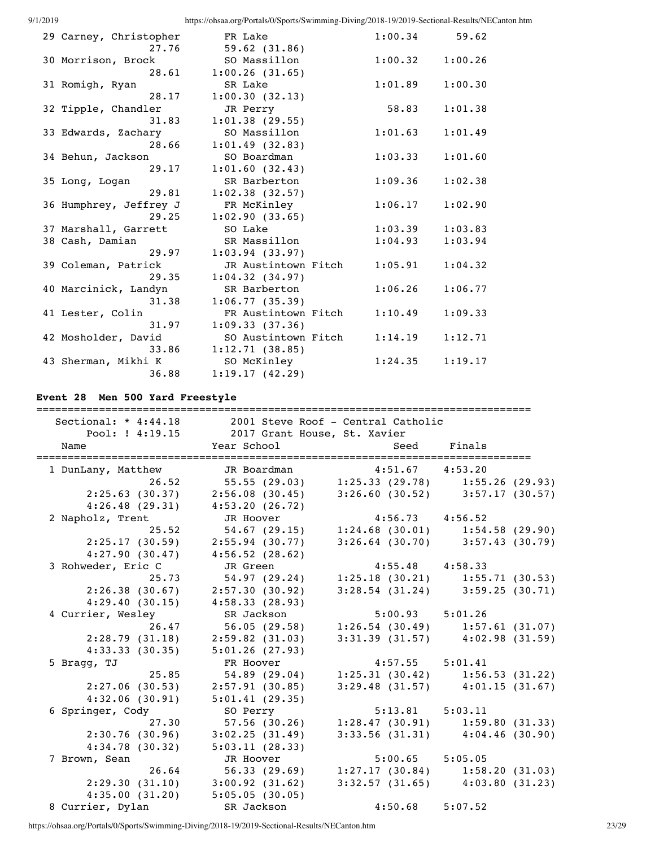| 29 Carney, Christopher | FR Lake             | 1:00.34 | 59.62   |
|------------------------|---------------------|---------|---------|
| 27.76                  | 59.62(31.86)        |         |         |
| 30 Morrison, Brock     | SO Massillon        | 1:00.32 | 1:00.26 |
| 28.61                  | 1:00.26(31.65)      |         |         |
| 31 Romigh, Ryan        | SR Lake             | 1:01.89 | 1:00.30 |
| 28.17                  | 1:00.30(32.13)      |         |         |
| 32 Tipple, Chandler    | JR Perry            | 58.83   | 1:01.38 |
| 31.83                  | 1:01.38(29.55)      |         |         |
| 33 Edwards, Zachary    | SO Massillon        | 1:01.63 | 1:01.49 |
| 28.66                  | 1:01.49(32.83)      |         |         |
| 34 Behun, Jackson      | SO Boardman         | 1:03.33 | 1:01.60 |
| 29.17                  | 1:01.60(32.43)      |         |         |
| 35 Long, Logan         | SR Barberton        | 1:09.36 | 1:02.38 |
| 29.81                  | $1:02.38$ (32.57)   |         |         |
| 36 Humphrey, Jeffrey J | FR McKinley         | 1:06.17 | 1:02.90 |
| 29.25                  | 1:02.90(33.65)      |         |         |
| 37 Marshall, Garrett   | SO Lake             | 1:03.39 | 1:03.83 |
| 38 Cash, Damian        | SR Massillon        | 1:04.93 | 1:03.94 |
| 29.97                  | $1:03.94$ (33.97)   |         |         |
| 39 Coleman, Patrick    | JR Austintown Fitch | 1:05.91 | 1:04.32 |
| 29.35                  | 1:04.32(34.97)      |         |         |
| 40 Marcinick, Landyn   | SR Barberton        | 1:06.26 | 1:06.77 |
| 31.38                  | 1:06.77(35.39)      |         |         |
| 41 Lester, Colin       | FR Austintown Fitch | 1:10.49 | 1:09.33 |
| 31.97                  | 1:09.33(37.36)      |         |         |
| 42 Mosholder, David    | SO Austintown Fitch | 1:14.19 | 1:12.71 |
| 33.86                  | 1:12.71(38.85)      |         |         |
| 43 Sherman, Mikhi K    | SO McKinley         | 1:24.35 | 1:19.17 |
| 36.88                  | 1:19.17(42.29)      |         |         |

# **Event 28 Men 500 Yard Freestyle**

| Sectional: * 4:44.18 2001 Steve Roof - Central Catholic | Pool: ! 4:19.15 2017 Grant House, St. Xavier |                     |                                               |
|---------------------------------------------------------|----------------------------------------------|---------------------|-----------------------------------------------|
| Name                                                    | Year School                                  | Seed                | Finals                                        |
| 1 DunLany, Matthew                                      | JR Boardman                                  | $4:51.67$ $4:53.20$ |                                               |
| 26.52                                                   |                                              |                     |                                               |
| 2:25.63(30.37)                                          | 2:56.08(30.45)                               |                     | $3:26.60(30.52)$ $3:57.17(30.57)$             |
| 4:26.48(29.31)                                          | 4:53.20(26.72)                               |                     |                                               |
| 2 Napholz, Trent                                        | JR Hoover                                    | $4:56.73$ $4:56.52$ |                                               |
| 25.52                                                   |                                              |                     | 54.67 (29.15) 1:24.68 (30.01) 1:54.58 (29.90) |
| 2:25.17(30.59)                                          | 2:55.94(30.77)                               |                     | $3:26.64$ (30.70) $3:57.43$ (30.79)           |
| 4:27.90(30.47)                                          | 4:56.52 (28.62)                              |                     |                                               |
| 3 Rohweder, Eric C                                      | JR Green                                     | $4:55.48$ $4:58.33$ |                                               |
| 25.73                                                   | 54.97 (29.24)                                |                     | $1:25.18$ (30.21) $1:55.71$ (30.53)           |
| 2:26.38(30.67)                                          | 2:57.30 (30.92)                              |                     | $3:28.54$ (31.24) $3:59.25$ (30.71)           |
| 4:29.40(30.15)                                          | 4:58.33(28.93)                               |                     |                                               |
| 4 Currier, Wesley                                       | SR Jackson                                   | $5:00.93$ $5:01.26$ |                                               |
| 26.47                                                   | 56.05(29.58)                                 |                     | $1:26.54$ (30.49) $1:57.61$ (31.07)           |
| 2:28.79(31.18)                                          | $2:59.82$ (31.03)                            |                     | $3:31.39$ (31.57) $4:02.98$ (31.59)           |
| 4:33.33(30.35)                                          | 5:01.26(27.93)                               |                     |                                               |
| 5 Bragg, TJ                                             | FR Hoover                                    | $4:57.55$ $5:01.41$ |                                               |
| 25.85                                                   |                                              |                     | 54.89 (29.04) 1:25.31 (30.42) 1:56.53 (31.22) |
| $2:27.06$ (30.53)                                       | 2:57.91(30.85)                               |                     | $3:29.48$ (31.57) $4:01.15$ (31.67)           |
| 4:32.06(30.91)                                          | 5:01.41(29.35)                               |                     |                                               |
| 6 Springer, Cody                                        | SO Perry                                     | $5:13.81$ $5:03.11$ |                                               |
| 27.30                                                   | 57.56(30.26)                                 |                     | $1:28.47$ (30.91) 1:59.80 (31.33)             |
| 2:30.76(30.96)                                          | 3:02.25(31.49)                               |                     | $3:33.56$ (31.31) $4:04.46$ (30.90)           |
| 4:34.78(30.32)                                          | 5:03.11(28.33)                               |                     |                                               |
| 7 Brown, Sean                                           | JR Hoover                                    | $5:00.65$ $5:05.05$ |                                               |
| 26.64                                                   | 56.33(29.69)                                 |                     | $1:27.17(30.84)$ $1:58.20(31.03)$             |
| 2:29.30(31.10)                                          | 3:00.92(31.62)                               |                     | $3:32.57$ (31.65) $4:03.80$ (31.23)           |
| 4:35.00(31.20)                                          | 5:05.05(30.05)                               |                     |                                               |
| 8 Currier, Dylan                                        | SR Jackson                                   | 4:50.68             | 5:07.52                                       |

https://ohsaa.org/Portals/0/Sports/Swimming-Diving/2018-19/2019-Sectional-Results/NECanton.htm 23/29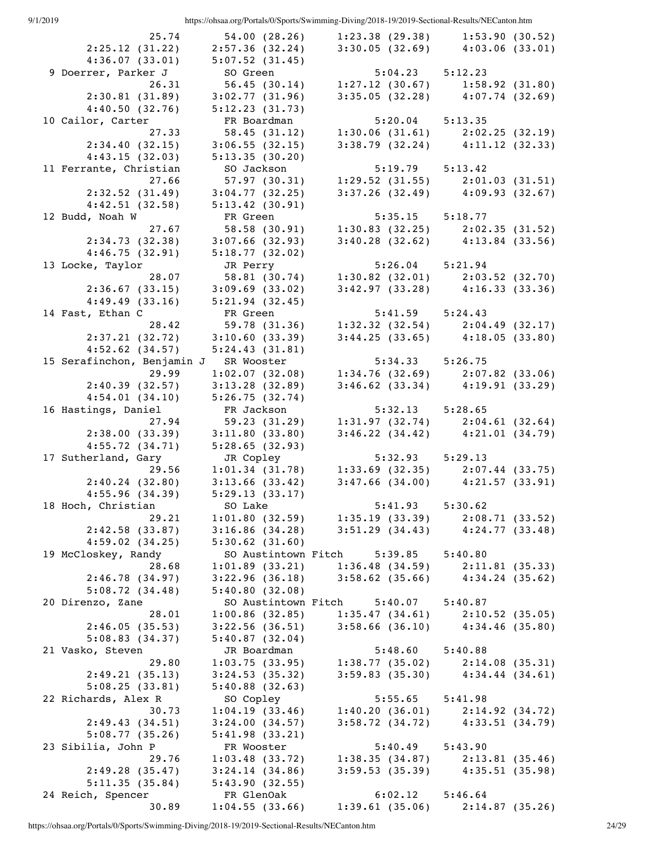| 25.74                      | $54.00$ $(28.26)$ | 1:23.38(29.38)                                        | 1:53.90(30.52)                                                             |
|----------------------------|-------------------|-------------------------------------------------------|----------------------------------------------------------------------------|
| 2:25.12(31.22)             | 2:57.36(32.24)    | 3:30.05(32.69)                                        | 4:03.06(33.01)                                                             |
| 4:36.07(33.01)             | 5:07.52(31.45)    |                                                       |                                                                            |
| 9 Doerrer, Parker J        | SO Green          | $5:04.23$ $5:12.23$                                   |                                                                            |
| 26.31                      | 56.45(30.14)      |                                                       | $1:27.12$ (30.67) 1:58.92 (31.80)                                          |
| 2:30.81(31.89)             | 3:02.77(31.96)    | 3:35.05(32.28)                                        | 4:07.74(32.69)                                                             |
| 4:40.50(32.76)             | 5:12.23(31.73)    |                                                       |                                                                            |
| 10 Cailor, Carter          | FR Boardman       | $5:20.04$ $5:13.35$                                   |                                                                            |
| 27.33                      | 58.45(31.12)      | 1:30.06(31.61)                                        | 2:02.25(32.19)                                                             |
| 2:34.40(32.15)             | 3:06.55(32.15)    |                                                       | $3:38.79$ (32.24) $4:11.12$ (32.33)                                        |
| 4:43.15(32.03)             | 5:13.35(30.20)    |                                                       |                                                                            |
| 11 Ferrante, Christian     | SO Jackson        | $5:19.79$ $5:13.42$                                   |                                                                            |
| 27.66                      | 57.97(30.31)      |                                                       | $1:29.52$ (31.55) $2:01.03$ (31.51)                                        |
| 2:32.52(31.49)             | $3:04.77$ (32.25) |                                                       | $3:37.26$ (32.49) $4:09.93$ (32.67)                                        |
| 4:42.51(32.58)             | 5:13.42(30.91)    |                                                       |                                                                            |
| 12 Budd, Noah W            | FR Green          | $5:35.15$ $5:18.77$                                   |                                                                            |
| 27.67                      | 58.58(30.91)      |                                                       | $1:30.83$ (32.25) $2:02.35$ (31.52)                                        |
| 2:34.73(32.38)             | $3:07.66$ (32.93) |                                                       | $3:40.28$ (32.62) $4:13.84$ (33.56)                                        |
| 4:46.75(32.91)             | 5:18.77(32.02)    |                                                       |                                                                            |
| 13 Locke, Taylor           | JR Perry          | $5:26.04$ $5:21.94$                                   |                                                                            |
| 28.07                      | 58.81(30.74)      |                                                       | $1:30.82$ (32.01) $2:03.52$ (32.70)                                        |
| 2:36.67(33.15)             | 3:09.69(33.02)    |                                                       | $3:42.97$ (33.28) $4:16.33$ (33.36)                                        |
| 4:49.49(33.16)             | 5:21.94(32.45)    |                                                       |                                                                            |
| 14 Fast, Ethan C           | FR Green          | $5:41.59$ $5:24.43$                                   |                                                                            |
| 28.42                      | 59.78 (31.36)     |                                                       |                                                                            |
| 2:37.21(32.72)             | 3:10.60(33.39)    |                                                       | $1:32.32$ (32.54) $2:04.49$ (32.17)<br>$3:44.25$ (33.65) $4:18.05$ (33.80) |
| $4:52.62$ (34.57)          | 5:24.43(31.81)    |                                                       |                                                                            |
| 15 Serafinchon, Benjamin J |                   | $5:34.33$ $5:26.75$                                   |                                                                            |
| 29.99                      | SR Wooster        |                                                       | $1:34.76$ (32.69) $2:07.82$ (33.06)                                        |
|                            | 1:02.07(32.08)    |                                                       | 4:19.91(33.29)                                                             |
| 2:40.39(32.57)             | 3:13.28(32.89)    | $3:46.62$ (33.34)                                     |                                                                            |
| 4:54.01(34.10)             | 5:26.75(32.74)    |                                                       |                                                                            |
| 16 Hastings, Daniel        | FR Jackson        | $5:32.13$ $5:28.65$                                   |                                                                            |
| 27.94                      | 59.23 (31.29)     |                                                       | $1:31.97(32.74)$ $2:04.61(32.64)$                                          |
| 2:38.00(33.39)             | 3:11.80(33.80)    |                                                       | $3:46.22$ (34.42) $4:21.01$ (34.79)                                        |
| 4:55.72(34.71)             | 5:28.65(32.93)    |                                                       |                                                                            |
| 17 Sutherland, Gary        | JR Copley         | $5:32.93$ $5:29.13$                                   |                                                                            |
| 29.56                      | 1:01.34(31.78)    | $1:33.69$ $(32.35)$ $2:07.44$ $(33.75)$               |                                                                            |
| 2:40.24(32.80)             | 3:13.66(33.42)    |                                                       | $3:47.66$ (34.00) $4:21.57$ (33.91)                                        |
| 4:55.96(34.39)             | 5:29.13(33.17)    |                                                       |                                                                            |
| 18 Hoch, Christian         | SO Lake           | 5:41.93                                               | 5:30.62                                                                    |
| 29.21                      | 1:01.80(32.59)    | 1:35.19(33.39)                                        | 2:08.71(33.52)                                                             |
| 2:42.58(33.87)             | 3:16.86(34.28)    | $3:51.29$ (34.43) $4:24.77$ (33.48)                   |                                                                            |
| 4:59.02(34.25)             | 5:30.62(31.60)    |                                                       |                                                                            |
| 19 McCloskey, Randy        |                   | SO Austintown Fitch 5:39.85                           | 5:40.80                                                                    |
| 28.68                      | 1:01.89(33.21)    |                                                       | $1:36.48(34.59)$ $2:11.81(35.33)$                                          |
| 2:46.78(34.97)             | 3:22.96(36.18)    |                                                       | $3:58.62$ (35.66) $4:34.24$ (35.62)                                        |
| 5:08.72(34.48)             | 5:40.80(32.08)    |                                                       |                                                                            |
| 20 Direnzo, Zane           |                   | SO Austintown Fitch 5:40.07 5:40.87                   |                                                                            |
| 28.01                      | 1:00.86(32.85)    | $1:35.47(34.61)$ $2:10.52(35.05)$                     |                                                                            |
| 2:46.05(35.53)             | $3:22.56$ (36.51) |                                                       | $3:58.66$ (36.10) $4:34.46$ (35.80)                                        |
| 5:08.83(34.37)             | 5:40.87(32.04)    |                                                       |                                                                            |
| 21 Vasko, Steven           | JR Boardman       | $5:48.60$ $5:40.88$                                   |                                                                            |
| 29.80                      |                   | $1:03.75$ (33.95) $1:38.77$ (35.02) $2:14.08$ (35.31) |                                                                            |
| 2:49.21(35.13)             | 3:24.53(35.32)    |                                                       | $3:59.83$ (35.30) $4:34.44$ (34.61)                                        |
| 5:08.25(33.81)             | 5:40.88(32.63)    |                                                       |                                                                            |
| 22 Richards, Alex R        | SO Copley         | $5:55.65$ $5:41.98$                                   |                                                                            |
| 30.73                      | 1:04.19(33.46)    | 1:40.20(36.01)                                        | 2:14.92(34.72)                                                             |
| 2:49.43(34.51)             | 3:24.00(34.57)    |                                                       | $3:58.72$ (34.72) $4:33.51$ (34.79)                                        |
| 5:08.77(35.26)             | 5:41.98(33.21)    |                                                       |                                                                            |
| 23 Sibilia, John P         | FR Wooster        | $5:40.49$ $5:43.90$                                   |                                                                            |
| 29.76                      | 1:03.48(33.72)    |                                                       | $1:38.35(34.87)$ $2:13.81(35.46)$                                          |
| 2:49.28(35.47)             | 3:24.14(34.86)    |                                                       | $3:59.53(35.39)$ $4:35.51(35.98)$                                          |
| 5:11.35(35.84)             | 5:43.90(32.55)    |                                                       |                                                                            |
| 24 Reich, Spencer          | FR GlenOak        | $6:02.12$ $5:46.64$                                   |                                                                            |
| 30.89                      | 1:04.55(33.66)    | 1:39.61(35.06)                                        | 2:14.87(35.26)                                                             |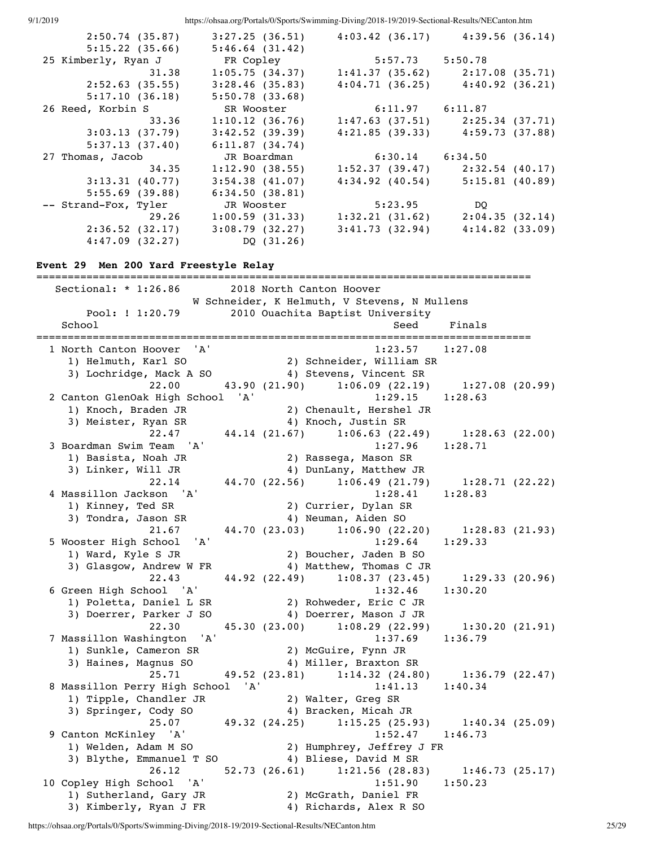| 2:50.74(35.87)       | $3:27.25$ (36.51) | 4:03.42(36.17)      | 4:39.56(36.14)                      |
|----------------------|-------------------|---------------------|-------------------------------------|
| 5:15.22(35.66)       | 5:46.64(31.42)    |                     |                                     |
| 25 Kimberly, Ryan J  | FR Copley         | $5:57.73$ $5:50.78$ |                                     |
| 31.38                | 1:05.75(34.37)    |                     | $1:41.37$ (35.62) $2:17.08$ (35.71) |
| 2:52.63(35.55)       | 3:28.46(35.83)    |                     | $4:04.71(36.25)$ $4:40.92(36.21)$   |
| 5:17.10(36.18)       | 5:50.78(33.68)    |                     |                                     |
| 26 Reed, Korbin S    | SR Wooster        | $6:11.97$ $6:11.87$ |                                     |
| 33.36                | 1:10.12(36.76)    |                     | $1:47.63$ (37.51) $2:25.34$ (37.71) |
| 3:03.13(37.79)       | 3:42.52(39.39)    |                     | $4:21.85$ (39.33) $4:59.73$ (37.88) |
| 5:37.13(37.40)       | 6:11.87(34.74)    |                     |                                     |
| 27 Thomas, Jacob     | JR Boardman       | $6:30.14$ $6:34.50$ |                                     |
| 34.35                | 1:12.90(38.55)    |                     | $1:52.37(39.47)$ $2:32.54(40.17)$   |
| 3:13.31(40.77)       | 3:54.38(41.07)    | $4:34.92$ (40.54)   | 5:15.81(40.89)                      |
| 5:55.69(39.88)       | 6:34.50(38.81)    |                     |                                     |
| -- Strand-Fox, Tyler | JR Wooster        | 5:23.95             | DO                                  |
| 29.26                | 1:00.59(31.33)    | 1:32.21(31.62)      | 2:04.35(32.14)                      |
| 2:36.52(32.17)       | 3:08.79(32.27)    | 3:41.73(32.94)      | 4:14.82(33.09)                      |
| 4:47.09(32.27)       | DQ (31.26)        |                     |                                     |

## **Event 29 Men 200 Yard Freestyle Relay**

=============================================================================== Sectional: \* 1:26.86 2018 North Canton Hoover W Schneider, K Helmuth, V Stevens, N Mullens Pool: ! 1:20.79 2010 Ouachita Baptist University School School Seed Finals =============================================================================== 1 North Canton Hoover 'A' 1:23.57 1:27.08 1) Helmuth, Karl SO 2) Schneider, William SR 3) Lochridge, Mack A SO 4) Stevens, Vincent SR 22.00 43.90 (21.90) 1:06.09 (22.19) 1:27.08 (20.99) 2 Canton GlenOak High School 'A' 1:29.15 1:28.63 1) Knoch, Braden JR 2) Chenault, Hershel JR 3) Meister, Ryan SR 4) Knoch, Justin SR 22.47 44.14 (21.67) 1:06.63 (22.49) 1:28.63 (22.00) 3 Boardman Swim Team 'A' 1:27.96 1:28.71 1) Basista, Noah JR 2) Rassega, Mason SR 3) Linker, Will JR 4) DunLany, Matthew JR 22.14 44.70 (22.56) 1:06.49 (21.79) 1:28.71 (22.22) 4 Massillon Jackson 'A' 1:28.41 1:28.83 1) Kinney, Ted SR 2) Currier, Dylan SR 3) Tondra, Jason SR 4) Neuman, Aiden SO 21.67 44.70 (23.03) 1:06.90 (22.20) 1:28.83 (21.93) 5 Wooster High School 'A' 1:29.64 1:29.33 1) Ward, Kyle S JR 2) Boucher, Jaden B SO 3) Glasgow, Andrew W FR 4) Matthew, Thomas C JR 22.43 44.92 (22.49) 1:08.37 (23.45) 1:29.33 (20.96) 6 Green High School 'A' 1:32.46 1:30.20 1) Poletta, Daniel L SR 2) Rohweder, Eric C JR 3) Doerrer, Parker J SO 4) Doerrer, Mason J JR 22.30 45.30 (23.00) 1:08.29 (22.99) 1:30.20 (21.91) 7 Massillon Washington 'A' 1:37.69 1:36.79 1) Sunkle, Cameron SR 2) McGuire, Fynn JR 3) Haines, Magnus SO 4) Miller, Braxton SR 25.71 49.52 (23.81) 1:14.32 (24.80) 1:36.79 (22.47) 8 Massillon Perry High School 'A' 1:41.13 1:40.34 1) Tipple, Chandler JR 2) Walter, Greg SR 3) Springer, Cody SO 4) Bracken, Micah JR 25.07 49.32 (24.25) 1:15.25 (25.93) 1:40.34 (25.09) 9 Canton McKinley 'A' 1:52.47 1:46.73 1) Welden, Adam M SO 2) Humphrey, Jeffrey J FR 3) Blythe, Emmanuel T SO 4) Bliese, David M SR 26.12 52.73 (26.61) 1:21.56 (28.83) 1:46.73 (25.17) 10 Copley High School 'A' 1:51.90 1:50.23 1) Sutherland, Gary JR 2) McGrath, Daniel FR 3) Kimberly, Ryan J FR 4) Richards, Alex R SO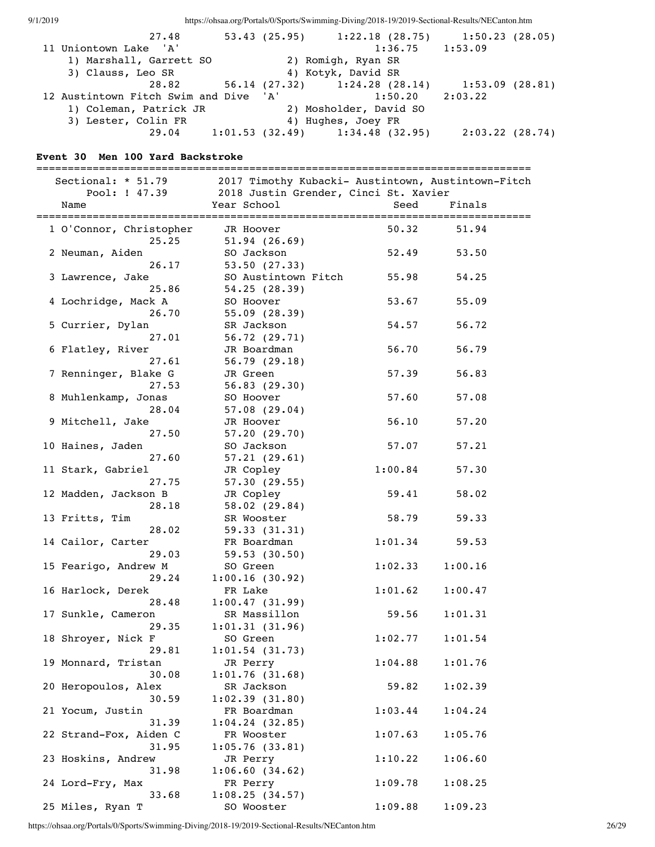| 9/1/2019 |                                                                       |                              | https://ohsaa.org/Portals/0/Sports/Swimming-Diving/2018-19/2019-Sectional-Results/NECanton.htm |         |
|----------|-----------------------------------------------------------------------|------------------------------|------------------------------------------------------------------------------------------------|---------|
|          | 27.48                                                                 |                              | 53.43 (25.95) 1:22.18 (28.75) 1:50.23 (28.05)                                                  |         |
|          | 11 Uniontown Lake 'A'                                                 |                              | 1:36.75                                                                                        | 1:53.09 |
|          | 1) Marshall, Garrett SO                                               |                              | 2) Romigh, Ryan SR                                                                             |         |
|          | 3) Clauss, Leo SR                                                     |                              | 4) Kotyk, David SR                                                                             |         |
|          | 28.82                                                                 |                              | 56.14 (27.32) 1:24.28 (28.14) 1:53.09 (28.81)                                                  |         |
|          | 12 Austintown Fitch Swim and Dive 'A'                                 |                              | 1:50.20                                                                                        | 2:03.22 |
|          | 1) Coleman, Patrick JR                                                |                              | 2) Mosholder, David SO                                                                         |         |
|          | 3) Lester, Colin FR<br>29.04                                          |                              | 4) Hughes, Joey FR<br>$1:01.53$ (32.49) $1:34.48$ (32.95) $2:03.22$ (28.74)                    |         |
|          |                                                                       |                              |                                                                                                |         |
|          | Event 30 Men 100 Yard Backstroke                                      |                              |                                                                                                |         |
|          | :===============================                                      |                              |                                                                                                |         |
|          | Sectional: * 51.79 2017 Timothy Kubacki- Austintown, Austintown-Fitch |                              |                                                                                                |         |
|          |                                                                       |                              | Pool: ! 47.39 2018 Justin Grender, Cinci St. Xavier                                            |         |
|          | Name                                                                  | Year School                  | Seed                                                                                           | Finals  |
|          | 1 O'Connor, Christopher                                               | JR Hoover                    | 50.32                                                                                          | 51.94   |
|          | 25.25                                                                 | 51.94(26.69)                 |                                                                                                |         |
|          | 2 Neuman, Aiden                                                       | SO Jackson                   | 52.49                                                                                          | 53.50   |
|          | 26.17                                                                 | 53.50(27.33)                 |                                                                                                |         |
|          | 3 Lawrence, Jake                                                      | SO Austintown Fitch          | 55.98                                                                                          | 54.25   |
|          | 25.86                                                                 | 54.25(28.39)                 |                                                                                                |         |
|          | 4 Lochridge, Mack A                                                   | SO Hoover                    | 53.67                                                                                          | 55.09   |
|          | 26.70                                                                 | 55.09(28.39)                 |                                                                                                |         |
|          | 5 Currier, Dylan                                                      | SR Jackson                   | 54.57                                                                                          | 56.72   |
|          | 27.01                                                                 | 56.72(29.71)                 |                                                                                                |         |
|          | 6 Flatley, River                                                      | JR Boardman                  | 56.70                                                                                          | 56.79   |
|          | 27.61<br>7 Renninger, Blake G                                         | 56.79(29.18)<br>JR Green     | 57.39                                                                                          | 56.83   |
|          | 27.53                                                                 | 56.83(29.30)                 |                                                                                                |         |
|          | 8 Muhlenkamp, Jonas                                                   | SO Hoover                    | 57.60                                                                                          | 57.08   |
|          | 28.04                                                                 | 57.08(29.04)                 |                                                                                                |         |
|          | 9 Mitchell, Jake                                                      | JR Hoover                    | 56.10                                                                                          | 57.20   |
|          | 27.50                                                                 | 57.20(29.70)                 |                                                                                                |         |
|          | 10 Haines, Jaden                                                      | SO Jackson                   | 57.07                                                                                          | 57.21   |
|          | 27.60                                                                 | 57.21(29.61)                 |                                                                                                |         |
|          | 11 Stark, Gabriel                                                     | JR Copley                    | 1:00.84                                                                                        | 57.30   |
|          | 27.75                                                                 | 57.30(29.55)                 |                                                                                                |         |
|          | 12 Madden, Jackson B                                                  | JR Copley                    | 59.41                                                                                          | 58.02   |
|          | 28.18<br>13 Fritts, Tim                                               | 58.02(29.84)<br>SR Wooster   | 58.79                                                                                          | 59.33   |
|          | 28.02                                                                 | 59.33(31.31)                 |                                                                                                |         |
|          | 14 Cailor, Carter                                                     | FR Boardman                  | 1:01.34                                                                                        | 59.53   |
|          | 29.03                                                                 | 59.53(30.50)                 |                                                                                                |         |
|          | 15 Fearigo, Andrew M                                                  | SO Green                     | 1:02.33                                                                                        | 1:00.16 |
|          | 29.24                                                                 | 1:00.16(30.92)               |                                                                                                |         |
|          | 16 Harlock, Derek                                                     | FR Lake                      | 1:01.62                                                                                        | 1:00.47 |
|          | 28.48                                                                 | 1:00.47(31.99)               |                                                                                                |         |
|          | 17 Sunkle, Cameron                                                    | SR Massillon                 | 59.56                                                                                          | 1:01.31 |
|          | 29.35                                                                 | 1:01.31(31.96)               |                                                                                                |         |
|          | 18 Shroyer, Nick F<br>29.81                                           | SO Green<br>1:01.54(31.73)   | 1:02.77                                                                                        | 1:01.54 |
|          | 19 Monnard, Tristan                                                   | JR Perry                     | 1:04.88                                                                                        | 1:01.76 |
|          | 30.08                                                                 | 1:01.76(31.68)               |                                                                                                |         |
|          | 20 Heropoulos, Alex                                                   | SR Jackson                   | 59.82                                                                                          | 1:02.39 |
|          | 30.59                                                                 | 1:02.39(31.80)               |                                                                                                |         |
|          | 21 Yocum, Justin                                                      | FR Boardman                  | 1:03.44                                                                                        | 1:04.24 |
|          | 31.39                                                                 | $1:04.24$ (32.85)            |                                                                                                |         |
|          | 22 Strand-Fox, Aiden C                                                | FR Wooster                   | 1:07.63                                                                                        | 1:05.76 |
|          | 31.95                                                                 | 1:05.76(33.81)               |                                                                                                |         |
|          | 23 Hoskins, Andrew                                                    | JR Perry                     | 1:10.22                                                                                        | 1:06.60 |
|          | 31.98                                                                 | 1:06.60(34.62)               |                                                                                                |         |
|          | 24 Lord-Fry, Max                                                      | FR Perry                     | 1:09.78                                                                                        | 1:08.25 |
|          | 33.68<br>25 Miles, Ryan T                                             | 1:08.25(34.57)<br>SO Wooster | 1:09.88                                                                                        | 1:09.23 |
|          |                                                                       |                              |                                                                                                |         |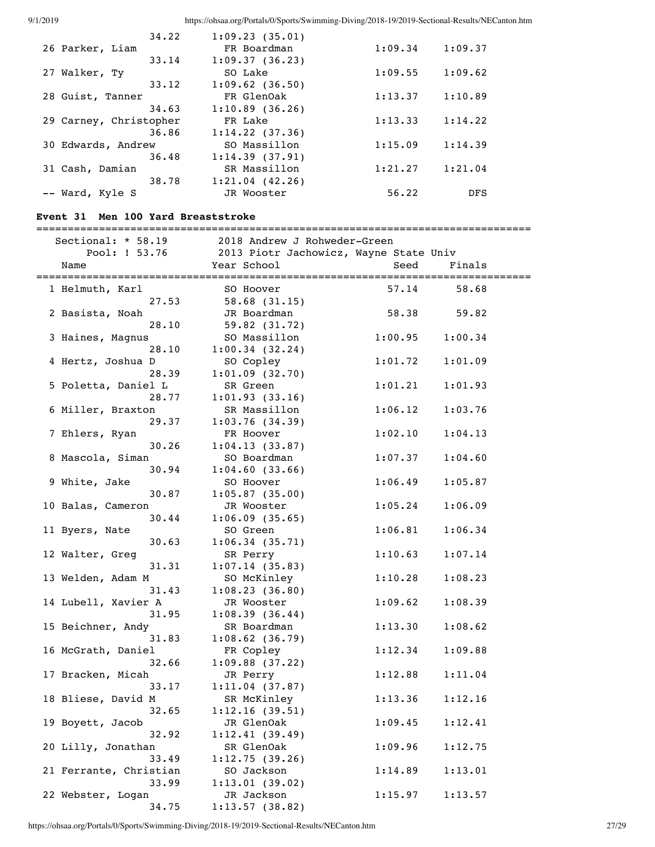| 34.22                  | 1:09.23(35.01)      |         |            |
|------------------------|---------------------|---------|------------|
| 26 Parker, Liam        | FR Boardman         | 1:09.34 | 1:09.37    |
| 33.14                  | 1:09.37(36.23)      |         |            |
| 27 Walker, Ty          | SO Lake             | 1:09.55 | 1:09.62    |
| 33.12                  | $1:09.62$ (36.50)   |         |            |
| 28 Guist, Tanner       | FR GlenOak          | 1:13.37 | 1:10.89    |
| 34.63                  | 1:10.89(36.26)      |         |            |
| 29 Carney, Christopher | FR Lake             | 1:13.33 | 1:14.22    |
| 36.86                  | $1:14.22$ (37.36)   |         |            |
| 30 Edwards, Andrew     | SO Massillon        | 1:15.09 | 1:14.39    |
| 36.48                  | 1:14.39(37.91)      |         |            |
| 31 Cash, Damian        | SR Massillon        | 1:21.27 | 1:21.04    |
| 38.78                  | $1:21.04$ $(42.26)$ |         |            |
| -- Ward, Kyle S        | JR Wooster          | 56.22   | <b>DFS</b> |

### **Event 31 Men 100 Yard Breaststroke**

===============================================================================

| Sectional: * 58.19     | 2018 Andrew J Rohweder-Green           |         |          |
|------------------------|----------------------------------------|---------|----------|
| Pool: ! 53.76          | 2013 Piotr Jachowicz, Wayne State Univ |         |          |
| Name                   | Year School                            | Seed    | Finals   |
|                        |                                        |         | ======== |
| 1 Helmuth, Karl        | SO Hoover                              | 57.14   | 58.68    |
| 27.53                  | $58.68$ $(31.15)$                      |         |          |
| 2 Basista, Noah        | JR Boardman                            | 58.38   | 59.82    |
| 28.10                  | 59.82 (31.72)                          |         |          |
| 3 Haines, Magnus       | SO Massillon                           | 1:00.95 | 1:00.34  |
| 28.10                  | 1:00.34(32.24)                         |         |          |
| 4 Hertz, Joshua D      | SO Copley                              | 1:01.72 | 1:01.09  |
| 28.39                  | 1:01.09(32.70)                         |         |          |
| 5 Poletta, Daniel L    | SR Green                               | 1:01.21 | 1:01.93  |
| 28.77                  | 1:01.93(33.16)                         |         |          |
| 6 Miller, Braxton      | SR Massillon                           | 1:06.12 | 1:03.76  |
| 29.37                  | 1:03.76(34.39)                         |         |          |
| 7 Ehlers, Ryan         | FR Hoover                              | 1:02.10 | 1:04.13  |
| 30.26                  | 1:04.13(33.87)                         |         |          |
| 8 Mascola, Siman       | SO Boardman                            | 1:07.37 | 1:04.60  |
| 30.94                  | 1:04.60(33.66)                         |         |          |
| 9 White, Jake          | SO Hoover                              | 1:06.49 | 1:05.87  |
| 30.87                  | $1:05.87$ (35.00)                      |         |          |
| 10 Balas, Cameron      | JR Wooster                             | 1:05.24 | 1:06.09  |
| 30.44                  | 1:06.09(35.65)                         |         |          |
| 11 Byers, Nate         | SO Green                               | 1:06.81 | 1:06.34  |
| 30.63                  | 1:06.34(35.71)                         |         |          |
| 12 Walter, Greg        | SR Perry                               | 1:10.63 | 1:07.14  |
| 31.31                  | 1:07.14(35.83)                         |         |          |
| 13 Welden, Adam M      | SO McKinley                            | 1:10.28 | 1:08.23  |
| 31.43                  | 1:08.23(36.80)                         |         |          |
| 14 Lubell, Xavier A    | JR Wooster                             | 1:09.62 | 1:08.39  |
| 31.95                  | 1:08.39(36.44)                         |         |          |
| 15 Beichner, Andy      | SR Boardman                            | 1:13.30 | 1:08.62  |
| 31.83                  | $1:08.62$ (36.79)                      |         |          |
| 16 McGrath, Daniel     | FR Copley                              | 1:12.34 | 1:09.88  |
| 32.66                  | $1:09.88$ (37.22)                      |         |          |
| 17 Bracken, Micah      | JR Perry                               | 1:12.88 | 1:11.04  |
| 33.17                  | 1:11.04(37.87)                         |         |          |
| 18 Bliese, David M     | SR McKinley                            | 1:13.36 | 1:12.16  |
| 32.65                  | 1:12.16(39.51)                         |         |          |
| 19 Boyett, Jacob       | JR GlenOak                             | 1:09.45 | 1:12.41  |
| 32.92                  | 1:12.41(39.49)                         |         |          |
| 20 Lilly, Jonathan     | SR GlenOak                             | 1:09.96 | 1:12.75  |
| 33.49                  | 1:12.75(39.26)                         |         |          |
| 21 Ferrante, Christian | SO Jackson                             | 1:14.89 | 1:13.01  |
| 33.99                  | 1:13.01(39.02)                         |         |          |
| 22 Webster, Logan      | JR Jackson                             | 1:15.97 | 1:13.57  |
| 34.75                  | 1:13.57(38.82)                         |         |          |

https://ohsaa.org/Portals/0/Sports/Swimming-Diving/2018-19/2019-Sectional-Results/NECanton.htm 27/29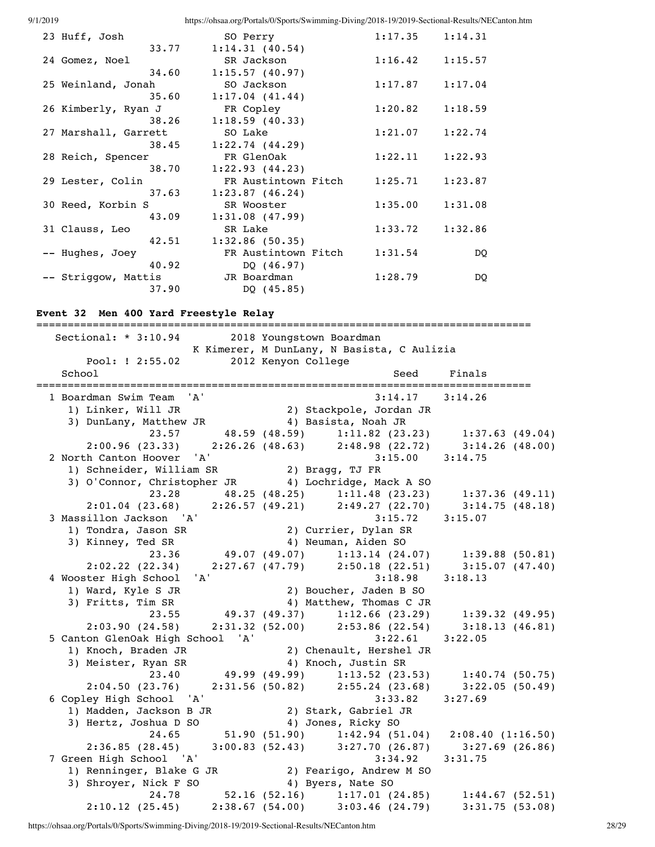9/1/2019 https://ohsaa.org/Portals/0/Sports/Swimming-Diving/2018-19/2019-Sectional-Results/NECanton.htm 23 Huff, Josh SO Perry 1:17.35 1:14.31 33.77 1:14.31 (40.54) 24 Gomez, Noel SR Jackson 1:16.42 1:15.57 34.60 1:15.57 (40.97) 25 Weinland, Jonah SO Jackson 1:17.87 1:17.04  $35.60$   $1:17.04$   $(41.44)$  26 Kimberly, Ryan J FR Copley 1:20.82 1:18.59 38.26 1:18.59 (40.33) 27 Marshall, Garrett SO Lake 1:21.07 1:22.74 38.45 1:22.74 (44.29) 28 Reich, Spencer FR GlenOak 1:22.11 1:22.93 38.70 1:22.93 (44.23) 29 Lester, Colin FR Austintown Fitch 1:25.71 1:23.87 37.63 1:23.87 (46.24) 30 Reed, Korbin S SR Wooster 1:35.00 1:31.08 43.09 1:31.08 (47.99) 31 Clauss, Leo SR Lake 1:33.72 1:32.86 42.51 1:32.86 (50.35) -- Hughes, Joey FR Austintown Fitch 1:31.54 DQ 40.92 DQ (46.97) -- Striggow, Mattis JR Boardman 1:28.79 DQ 37.90 DQ (45.85)

### **Event 32 Men 400 Yard Freestyle Relay**

=============================================================================== Sectional: \* 3:10.94 2018 Youngstown Boardman K Kimerer, M DunLany, N Basista, C Aulizia Pool: ! 2:55.02 2012 Kenyon College School School Seed Finals =============================================================================== 1 Boardman Swim Team 'A' 3:14.17 3:14.26 1) Linker, Will JR 2) Stackpole, Jordan JR 3) DunLany, Matthew JR 4) Basista, Noah JR 23.57 48.59 (48.59) 1:11.82 (23.23) 1:37.63 (49.04) 2:00.96 (23.33) 2:26.26 (48.63) 2:48.98 (22.72) 3:14.26 (48.00) 2 North Canton Hoover 'A' 3:15.00 3:14.75 1) Schneider, William SR 2) Bragg, TJ FR 3) O'Connor, Christopher JR 4) Lochridge, Mack A SO 23.28 48.25 (48.25) 1:11.48 (23.23) 1:37.36 (49.11) 2:01.04 (23.68) 2:26.57 (49.21) 2:49.27 (22.70) 3:14.75 (48.18) 3 Massillon Jackson 'A' 3:15.72 3:15.07 1) Tondra, Jason SR 2) Currier, Dylan SR 3) Kinney, Ted SR 4) Neuman, Aiden SO 23.36 49.07 (49.07) 1:13.14 (24.07) 1:39.88 (50.81) 2:02.22 (22.34) 2:27.67 (47.79) 2:50.18 (22.51) 3:15.07 (47.40) 4 Wooster High School 'A' 3:18.98 3:18.13 1) Ward, Kyle S JR 2) Boucher, Jaden B SO 3) Fritts, Tim SR 4) Matthew, Thomas C JR 23.55 49.37 (49.37) 1:12.66 (23.29) 1:39.32 (49.95) 2:03.90 (24.58) 2:31.32 (52.00) 2:53.86 (22.54) 3:18.13 (46.81) 5 Canton GlenOak High School 'A' 3:22.61 3:22.05<br>1) Knoch, Braden JR 3:22.05<br>3:22.05<br>3:22.05<br>3:22.05<br>3:22.05 1) Knoch, Braden JR 2) Chenault, Hershel JR 3) Meister, Ryan SR 4) Knoch, Justin SR 23.40 49.99 (49.99) 1:13.52 (23.53) 1:40.74 (50.75) 2:04.50 (23.76) 2:31.56 (50.82) 2:55.24 (23.68) 3:22.05 (50.49) 6 Copley High School 'A' 3:33.82 3:27.69 1) Madden, Jackson B JR 2) Stark, Gabriel JR 3) Hertz, Joshua D SO 4) Jones, Ricky SO  $24.65$   $51.90$   $(51.90)$   $1:42.94$   $(51.04)$   $2:08.40$   $(1:16.50)$ <br> $2:36.85$   $(28.45)$   $3:00.83$   $(52.43)$   $3:27.70$   $(26.87)$   $3:27.69$   $(26.86)$  2:36.85 (28.45) 3:00.83 (52.43) 3:27.70 (26.87) 3:27.69 (26.86) 7 Green High School 'A' 3:34.92 3:31.75 1) Renninger, Blake G JR 2) Fearigo, Andrew M SO 3) Shroyer, Nick F SO 4) Byers, Nate SO 24.78 52.16 (52.16) 1:17.01 (24.85) 1:44.67 (52.51) 2:10.12 (25.45) 2:38.67 (54.00) 3:03.46 (24.79) 3:31.75 (53.08)